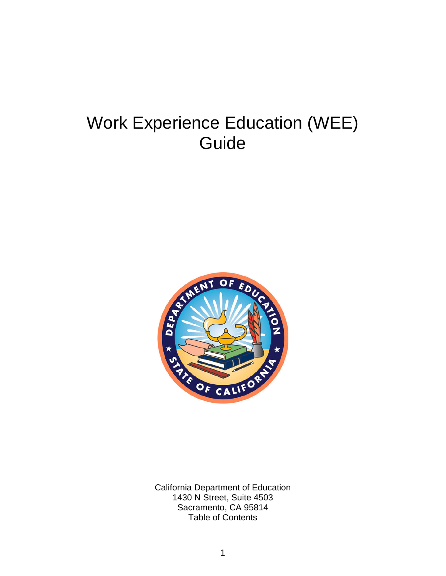# Work Experience Education (WEE) Guide



California Department of Education 1430 N Street, Suite 4503 Sacramento, CA 95814 Table of Contents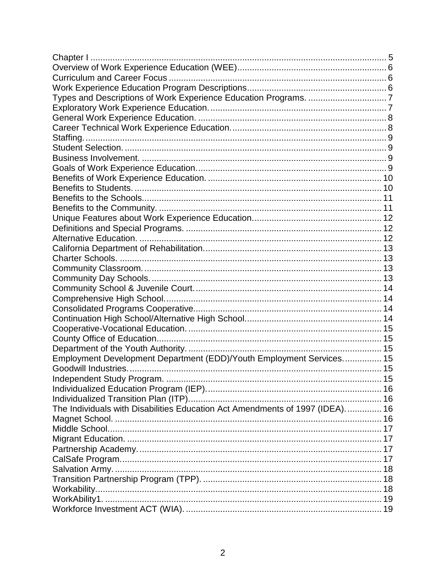| Employment Development Department (EDD)/Youth Employment Services 15         |  |
|------------------------------------------------------------------------------|--|
|                                                                              |  |
|                                                                              |  |
|                                                                              |  |
|                                                                              |  |
| The Individuals with Disabilities Education Act Amendments of 1997 (IDEA) 16 |  |
|                                                                              |  |
|                                                                              |  |
|                                                                              |  |
|                                                                              |  |
|                                                                              |  |
|                                                                              |  |
|                                                                              |  |
|                                                                              |  |
|                                                                              |  |
|                                                                              |  |
|                                                                              |  |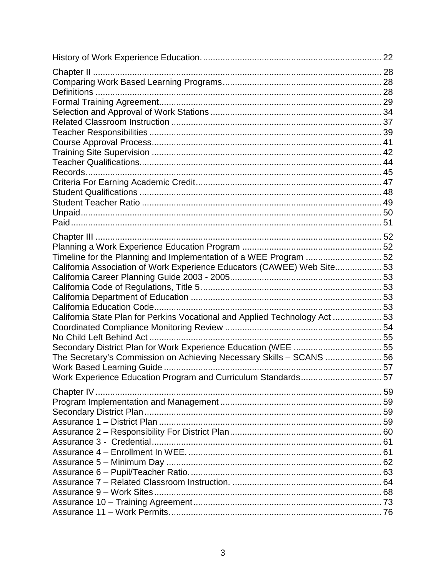| Chapter II                                                                 |  |
|----------------------------------------------------------------------------|--|
|                                                                            |  |
|                                                                            |  |
|                                                                            |  |
|                                                                            |  |
|                                                                            |  |
|                                                                            |  |
|                                                                            |  |
|                                                                            |  |
|                                                                            |  |
|                                                                            |  |
|                                                                            |  |
|                                                                            |  |
|                                                                            |  |
|                                                                            |  |
| Timeline for the Planning and Implementation of a WEE Program 52           |  |
| California Association of Work Experience Educators (CAWEE) Web Site 53    |  |
|                                                                            |  |
|                                                                            |  |
|                                                                            |  |
| California State Plan for Perkins Vocational and Applied Technology Act 53 |  |
|                                                                            |  |
|                                                                            |  |
|                                                                            |  |
| The Secretary's Commission on Achieving Necessary Skills - SCANS 56        |  |
|                                                                            |  |
| Work Experience Education Program and Curriculum Standards57               |  |
|                                                                            |  |
|                                                                            |  |
|                                                                            |  |
|                                                                            |  |
|                                                                            |  |
|                                                                            |  |
|                                                                            |  |
|                                                                            |  |
|                                                                            |  |
|                                                                            |  |
|                                                                            |  |
|                                                                            |  |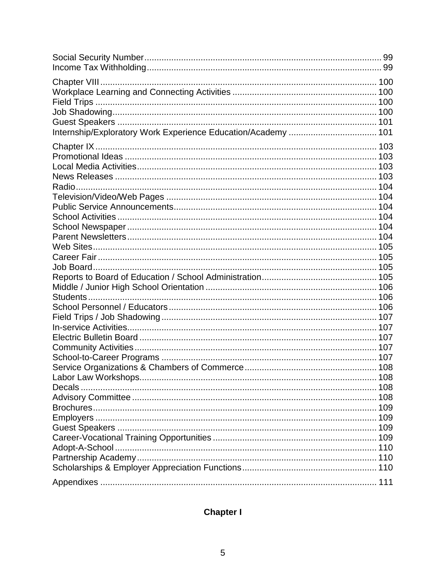| Internship/Exploratory Work Experience Education/Academy  101 |  |
|---------------------------------------------------------------|--|
|                                                               |  |
|                                                               |  |
|                                                               |  |
|                                                               |  |
|                                                               |  |
|                                                               |  |
|                                                               |  |
|                                                               |  |
|                                                               |  |
|                                                               |  |
|                                                               |  |
|                                                               |  |
|                                                               |  |
|                                                               |  |
|                                                               |  |
|                                                               |  |
|                                                               |  |
|                                                               |  |
|                                                               |  |
|                                                               |  |
|                                                               |  |
|                                                               |  |
|                                                               |  |
|                                                               |  |
| Decals.                                                       |  |
|                                                               |  |
|                                                               |  |
|                                                               |  |
|                                                               |  |
|                                                               |  |
|                                                               |  |
|                                                               |  |
|                                                               |  |
|                                                               |  |

# <span id="page-4-0"></span>**Chapter I**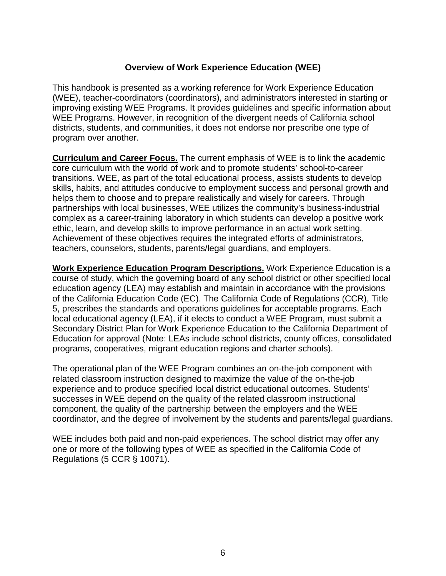#### **Overview of Work Experience Education (WEE)**

<span id="page-5-0"></span>This handbook is presented as a working reference for Work Experience Education (WEE), teacher-coordinators (coordinators), and administrators interested in starting or improving existing WEE Programs. It provides guidelines and specific information about WEE Programs. However, in recognition of the divergent needs of California school districts, students, and communities, it does not endorse nor prescribe one type of program over another.

<span id="page-5-1"></span>**Curriculum and Career Focus.** The current emphasis of WEE is to link the academic core curriculum with the world of work and to promote students' school-to-career transitions. WEE, as part of the total educational process, assists students to develop skills, habits, and attitudes conducive to employment success and personal growth and helps them to choose and to prepare realistically and wisely for careers. Through partnerships with local businesses, WEE utilizes the community's business-industrial complex as a career-training laboratory in which students can develop a positive work ethic, learn, and develop skills to improve performance in an actual work setting. Achievement of these objectives requires the integrated efforts of administrators, teachers, counselors, students, parents/legal guardians, and employers.

<span id="page-5-2"></span>**Work Experience Education Program Descriptions.** Work Experience Education is a course of study, which the governing board of any school district or other specified local education agency (LEA) may establish and maintain in accordance with the provisions of the California Education Code (EC). The California Code of Regulations (CCR), Title 5, prescribes the standards and operations guidelines for acceptable programs. Each local educational agency (LEA), if it elects to conduct a WEE Program, must submit a Secondary District Plan for Work Experience Education to the California Department of Education for approval (Note: LEAs include school districts, county offices, consolidated programs, cooperatives, migrant education regions and charter schools).

The operational plan of the WEE Program combines an on-the-job component with related classroom instruction designed to maximize the value of the on-the-job experience and to produce specified local district educational outcomes. Students' successes in WEE depend on the quality of the related classroom instructional component, the quality of the partnership between the employers and the WEE coordinator, and the degree of involvement by the students and parents/legal guardians.

WEE includes both paid and non-paid experiences. The school district may offer any one or more of the following types of WEE as specified in the California Code of Regulations (5 CCR § 10071).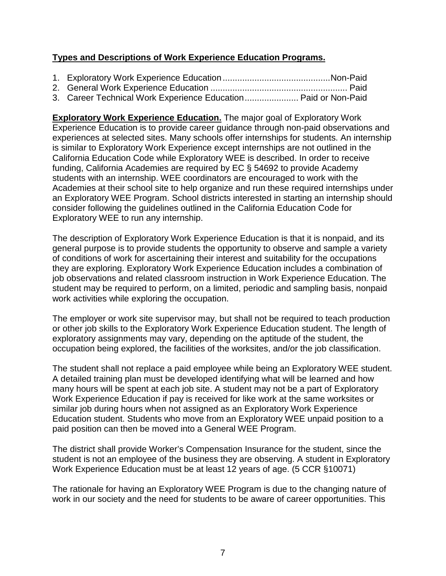#### <span id="page-6-0"></span>**Types and Descriptions of Work Experience Education Programs.**

| 3. Career Technical Work Experience Education Paid or Non-Paid |  |
|----------------------------------------------------------------|--|

<span id="page-6-1"></span>**Exploratory Work Experience Education.** The major goal of Exploratory Work Experience Education is to provide career guidance through non-paid observations and experiences at selected sites. Many schools offer internships for students. An internship is similar to Exploratory Work Experience except internships are not outlined in the California Education Code while Exploratory WEE is described. In order to receive funding, California Academies are required by EC § 54692 to provide Academy students with an internship. WEE coordinators are encouraged to work with the Academies at their school site to help organize and run these required internships under an Exploratory WEE Program. School districts interested in starting an internship should consider following the guidelines outlined in the California Education Code for Exploratory WEE to run any internship.

The description of Exploratory Work Experience Education is that it is nonpaid, and its general purpose is to provide students the opportunity to observe and sample a variety of conditions of work for ascertaining their interest and suitability for the occupations they are exploring. Exploratory Work Experience Education includes a combination of job observations and related classroom instruction in Work Experience Education. The student may be required to perform, on a limited, periodic and sampling basis, nonpaid work activities while exploring the occupation.

The employer or work site supervisor may, but shall not be required to teach production or other job skills to the Exploratory Work Experience Education student. The length of exploratory assignments may vary, depending on the aptitude of the student, the occupation being explored, the facilities of the worksites, and/or the job classification.

The student shall not replace a paid employee while being an Exploratory WEE student. A detailed training plan must be developed identifying what will be learned and how many hours will be spent at each job site. A student may not be a part of Exploratory Work Experience Education if pay is received for like work at the same worksites or similar job during hours when not assigned as an Exploratory Work Experience Education student. Students who move from an Exploratory WEE unpaid position to a paid position can then be moved into a General WEE Program.

The district shall provide Worker's Compensation Insurance for the student, since the student is not an employee of the business they are observing. A student in Exploratory Work Experience Education must be at least 12 years of age. (5 CCR §10071)

The rationale for having an Exploratory WEE Program is due to the changing nature of work in our society and the need for students to be aware of career opportunities. This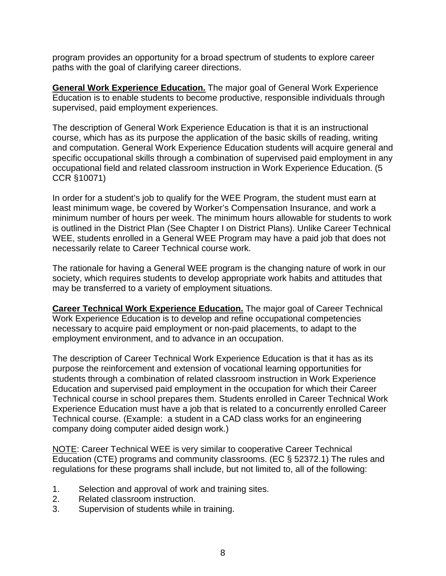program provides an opportunity for a broad spectrum of students to explore career paths with the goal of clarifying career directions.

<span id="page-7-0"></span>**General Work Experience Education.** The major goal of General Work Experience Education is to enable students to become productive, responsible individuals through supervised, paid employment experiences.

The description of General Work Experience Education is that it is an instructional course, which has as its purpose the application of the basic skills of reading, writing and computation. General Work Experience Education students will acquire general and specific occupational skills through a combination of supervised paid employment in any occupational field and related classroom instruction in Work Experience Education. (5 CCR §10071)

In order for a student's job to qualify for the WEE Program, the student must earn at least minimum wage, be covered by Worker's Compensation Insurance, and work a minimum number of hours per week. The minimum hours allowable for students to work is outlined in the District Plan (See Chapter I on District Plans). Unlike Career Technical WEE, students enrolled in a General WEE Program may have a paid job that does not necessarily relate to Career Technical course work.

The rationale for having a General WEE program is the changing nature of work in our society, which requires students to develop appropriate work habits and attitudes that may be transferred to a variety of employment situations.

<span id="page-7-1"></span>**Career Technical Work Experience Education.** The major goal of Career Technical Work Experience Education is to develop and refine occupational competencies necessary to acquire paid employment or non-paid placements, to adapt to the employment environment, and to advance in an occupation.

The description of Career Technical Work Experience Education is that it has as its purpose the reinforcement and extension of vocational learning opportunities for students through a combination of related classroom instruction in Work Experience Education and supervised paid employment in the occupation for which their Career Technical course in school prepares them. Students enrolled in Career Technical Work Experience Education must have a job that is related to a concurrently enrolled Career Technical course. (Example: a student in a CAD class works for an engineering company doing computer aided design work.)

NOTE: Career Technical WEE is very similar to cooperative Career Technical Education (CTE) programs and community classrooms. (EC § 52372.1) The rules and regulations for these programs shall include, but not limited to, all of the following:

- 1. Selection and approval of work and training sites.
- 2. Related classroom instruction.
- 3. Supervision of students while in training.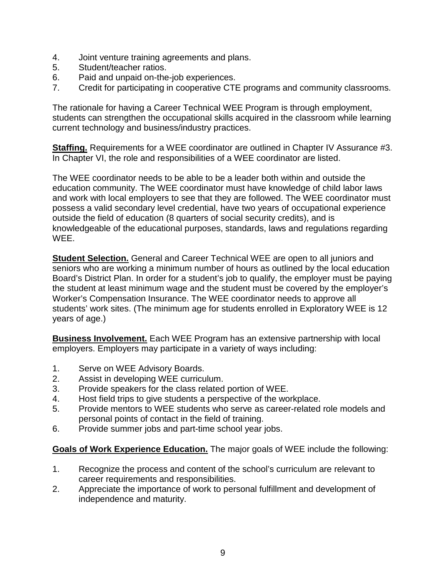- 4. Joint venture training agreements and plans.
- 5. Student/teacher ratios.
- 6. Paid and unpaid on-the-job experiences.
- 7. Credit for participating in cooperative CTE programs and community classrooms.

The rationale for having a Career Technical WEE Program is through employment, students can strengthen the occupational skills acquired in the classroom while learning current technology and business/industry practices.

<span id="page-8-0"></span>**Staffing.** Requirements for a WEE coordinator are outlined in Chapter IV Assurance #3. In Chapter VI, the role and responsibilities of a WEE coordinator are listed.

The WEE coordinator needs to be able to be a leader both within and outside the education community. The WEE coordinator must have knowledge of child labor laws and work with local employers to see that they are followed. The WEE coordinator must possess a valid secondary level credential, have two years of occupational experience outside the field of education (8 quarters of social security credits), and is knowledgeable of the educational purposes, standards, laws and regulations regarding WEE.

<span id="page-8-1"></span>**Student Selection.** General and Career Technical WEE are open to all juniors and seniors who are working a minimum number of hours as outlined by the local education Board's District Plan. In order for a student's job to qualify, the employer must be paying the student at least minimum wage and the student must be covered by the employer's Worker's Compensation Insurance. The WEE coordinator needs to approve all students' work sites. (The minimum age for students enrolled in Exploratory WEE is 12 years of age.)

<span id="page-8-2"></span>**Business Involvement.** Each WEE Program has an extensive partnership with local employers. Employers may participate in a variety of ways including:

- 1. Serve on WEE Advisory Boards.
- 2. Assist in developing WEE curriculum.
- 3. Provide speakers for the class related portion of WEE.
- 4. Host field trips to give students a perspective of the workplace.
- 5. Provide mentors to WEE students who serve as career-related role models and personal points of contact in the field of training.
- 6. Provide summer jobs and part-time school year jobs.

<span id="page-8-3"></span>**Goals of Work Experience Education.** The major goals of WEE include the following:

- 1. Recognize the process and content of the school's curriculum are relevant to career requirements and responsibilities.
- 2. Appreciate the importance of work to personal fulfillment and development of independence and maturity.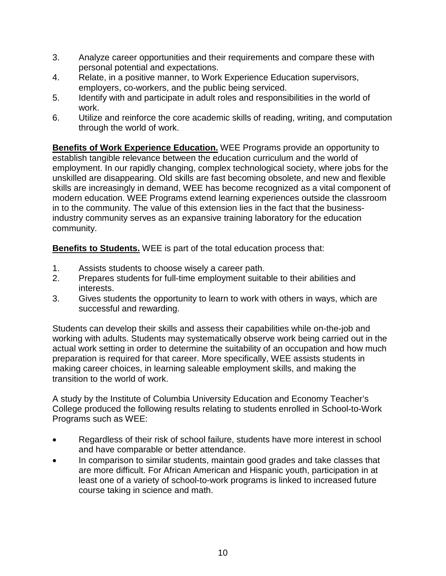- 3. Analyze career opportunities and their requirements and compare these with personal potential and expectations.
- 4. Relate, in a positive manner, to Work Experience Education supervisors, employers, co-workers, and the public being serviced.
- 5. Identify with and participate in adult roles and responsibilities in the world of work.
- 6. Utilize and reinforce the core academic skills of reading, writing, and computation through the world of work.

<span id="page-9-0"></span>**Benefits of Work Experience Education.** WEE Programs provide an opportunity to establish tangible relevance between the education curriculum and the world of employment. In our rapidly changing, complex technological society, where jobs for the unskilled are disappearing. Old skills are fast becoming obsolete, and new and flexible skills are increasingly in demand, WEE has become recognized as a vital component of modern education. WEE Programs extend learning experiences outside the classroom in to the community. The value of this extension lies in the fact that the businessindustry community serves as an expansive training laboratory for the education community.

<span id="page-9-1"></span>**Benefits to Students.** WEE is part of the total education process that:

- 1. Assists students to choose wisely a career path.
- 2. Prepares students for full-time employment suitable to their abilities and interests.
- 3. Gives students the opportunity to learn to work with others in ways, which are successful and rewarding.

Students can develop their skills and assess their capabilities while on-the-job and working with adults. Students may systematically observe work being carried out in the actual work setting in order to determine the suitability of an occupation and how much preparation is required for that career. More specifically, WEE assists students in making career choices, in learning saleable employment skills, and making the transition to the world of work.

A study by the Institute of Columbia University Education and Economy Teacher's College produced the following results relating to students enrolled in School-to-Work Programs such as WEE:

- Regardless of their risk of school failure, students have more interest in school and have comparable or better attendance.
- In comparison to similar students, maintain good grades and take classes that are more difficult. For African American and Hispanic youth, participation in at least one of a variety of school-to-work programs is linked to increased future course taking in science and math.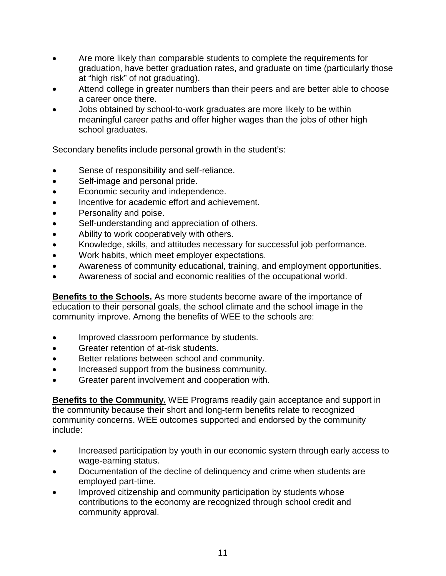- Are more likely than comparable students to complete the requirements for graduation, have better graduation rates, and graduate on time (particularly those at "high risk" of not graduating).
- Attend college in greater numbers than their peers and are better able to choose a career once there.
- Jobs obtained by school-to-work graduates are more likely to be within meaningful career paths and offer higher wages than the jobs of other high school graduates.

Secondary benefits include personal growth in the student's:

- Sense of responsibility and self-reliance.
- Self-image and personal pride.
- Economic security and independence.
- Incentive for academic effort and achievement.
- Personality and poise.
- Self-understanding and appreciation of others.
- Ability to work cooperatively with others.
- Knowledge, skills, and attitudes necessary for successful job performance.
- Work habits, which meet employer expectations.
- Awareness of community educational, training, and employment opportunities.
- Awareness of social and economic realities of the occupational world.

<span id="page-10-0"></span>**Benefits to the Schools.** As more students become aware of the importance of education to their personal goals, the school climate and the school image in the community improve. Among the benefits of WEE to the schools are:

- Improved classroom performance by students.
- Greater retention of at-risk students.
- Better relations between school and community.
- Increased support from the business community.
- Greater parent involvement and cooperation with.

<span id="page-10-1"></span>**Benefits to the Community.** WEE Programs readily gain acceptance and support in the community because their short and long-term benefits relate to recognized community concerns. WEE outcomes supported and endorsed by the community include:

- Increased participation by youth in our economic system through early access to wage-earning status.
- Documentation of the decline of delinquency and crime when students are employed part-time.
- Improved citizenship and community participation by students whose contributions to the economy are recognized through school credit and community approval.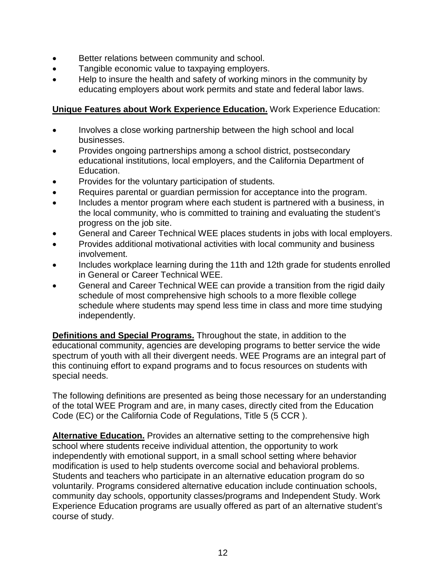- Better relations between community and school.
- Tangible economic value to taxpaying employers.
- Help to insure the health and safety of working minors in the community by educating employers about work permits and state and federal labor laws.

#### <span id="page-11-0"></span>**Unique Features about Work Experience Education.** Work Experience Education:

- Involves a close working partnership between the high school and local businesses.
- Provides ongoing partnerships among a school district, postsecondary educational institutions, local employers, and the California Department of Education.
- Provides for the voluntary participation of students.
- Requires parental or guardian permission for acceptance into the program.
- Includes a mentor program where each student is partnered with a business, in the local community, who is committed to training and evaluating the student's progress on the job site.
- General and Career Technical WEE places students in jobs with local employers.
- Provides additional motivational activities with local community and business involvement.
- Includes workplace learning during the 11th and 12th grade for students enrolled in General or Career Technical WEE.
- General and Career Technical WEE can provide a transition from the rigid daily schedule of most comprehensive high schools to a more flexible college schedule where students may spend less time in class and more time studying independently.

<span id="page-11-1"></span>**Definitions and Special Programs.** Throughout the state, in addition to the educational community, agencies are developing programs to better service the wide spectrum of youth with all their divergent needs. WEE Programs are an integral part of this continuing effort to expand programs and to focus resources on students with special needs.

The following definitions are presented as being those necessary for an understanding of the total WEE Program and are, in many cases, directly cited from the Education Code (EC) or the California Code of Regulations, Title 5 (5 CCR ).

<span id="page-11-2"></span>**Alternative Education.** Provides an alternative setting to the comprehensive high school where students receive individual attention, the opportunity to work independently with emotional support, in a small school setting where behavior modification is used to help students overcome social and behavioral problems. Students and teachers who participate in an alternative education program do so voluntarily. Programs considered alternative education include continuation schools, community day schools, opportunity classes/programs and Independent Study. Work Experience Education programs are usually offered as part of an alternative student's course of study.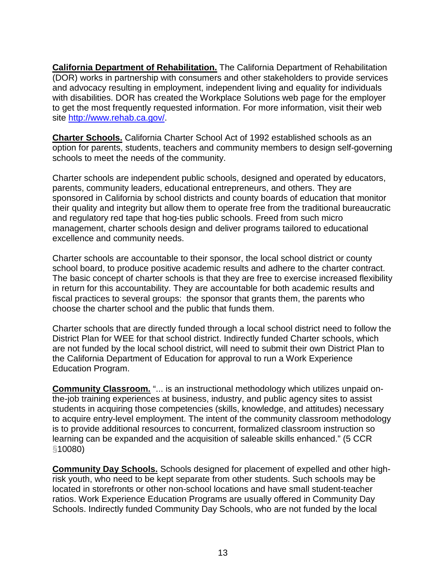<span id="page-12-0"></span>**California Department of Rehabilitation.** The California Department of Rehabilitation (DOR) works in partnership with consumers and other stakeholders to provide services and advocacy resulting in employment, independent living and equality for individuals with disabilities. DOR has created the Workplace Solutions web page for the employer to get the most frequently requested information. For more information, visit their web site [http://www.rehab.ca.gov/.](http://www.rehab.ca.gov/)

<span id="page-12-1"></span>**Charter Schools.** California Charter School Act of 1992 established schools as an option for parents, students, teachers and community members to design self-governing schools to meet the needs of the community.

Charter schools are independent public schools, designed and operated by educators, parents, community leaders, educational entrepreneurs, and others. They are sponsored in California by school districts and county boards of education that monitor their quality and integrity but allow them to operate free from the traditional bureaucratic and regulatory red tape that hog-ties public schools. Freed from such micro management, charter schools design and deliver programs tailored to educational excellence and community needs.

Charter schools are accountable to their sponsor, the local school district or county school board, to produce positive academic results and adhere to the charter contract. The basic concept of charter schools is that they are free to exercise increased flexibility in return for this accountability. They are accountable for both academic results and fiscal practices to several groups: the sponsor that grants them, the parents who choose the charter school and the public that funds them.

Charter schools that are directly funded through a local school district need to follow the District Plan for WEE for that school district. Indirectly funded Charter schools, which are not funded by the local school district, will need to submit their own District Plan to the California Department of Education for approval to run a Work Experience Education Program.

<span id="page-12-2"></span>**Community Classroom.** "... is an instructional methodology which utilizes unpaid onthe-job training experiences at business, industry, and public agency sites to assist students in acquiring those competencies (skills, knowledge, and attitudes) necessary to acquire entry-level employment. The intent of the community classroom methodology is to provide additional resources to concurrent, formalized classroom instruction so learning can be expanded and the acquisition of saleable skills enhanced." (5 CCR §10080)

<span id="page-12-3"></span>**Community Day Schools.** Schools designed for placement of expelled and other highrisk youth, who need to be kept separate from other students. Such schools may be located in storefronts or other non-school locations and have small student-teacher ratios. Work Experience Education Programs are usually offered in Community Day Schools. Indirectly funded Community Day Schools, who are not funded by the local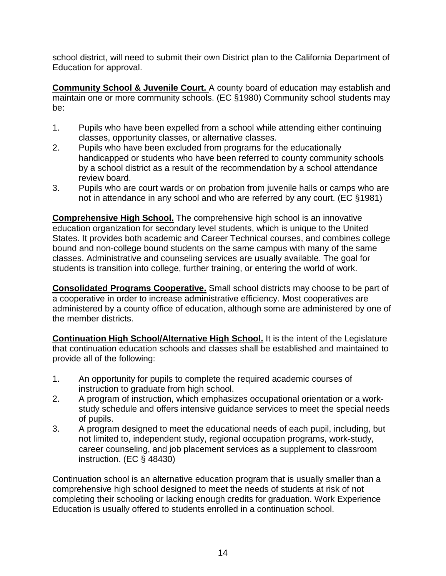school district, will need to submit their own District plan to the California Department of Education for approval.

<span id="page-13-0"></span>**Community School & Juvenile Court.** A county board of education may establish and maintain one or more community schools. (EC §1980) Community school students may be:

- 1. Pupils who have been expelled from a school while attending either continuing classes, opportunity classes, or alternative classes.
- 2. Pupils who have been excluded from programs for the educationally handicapped or students who have been referred to county community schools by a school district as a result of the recommendation by a school attendance review board.
- 3. Pupils who are court wards or on probation from juvenile halls or camps who are not in attendance in any school and who are referred by any court. (EC §1981)

<span id="page-13-1"></span>**Comprehensive High School.** The comprehensive high school is an innovative education organization for secondary level students, which is unique to the United States. It provides both academic and Career Technical courses, and combines college bound and non-college bound students on the same campus with many of the same classes. Administrative and counseling services are usually available. The goal for students is transition into college, further training, or entering the world of work.

<span id="page-13-2"></span>**Consolidated Programs Cooperative.** Small school districts may choose to be part of a cooperative in order to increase administrative efficiency. Most cooperatives are administered by a county office of education, although some are administered by one of the member districts.

<span id="page-13-3"></span>**Continuation High School/Alternative High School.** It is the intent of the Legislature that continuation education schools and classes shall be established and maintained to provide all of the following:

- 1. An opportunity for pupils to complete the required academic courses of instruction to graduate from high school.
- 2. A program of instruction, which emphasizes occupational orientation or a workstudy schedule and offers intensive guidance services to meet the special needs of pupils.
- 3. A program designed to meet the educational needs of each pupil, including, but not limited to, independent study, regional occupation programs, work-study, career counseling, and job placement services as a supplement to classroom instruction. (EC § 48430)

Continuation school is an alternative education program that is usually smaller than a comprehensive high school designed to meet the needs of students at risk of not completing their schooling or lacking enough credits for graduation. Work Experience Education is usually offered to students enrolled in a continuation school.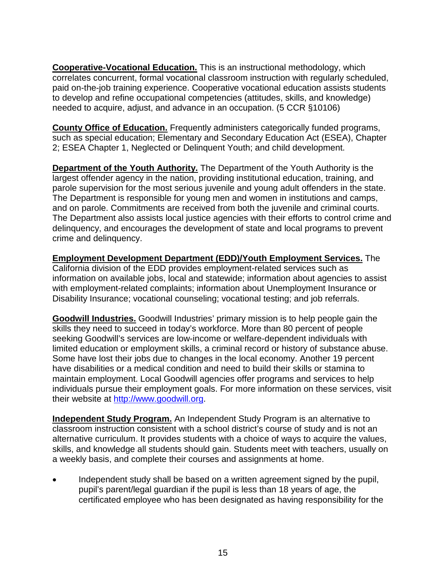<span id="page-14-0"></span>**Cooperative-Vocational Education.** This is an instructional methodology, which correlates concurrent, formal vocational classroom instruction with regularly scheduled, paid on-the-job training experience. Cooperative vocational education assists students to develop and refine occupational competencies (attitudes, skills, and knowledge) needed to acquire, adjust, and advance in an occupation. (5 CCR §10106)

<span id="page-14-1"></span>**County Office of Education.** Frequently administers categorically funded programs, such as special education; Elementary and Secondary Education Act (ESEA), Chapter 2; ESEA Chapter 1, Neglected or Delinquent Youth; and child development.

<span id="page-14-2"></span>**Department of the Youth Authority.** The Department of the Youth Authority is the largest offender agency in the nation, providing institutional education, training, and parole supervision for the most serious juvenile and young adult offenders in the state. The Department is responsible for young men and women in institutions and camps, and on parole. Commitments are received from both the juvenile and criminal courts. The Department also assists local justice agencies with their efforts to control crime and delinquency, and encourages the development of state and local programs to prevent crime and delinquency.

<span id="page-14-3"></span>**Employment Development Department (EDD)/Youth Employment Services.** The California division of the EDD provides employment-related services such as information on available jobs, local and statewide; information about agencies to assist with employment-related complaints; information about Unemployment Insurance or Disability Insurance; vocational counseling; vocational testing; and job referrals.

<span id="page-14-4"></span>**Goodwill Industries.** Goodwill Industries' primary mission is to help people gain the skills they need to succeed in today's workforce. More than 80 percent of people seeking Goodwill's services are low-income or welfare-dependent individuals with limited education or employment skills, a criminal record or history of substance abuse. Some have lost their jobs due to changes in the local economy. Another 19 percent have disabilities or a medical condition and need to build their skills or stamina to maintain employment. Local Goodwill agencies offer programs and services to help individuals pursue their employment goals. For more information on these services, visit their website at [http://www.goodwill.org.](http://www.goodwill.org/)

<span id="page-14-5"></span>**Independent Study Program.** An Independent Study Program is an alternative to classroom instruction consistent with a school district's course of study and is not an alternative curriculum. It provides students with a choice of ways to acquire the values, skills, and knowledge all students should gain. Students meet with teachers, usually on a weekly basis, and complete their courses and assignments at home.

• Independent study shall be based on a written agreement signed by the pupil, pupil's parent/legal guardian if the pupil is less than 18 years of age, the certificated employee who has been designated as having responsibility for the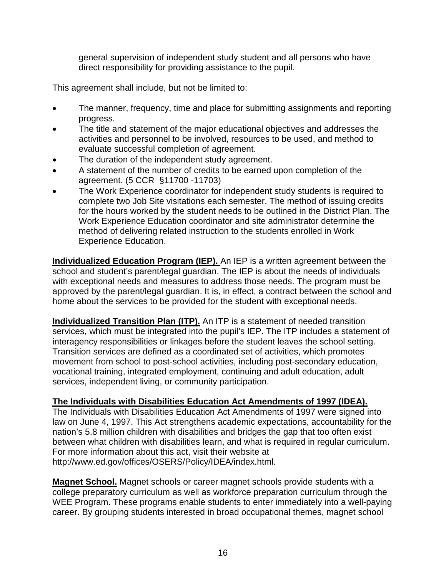general supervision of independent study student and all persons who have direct responsibility for providing assistance to the pupil.

This agreement shall include, but not be limited to:

- The manner, frequency, time and place for submitting assignments and reporting progress.
- The title and statement of the major educational objectives and addresses the activities and personnel to be involved, resources to be used, and method to evaluate successful completion of agreement.
- The duration of the independent study agreement.
- A statement of the number of credits to be earned upon completion of the agreement. (5 CCR §11700 -11703)
- The Work Experience coordinator for independent study students is required to complete two Job Site visitations each semester. The method of issuing credits for the hours worked by the student needs to be outlined in the District Plan. The Work Experience Education coordinator and site administrator determine the method of delivering related instruction to the students enrolled in Work Experience Education.

<span id="page-15-0"></span>**Individualized Education Program (IEP).** An IEP is a written agreement between the school and student's parent/legal guardian. The IEP is about the needs of individuals with exceptional needs and measures to address those needs. The program must be approved by the parent/legal guardian. It is, in effect, a contract between the school and home about the services to be provided for the student with exceptional needs.

<span id="page-15-1"></span>**Individualized Transition Plan (ITP).** An ITP is a statement of needed transition services, which must be integrated into the pupil's IEP. The ITP includes a statement of interagency responsibilities or linkages before the student leaves the school setting. Transition services are defined as a coordinated set of activities, which promotes movement from school to post-school activities, including post-secondary education, vocational training, integrated employment, continuing and adult education, adult services, independent living, or community participation.

#### <span id="page-15-2"></span>**The Individuals with Disabilities Education Act Amendments of 1997 (IDEA).**

The Individuals with Disabilities Education Act Amendments of 1997 were signed into law on June 4, 1997. This Act strengthens academic expectations, accountability for the nation's 5.8 million children with disabilities and bridges the gap that too often exist between what children with disabilities learn, and what is required in regular curriculum. For more information about this act, visit their website at <http://www.ed.gov/offices/OSERS/Policy/IDEA/index.html.>

<span id="page-15-3"></span>**Magnet School.** Magnet schools or career magnet schools provide students with a college preparatory curriculum as well as workforce preparation curriculum through the WEE Program. These programs enable students to enter immediately into a well-paying career. By grouping students interested in broad occupational themes, magnet school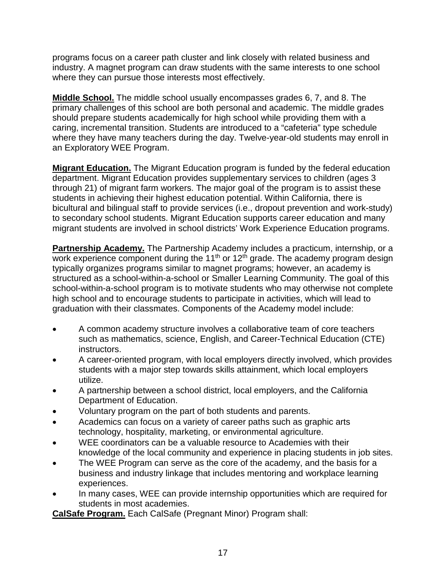programs focus on a career path cluster and link closely with related business and industry. A magnet program can draw students with the same interests to one school where they can pursue those interests most effectively.

<span id="page-16-0"></span>**Middle School.** The middle school usually encompasses grades 6, 7, and 8. The primary challenges of this school are both personal and academic. The middle grades should prepare students academically for high school while providing them with a caring, incremental transition. Students are introduced to a "cafeteria" type schedule where they have many teachers during the day. Twelve-year-old students may enroll in an Exploratory WEE Program.

<span id="page-16-1"></span>**Migrant Education.** The Migrant Education program is funded by the federal education department. Migrant Education provides supplementary services to children (ages 3 through 21) of migrant farm workers. The major goal of the program is to assist these students in achieving their highest education potential. Within California, there is bicultural and bilingual staff to provide services (i.e., dropout prevention and work-study) to secondary school students. Migrant Education supports career education and many migrant students are involved in school districts' Work Experience Education programs.

<span id="page-16-2"></span>**Partnership Academy.** The Partnership Academy includes a practicum, internship, or a work experience component during the 11<sup>th</sup> or 12<sup>th</sup> grade. The academy program design typically organizes programs similar to magnet programs; however, an academy is structured as a school-within-a-school or Smaller Learning Community. The goal of this school-within-a-school program is to motivate students who may otherwise not complete high school and to encourage students to participate in activities, which will lead to graduation with their classmates. Components of the Academy model include:

- A common academy structure involves a collaborative team of core teachers such as mathematics, science, English, and Career-Technical Education (CTE) instructors.
- A career-oriented program, with local employers directly involved, which provides students with a major step towards skills attainment, which local employers utilize.
- A partnership between a school district, local employers, and the California Department of Education.
- Voluntary program on the part of both students and parents.
- Academics can focus on a variety of career paths such as graphic arts technology, hospitality, marketing, or environmental agriculture.
- WEE coordinators can be a valuable resource to Academies with their knowledge of the local community and experience in placing students in job sites.
- The WEE Program can serve as the core of the academy, and the basis for a business and industry linkage that includes mentoring and workplace learning experiences.
- In many cases, WEE can provide internship opportunities which are required for students in most academies.

<span id="page-16-3"></span>**CalSafe Program.** Each CalSafe (Pregnant Minor) Program shall: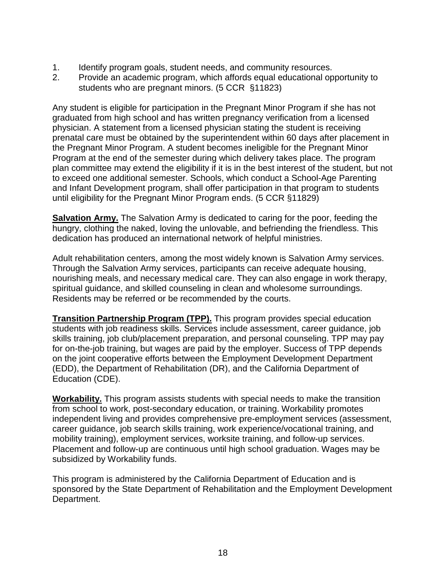- 1. Identify program goals, student needs, and community resources.
- 2. Provide an academic program, which affords equal educational opportunity to students who are pregnant minors. (5 CCR §11823)

Any student is eligible for participation in the Pregnant Minor Program if she has not graduated from high school and has written pregnancy verification from a licensed physician. A statement from a licensed physician stating the student is receiving prenatal care must be obtained by the superintendent within 60 days after placement in the Pregnant Minor Program. A student becomes ineligible for the Pregnant Minor Program at the end of the semester during which delivery takes place. The program plan committee may extend the eligibility if it is in the best interest of the student, but not to exceed one additional semester. Schools, which conduct a School-Age Parenting and Infant Development program, shall offer participation in that program to students until eligibility for the Pregnant Minor Program ends. (5 CCR §11829)

<span id="page-17-0"></span>**Salvation Army.** The Salvation Army is dedicated to caring for the poor, feeding the hungry, clothing the naked, loving the unlovable, and befriending the friendless. This dedication has produced an international network of helpful ministries.

Adult rehabilitation centers, among the most widely known is Salvation Army services. Through the Salvation Army services, participants can receive adequate housing, nourishing meals, and necessary medical care. They can also engage in work therapy, spiritual guidance, and skilled counseling in clean and wholesome surroundings. Residents may be referred or be recommended by the courts.

<span id="page-17-1"></span>**Transition Partnership Program (TPP).** This program provides special education students with job readiness skills. Services include assessment, career guidance, job skills training, job club/placement preparation, and personal counseling. TPP may pay for on-the-job training, but wages are paid by the employer. Success of TPP depends on the joint cooperative efforts between the Employment Development Department (EDD), the Department of Rehabilitation (DR), and the California Department of Education (CDE).

<span id="page-17-2"></span>**Workability.** This program assists students with special needs to make the transition from school to work, post-secondary education, or training. Workability promotes independent living and provides comprehensive pre-employment services (assessment, career guidance, job search skills training, work experience/vocational training, and mobility training), employment services, worksite training, and follow-up services. Placement and follow-up are continuous until high school graduation. Wages may be subsidized by Workability funds.

This program is administered by the California Department of Education and is sponsored by the State Department of Rehabilitation and the Employment Development Department.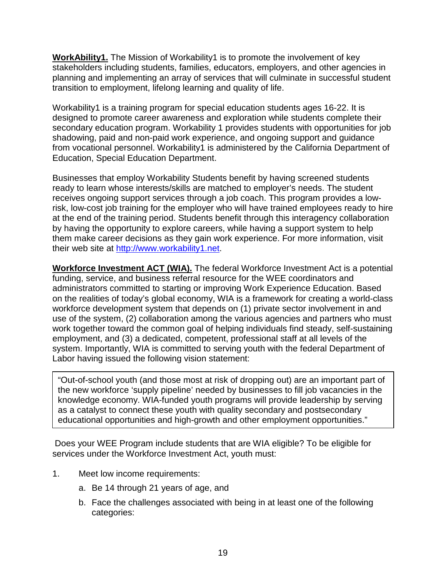<span id="page-18-0"></span>**WorkAbility1.** The Mission of Workability1 is to promote the involvement of key stakeholders including students, families, educators, employers, and other agencies in planning and implementing an array of services that will culminate in successful student transition to employment, lifelong learning and quality of life.

Workability1 is a training program for special education students ages 16-22. It is designed to promote career awareness and exploration while students complete their secondary education program. Workability 1 provides students with opportunities for job shadowing, paid and non-paid work experience, and ongoing support and guidance from vocational personnel. Workability1 is administered by the California Department of Education, Special Education Department.

Businesses that employ Workability Students benefit by having screened students ready to learn whose interests/skills are matched to employer's needs. The student receives ongoing support services through a job coach. This program provides a lowrisk, low-cost job training for the employer who will have trained employees ready to hire at the end of the training period. Students benefit through this interagency collaboration by having the opportunity to explore careers, while having a support system to help them make career decisions as they gain work experience. For more information, visit their web site at [http://www.workability1.net.](http://www.workability1.net/)

<span id="page-18-1"></span>**Workforce Investment ACT (WIA).** The federal Workforce Investment Act is a potential funding, service, and business referral resource for the WEE coordinators and administrators committed to starting or improving Work Experience Education. Based on the realities of today's global economy, WIA is a framework for creating a world-class workforce development system that depends on (1) private sector involvement in and use of the system, (2) collaboration among the various agencies and partners who must work together toward the common goal of helping individuals find steady, self-sustaining employment, and (3) a dedicated, competent, professional staff at all levels of the system. Importantly, WIA is committed to serving youth with the federal Department of Labor having issued the following vision statement:

"Out-of-school youth (and those most at risk of dropping out) are an important part of the new workforce 'supply pipeline' needed by businesses to fill job vacancies in the knowledge economy. WIA-funded youth programs will provide leadership by serving as a catalyst to connect these youth with quality secondary and postsecondary educational opportunities and high-growth and other employment opportunities."

Does your WEE Program include students that are WIA eligible? To be eligible for services under the Workforce Investment Act, youth must:

- 1. Meet low income requirements:
	- a. Be 14 through 21 years of age, and
	- b. Face the challenges associated with being in at least one of the following categories: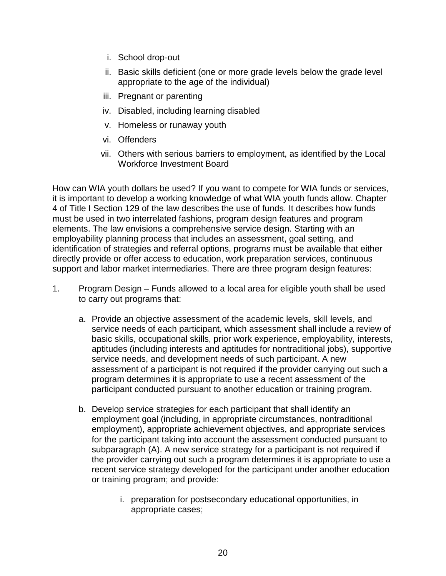- i. School drop-out
- ii. Basic skills deficient (one or more grade levels below the grade level appropriate to the age of the individual)
- iii. Pregnant or parenting
- iv. Disabled, including learning disabled
- v. Homeless or runaway youth
- vi. Offenders
- vii. Others with serious barriers to employment, as identified by the Local Workforce Investment Board

How can WIA youth dollars be used? If you want to compete for WIA funds or services, it is important to develop a working knowledge of what WIA youth funds allow. Chapter 4 of Title I Section 129 of the law describes the use of funds. It describes how funds must be used in two interrelated fashions, program design features and program elements. The law envisions a comprehensive service design. Starting with an employability planning process that includes an assessment, goal setting, and identification of strategies and referral options, programs must be available that either directly provide or offer access to education, work preparation services, continuous support and labor market intermediaries. There are three program design features:

- 1. Program Design Funds allowed to a local area for eligible youth shall be used to carry out programs that:
	- a. Provide an objective assessment of the academic levels, skill levels, and service needs of each participant, which assessment shall include a review of basic skills, occupational skills, prior work experience, employability, interests, aptitudes (including interests and aptitudes for nontraditional jobs), supportive service needs, and development needs of such participant. A new assessment of a participant is not required if the provider carrying out such a program determines it is appropriate to use a recent assessment of the participant conducted pursuant to another education or training program.
	- b. Develop service strategies for each participant that shall identify an employment goal (including, in appropriate circumstances, nontraditional employment), appropriate achievement objectives, and appropriate services for the participant taking into account the assessment conducted pursuant to subparagraph (A). A new service strategy for a participant is not required if the provider carrying out such a program determines it is appropriate to use a recent service strategy developed for the participant under another education or training program; and provide:
		- i. preparation for postsecondary educational opportunities, in appropriate cases;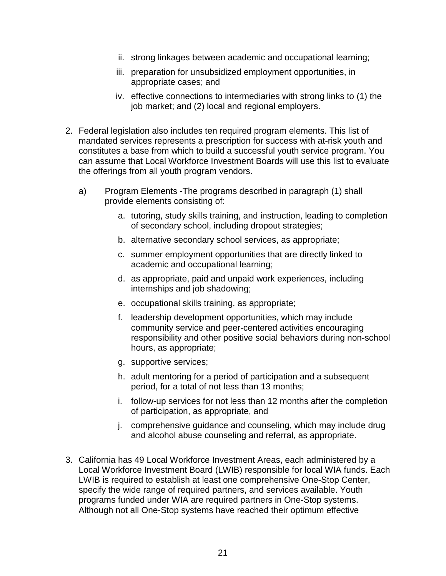- ii. strong linkages between academic and occupational learning;
- iii. preparation for unsubsidized employment opportunities, in appropriate cases; and
- iv. effective connections to intermediaries with strong links to (1) the job market; and (2) local and regional employers.
- 2. Federal legislation also includes ten required program elements. This list of mandated services represents a prescription for success with at-risk youth and constitutes a base from which to build a successful youth service program. You can assume that Local Workforce Investment Boards will use this list to evaluate the offerings from all youth program vendors.
	- a) Program Elements -The programs described in paragraph (1) shall provide elements consisting of:
		- a. tutoring, study skills training, and instruction, leading to completion of secondary school, including dropout strategies;
		- b. alternative secondary school services, as appropriate;
		- c. summer employment opportunities that are directly linked to academic and occupational learning;
		- d. as appropriate, paid and unpaid work experiences, including internships and job shadowing;
		- e. occupational skills training, as appropriate;
		- f. leadership development opportunities, which may include community service and peer-centered activities encouraging responsibility and other positive social behaviors during non-school hours, as appropriate;
		- g. supportive services;
		- h. adult mentoring for a period of participation and a subsequent period, for a total of not less than 13 months;
		- i. follow-up services for not less than 12 months after the completion of participation, as appropriate, and
		- j. comprehensive guidance and counseling, which may include drug and alcohol abuse counseling and referral, as appropriate.
- 3. California has 49 Local Workforce Investment Areas, each administered by a Local Workforce Investment Board (LWIB) responsible for local WIA funds. Each LWIB is required to establish at least one comprehensive One-Stop Center, specify the wide range of required partners, and services available. Youth programs funded under WIA are required partners in One-Stop systems. Although not all One-Stop systems have reached their optimum effective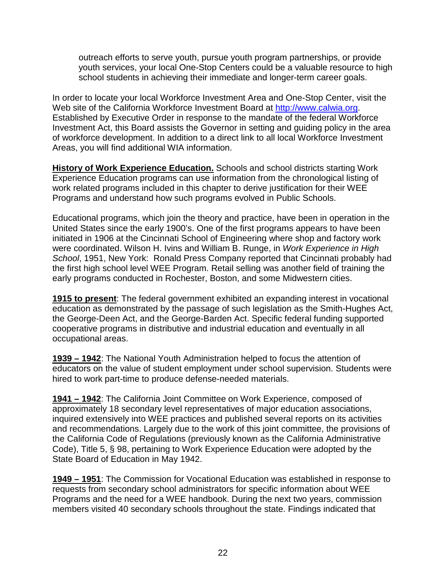outreach efforts to serve youth, pursue youth program partnerships, or provide youth services, your local One-Stop Centers could be a valuable resource to high school students in achieving their immediate and longer-term career goals.

In order to locate your local Workforce Investment Area and One-Stop Center, visit the Web site of the California Workforce Investment Board at [http://www.calwia.org.](http://www.calwia.org/) Established by Executive Order in response to the mandate of the federal Workforce Investment Act, this Board assists the Governor in setting and guiding policy in the area of workforce development. In addition to a direct link to all local Workforce Investment Areas, you will find additional WIA information.

<span id="page-21-0"></span>**History of Work Experience Education.** Schools and school districts starting Work Experience Education programs can use information from the chronological listing of work related programs included in this chapter to derive justification for their WEE Programs and understand how such programs evolved in Public Schools.

Educational programs, which join the theory and practice, have been in operation in the United States since the early 1900's. One of the first programs appears to have been initiated in 1906 at the Cincinnati School of Engineering where shop and factory work were coordinated. Wilson H. Ivins and William B. Runge, in *Work Experience in High School*, 1951, New York: Ronald Press Company reported that Cincinnati probably had the first high school level WEE Program. Retail selling was another field of training the early programs conducted in Rochester, Boston, and some Midwestern cities.

**1915 to present**: The federal government exhibited an expanding interest in vocational education as demonstrated by the passage of such legislation as the Smith-Hughes Act, the George-Deen Act, and the George-Barden Act. Specific federal funding supported cooperative programs in distributive and industrial education and eventually in all occupational areas.

**1939 – 1942**: The National Youth Administration helped to focus the attention of educators on the value of student employment under school supervision. Students were hired to work part-time to produce defense-needed materials.

**1941 – 1942**: The California Joint Committee on Work Experience, composed of approximately 18 secondary level representatives of major education associations, inquired extensively into WEE practices and published several reports on its activities and recommendations. Largely due to the work of this joint committee, the provisions of the California Code of Regulations (previously known as the California Administrative Code), Title 5, § 98, pertaining to Work Experience Education were adopted by the State Board of Education in May 1942.

**1949 – 1951**: The Commission for Vocational Education was established in response to requests from secondary school administrators for specific information about WEE Programs and the need for a WEE handbook. During the next two years, commission members visited 40 secondary schools throughout the state. Findings indicated that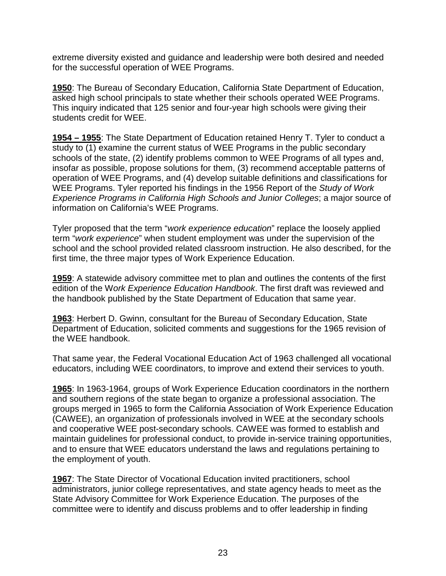extreme diversity existed and guidance and leadership were both desired and needed for the successful operation of WEE Programs.

**1950**: The Bureau of Secondary Education, California State Department of Education, asked high school principals to state whether their schools operated WEE Programs. This inquiry indicated that 125 senior and four-year high schools were giving their students credit for WEE.

**1954 – 1955**: The State Department of Education retained Henry T. Tyler to conduct a study to (1) examine the current status of WEE Programs in the public secondary schools of the state, (2) identify problems common to WEE Programs of all types and, insofar as possible, propose solutions for them, (3) recommend acceptable patterns of operation of WEE Programs, and (4) develop suitable definitions and classifications for WEE Programs. Tyler reported his findings in the 1956 Report of the *Study of Work Experience Programs in California High Schools and Junior Colleges*; a major source of information on California's WEE Programs.

Tyler proposed that the term "*work experience education*" replace the loosely applied term "*work experience*" when student employment was under the supervision of the school and the school provided related classroom instruction. He also described, for the first time, the three major types of Work Experience Education.

**1959**: A statewide advisory committee met to plan and outlines the contents of the first edition of the W*ork Experience Education Handbook*. The first draft was reviewed and the handbook published by the State Department of Education that same year.

**1963**: Herbert D. Gwinn, consultant for the Bureau of Secondary Education, State Department of Education, solicited comments and suggestions for the 1965 revision of the WEE handbook.

That same year, the Federal Vocational Education Act of 1963 challenged all vocational educators, including WEE coordinators, to improve and extend their services to youth.

**1965**: In 1963-1964, groups of Work Experience Education coordinators in the northern and southern regions of the state began to organize a professional association. The groups merged in 1965 to form the California Association of Work Experience Education (CAWEE), an organization of professionals involved in WEE at the secondary schools and cooperative WEE post-secondary schools. CAWEE was formed to establish and maintain guidelines for professional conduct, to provide in-service training opportunities, and to ensure that WEE educators understand the laws and regulations pertaining to the employment of youth.

**1967**: The State Director of Vocational Education invited practitioners, school administrators, junior college representatives, and state agency heads to meet as the State Advisory Committee for Work Experience Education. The purposes of the committee were to identify and discuss problems and to offer leadership in finding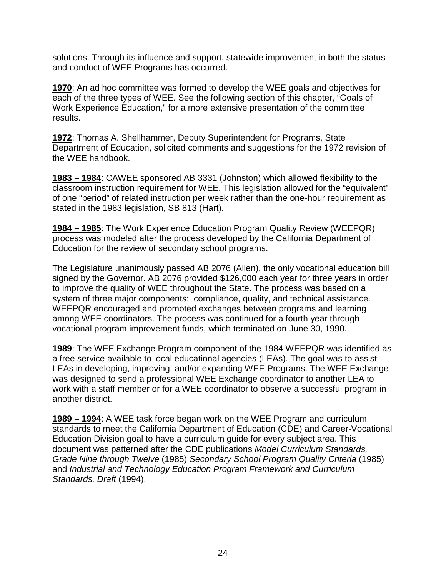solutions. Through its influence and support, statewide improvement in both the status and conduct of WEE Programs has occurred.

**1970**: An ad hoc committee was formed to develop the WEE goals and objectives for each of the three types of WEE. See the following section of this chapter, "Goals of Work Experience Education," for a more extensive presentation of the committee results.

**1972**: Thomas A. Shellhammer, Deputy Superintendent for Programs, State Department of Education, solicited comments and suggestions for the 1972 revision of the WEE handbook.

**1983 – 1984**: CAWEE sponsored AB 3331 (Johnston) which allowed flexibility to the classroom instruction requirement for WEE. This legislation allowed for the "equivalent" of one "period" of related instruction per week rather than the one-hour requirement as stated in the 1983 legislation, SB 813 (Hart).

**1984 – 1985**: The Work Experience Education Program Quality Review (WEEPQR) process was modeled after the process developed by the California Department of Education for the review of secondary school programs.

The Legislature unanimously passed AB 2076 (Allen), the only vocational education bill signed by the Governor. AB 2076 provided \$126,000 each year for three years in order to improve the quality of WEE throughout the State. The process was based on a system of three major components: compliance, quality, and technical assistance. WEEPQR encouraged and promoted exchanges between programs and learning among WEE coordinators. The process was continued for a fourth year through vocational program improvement funds, which terminated on June 30, 1990.

**1989**: The WEE Exchange Program component of the 1984 WEEPQR was identified as a free service available to local educational agencies (LEAs). The goal was to assist LEAs in developing, improving, and/or expanding WEE Programs. The WEE Exchange was designed to send a professional WEE Exchange coordinator to another LEA to work with a staff member or for a WEE coordinator to observe a successful program in another district.

**1989 – 1994**: A WEE task force began work on the WEE Program and curriculum standards to meet the California Department of Education (CDE) and Career-Vocational Education Division goal to have a curriculum guide for every subject area. This document was patterned after the CDE publications *Model Curriculum Standards, Grade Nine through Twelve* (1985) *Secondary School Program Quality Criteria* (1985) and *Industrial and Technology Education Program Framework and Curriculum Standards, Draft* (1994).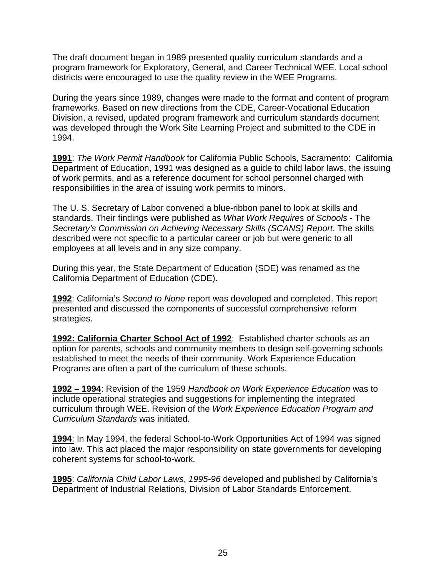The draft document began in 1989 presented quality curriculum standards and a program framework for Exploratory, General, and Career Technical WEE. Local school districts were encouraged to use the quality review in the WEE Programs.

During the years since 1989, changes were made to the format and content of program frameworks. Based on new directions from the CDE, Career-Vocational Education Division, a revised, updated program framework and curriculum standards document was developed through the Work Site Learning Project and submitted to the CDE in 1994.

**1991**: *The Work Permit Handbook* for California Public Schools, Sacramento: California Department of Education, 1991 was designed as a guide to child labor laws, the issuing of work permits, and as a reference document for school personnel charged with responsibilities in the area of issuing work permits to minors.

The U. S. Secretary of Labor convened a blue-ribbon panel to look at skills and standards. Their findings were published as *What Work Requires of Schools* - The *Secretary's Commission on Achieving Necessary Skills (SCANS) Report*. The skills described were not specific to a particular career or job but were generic to all employees at all levels and in any size company.

During this year, the State Department of Education (SDE) was renamed as the California Department of Education (CDE).

**1992**: California's *Second to None* report was developed and completed. This report presented and discussed the components of successful comprehensive reform strategies.

**1992: California Charter School Act of 1992**: Established charter schools as an option for parents, schools and community members to design self-governing schools established to meet the needs of their community. Work Experience Education Programs are often a part of the curriculum of these schools.

**1992 – 1994**: Revision of the 1959 *Handbook on Work Experience Education* was to include operational strategies and suggestions for implementing the integrated curriculum through WEE. Revision of the *Work Experience Education Program and Curriculum Standards* was initiated.

**1994**: In May 1994, the federal School-to-Work Opportunities Act of 1994 was signed into law. This act placed the major responsibility on state governments for developing coherent systems for school-to-work.

**1995**: *California Child Labor Laws*, *1995-96* developed and published by California's Department of Industrial Relations, Division of Labor Standards Enforcement.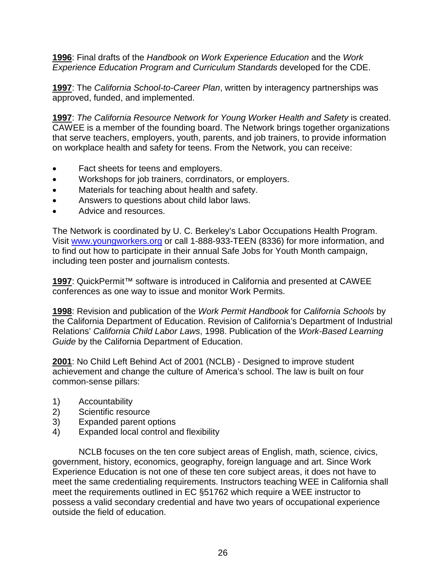**1996**: Final drafts of the *Handbook on Work Experience Education* and the *Work Experience Education Program and Curriculum Standards* developed for the CDE.

**1997**: The *California School-to-Career Plan*, written by interagency partnerships was approved, funded, and implemented.

**1997**: *The California Resource Network for Young Worker Health and Safety* is created. CAWEE is a member of the founding board. The Network brings together organizations that serve teachers, employers, youth, parents, and job trainers, to provide information on workplace health and safety for teens. From the Network, you can receive:

- Fact sheets for teens and employers.
- Workshops for job trainers, corrdinators, or employers.
- Materials for teaching about health and safety.
- Answers to questions about child labor laws.
- Advice and resources.

The Network is coordinated by U. C. Berkeley's Labor Occupations Health Program. Visit [www.youngworkers.org](http://www.youngworkers.org/) or call 1-888-933-TEEN (8336) for more information, and to find out how to participate in their annual Safe Jobs for Youth Month campaign, including teen poster and journalism contests.

**1997**: QuickPermit™ software is introduced in California and presented at CAWEE conferences as one way to issue and monitor Work Permits.

**1998**: Revision and publication of the *Work Permit Handbook* for *California Schools* by the California Department of Education. Revision of California's Department of Industrial Relations' *California Child Labor Laws*, 1998. Publication of the *Work-Based Learning Guide* by the California Department of Education.

**2001**: No Child Left Behind Act of 2001 (NCLB) - Designed to improve student achievement and change the culture of America's school. The law is built on four common-sense pillars:

- 1) Accountability
- 2) Scientific resource
- 3) Expanded parent options
- 4) Expanded local control and flexibility

NCLB focuses on the ten core subject areas of English, math, science, civics, government, history, economics, geography, foreign language and art. Since Work Experience Education is not one of these ten core subject areas, it does not have to meet the same credentialing requirements. Instructors teaching WEE in California shall meet the requirements outlined in EC §51762 which require a WEE instructor to possess a valid secondary credential and have two years of occupational experience outside the field of education.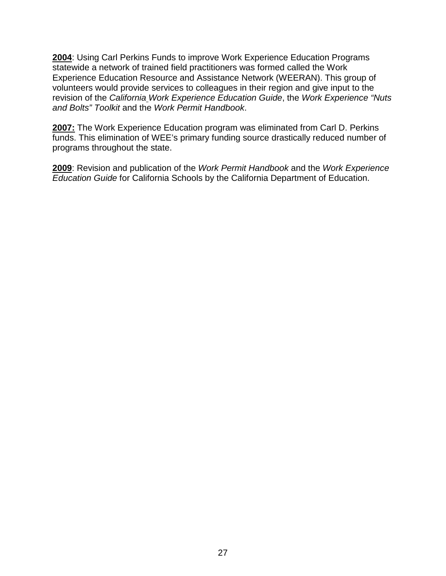**2004**: Using Carl Perkins Funds to improve Work Experience Education Programs statewide a network of trained field practitioners was formed called the Work Experience Education Resource and Assistance Network (WEERAN). This group of volunteers would provide services to colleagues in their region and give input to the revision of the *California Work Experience Education Guide*, the *Work Experience "Nuts and Bolts" Toolkit* and the *Work Permit Handbook*.

**2007:** The Work Experience Education program was eliminated from Carl D. Perkins funds. This elimination of WEE's primary funding source drastically reduced number of programs throughout the state.

**2009**: Revision and publication of the *Work Permit Handbook* and the *Work Experience Education Guide* for California Schools by the California Department of Education.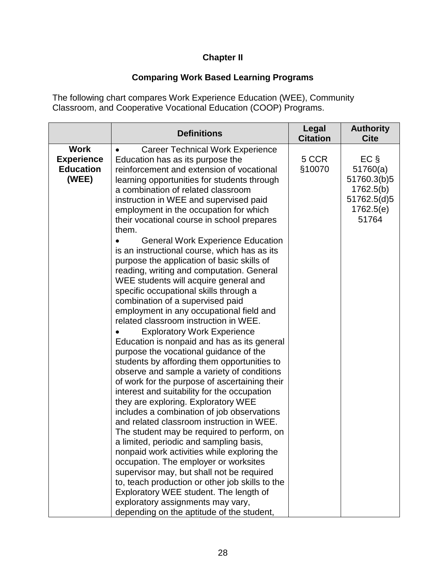### **Chapter II**

## <span id="page-27-2"></span>**Comparing Work Based Learning Programs**

<span id="page-27-1"></span><span id="page-27-0"></span>The following chart compares Work Experience Education (WEE), Community Classroom, and Cooperative Vocational Education (COOP) Programs.

|                                                               | <b>Definitions</b>                                                                                                                                                                                                                                                                                                                                                                                                                                                                                                                                                                                                                                                                                                                                                                                                                                                                                                                                                                                                                                                                                                                                                                                                                                                                                                                                                                                                                                                                                                                                                                                                                     | Legal<br><b>Citation</b> | <b>Authority</b><br><b>Cite</b>                                                      |
|---------------------------------------------------------------|----------------------------------------------------------------------------------------------------------------------------------------------------------------------------------------------------------------------------------------------------------------------------------------------------------------------------------------------------------------------------------------------------------------------------------------------------------------------------------------------------------------------------------------------------------------------------------------------------------------------------------------------------------------------------------------------------------------------------------------------------------------------------------------------------------------------------------------------------------------------------------------------------------------------------------------------------------------------------------------------------------------------------------------------------------------------------------------------------------------------------------------------------------------------------------------------------------------------------------------------------------------------------------------------------------------------------------------------------------------------------------------------------------------------------------------------------------------------------------------------------------------------------------------------------------------------------------------------------------------------------------------|--------------------------|--------------------------------------------------------------------------------------|
| <b>Work</b><br><b>Experience</b><br><b>Education</b><br>(WEE) | <b>Career Technical Work Experience</b><br>Education has as its purpose the<br>reinforcement and extension of vocational<br>learning opportunities for students through<br>a combination of related classroom<br>instruction in WEE and supervised paid<br>employment in the occupation for which<br>their vocational course in school prepares<br>them.<br><b>General Work Experience Education</b><br>is an instructional course, which has as its<br>purpose the application of basic skills of<br>reading, writing and computation. General<br>WEE students will acquire general and<br>specific occupational skills through a<br>combination of a supervised paid<br>employment in any occupational field and<br>related classroom instruction in WEE.<br><b>Exploratory Work Experience</b><br>Education is nonpaid and has as its general<br>purpose the vocational guidance of the<br>students by affording them opportunities to<br>observe and sample a variety of conditions<br>of work for the purpose of ascertaining their<br>interest and suitability for the occupation<br>they are exploring. Exploratory WEE<br>includes a combination of job observations<br>and related classroom instruction in WEE.<br>The student may be required to perform, on<br>a limited, periodic and sampling basis,<br>nonpaid work activities while exploring the<br>occupation. The employer or worksites<br>supervisor may, but shall not be required<br>to, teach production or other job skills to the<br>Exploratory WEE student. The length of<br>exploratory assignments may vary,<br>depending on the aptitude of the student, | 5 CCR<br>§10070          | $EC \S$<br>51760(a)<br>51760.3(b)5<br>1762.5(b)<br>51762.5(d)5<br>1762.5(e)<br>51764 |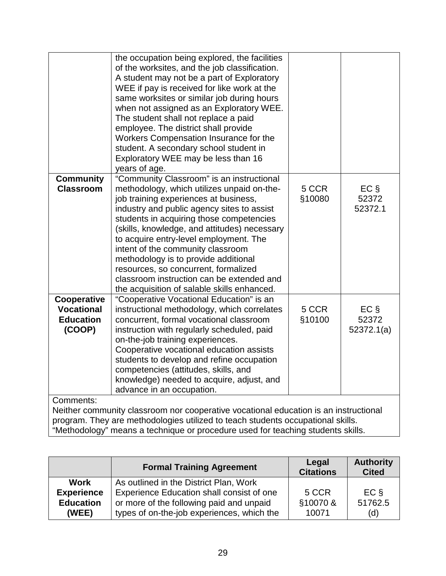|                                                                                      | the occupation being explored, the facilities |        |            |
|--------------------------------------------------------------------------------------|-----------------------------------------------|--------|------------|
|                                                                                      | of the worksites, and the job classification. |        |            |
|                                                                                      | A student may not be a part of Exploratory    |        |            |
|                                                                                      | WEE if pay is received for like work at the   |        |            |
|                                                                                      | same worksites or similar job during hours    |        |            |
|                                                                                      | when not assigned as an Exploratory WEE.      |        |            |
|                                                                                      | The student shall not replace a paid          |        |            |
|                                                                                      | employee. The district shall provide          |        |            |
|                                                                                      | Workers Compensation Insurance for the        |        |            |
|                                                                                      | student. A secondary school student in        |        |            |
|                                                                                      | Exploratory WEE may be less than 16           |        |            |
|                                                                                      | years of age.                                 |        |            |
| <b>Community</b>                                                                     | "Community Classroom" is an instructional     |        |            |
| <b>Classroom</b>                                                                     | methodology, which utilizes unpaid on-the-    | 5 CCR  | $EC \S$    |
|                                                                                      | job training experiences at business,         | §10080 | 52372      |
|                                                                                      | industry and public agency sites to assist    |        | 52372.1    |
|                                                                                      | students in acquiring those competencies      |        |            |
|                                                                                      | (skills, knowledge, and attitudes) necessary  |        |            |
|                                                                                      | to acquire entry-level employment. The        |        |            |
|                                                                                      | intent of the community classroom             |        |            |
|                                                                                      | methodology is to provide additional          |        |            |
|                                                                                      | resources, so concurrent, formalized          |        |            |
|                                                                                      | classroom instruction can be extended and     |        |            |
|                                                                                      | the acquisition of salable skills enhanced.   |        |            |
| Cooperative                                                                          | "Cooperative Vocational Education" is an      |        |            |
| <b>Vocational</b>                                                                    | instructional methodology, which correlates   | 5 CCR  | $EC \S$    |
| <b>Education</b>                                                                     | concurrent, formal vocational classroom       | §10100 | 52372      |
| (COOP)                                                                               | instruction with regularly scheduled, paid    |        | 52372.1(a) |
|                                                                                      | on-the-job training experiences.              |        |            |
|                                                                                      | Cooperative vocational education assists      |        |            |
|                                                                                      | students to develop and refine occupation     |        |            |
|                                                                                      | competencies (attitudes, skills, and          |        |            |
|                                                                                      | knowledge) needed to acquire, adjust, and     |        |            |
|                                                                                      | advance in an occupation.                     |        |            |
| Comments:                                                                            |                                               |        |            |
| Neither community classroom nor cooperative vocational education is an instructional |                                               |        |            |
| program. They are methodologies utilized to teach students occupational skills.      |                                               |        |            |
| "Methodology" means a technique or procedure used for teaching students skills.      |                                               |        |            |

<span id="page-28-0"></span>

|                                                               | <b>Formal Training Agreement</b>                                                                                                                                              | Legal<br><b>Citations</b>  | <b>Authority</b><br><b>Cited</b> |
|---------------------------------------------------------------|-------------------------------------------------------------------------------------------------------------------------------------------------------------------------------|----------------------------|----------------------------------|
| <b>Work</b><br><b>Experience</b><br><b>Education</b><br>(WEE) | As outlined in the District Plan, Work<br>Experience Education shall consist of one<br>or more of the following paid and unpaid<br>types of on-the-job experiences, which the | 5 CCR<br>§10070 &<br>10071 | $EC$ §<br>51762.5<br>(d)         |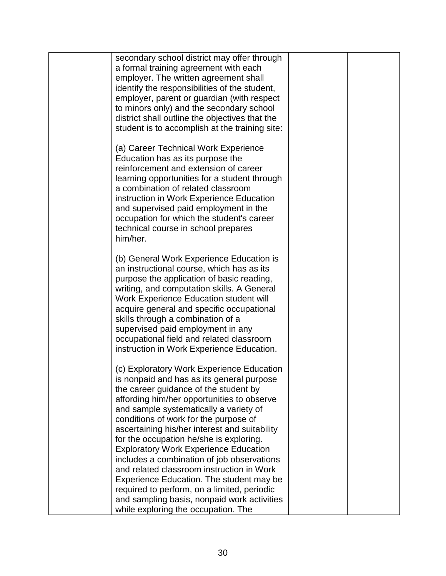| secondary school district may offer through<br>a formal training agreement with each<br>employer. The written agreement shall<br>identify the responsibilities of the student,<br>employer, parent or guardian (with respect<br>to minors only) and the secondary school<br>district shall outline the objectives that the                                                                                                                                                                                                                                                                                                                        |  |
|---------------------------------------------------------------------------------------------------------------------------------------------------------------------------------------------------------------------------------------------------------------------------------------------------------------------------------------------------------------------------------------------------------------------------------------------------------------------------------------------------------------------------------------------------------------------------------------------------------------------------------------------------|--|
| student is to accomplish at the training site:<br>(a) Career Technical Work Experience<br>Education has as its purpose the<br>reinforcement and extension of career<br>learning opportunities for a student through<br>a combination of related classroom<br>instruction in Work Experience Education<br>and supervised paid employment in the<br>occupation for which the student's career<br>technical course in school prepares<br>him/her.                                                                                                                                                                                                    |  |
| (b) General Work Experience Education is<br>an instructional course, which has as its<br>purpose the application of basic reading,<br>writing, and computation skills. A General<br>Work Experience Education student will<br>acquire general and specific occupational<br>skills through a combination of a<br>supervised paid employment in any<br>occupational field and related classroom<br>instruction in Work Experience Education.                                                                                                                                                                                                        |  |
| (c) Exploratory Work Experience Education<br>is nonpaid and has as its general purpose<br>the career guidance of the student by<br>affording him/her opportunities to observe<br>and sample systematically a variety of<br>conditions of work for the purpose of<br>ascertaining his/her interest and suitability<br>for the occupation he/she is exploring.<br><b>Exploratory Work Experience Education</b><br>includes a combination of job observations<br>and related classroom instruction in Work<br>Experience Education. The student may be<br>required to perform, on a limited, periodic<br>and sampling basis, nonpaid work activities |  |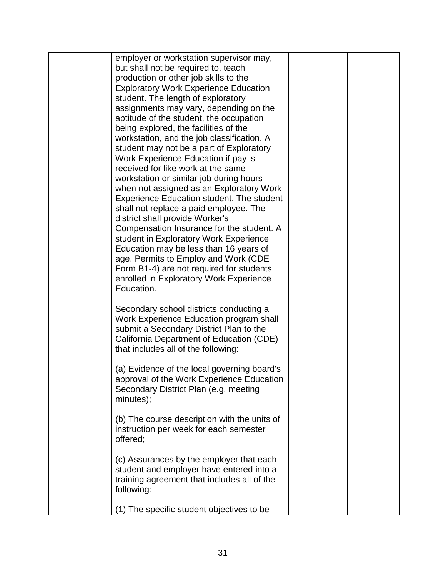| employer or workstation supervisor may,                                            |  |
|------------------------------------------------------------------------------------|--|
| but shall not be required to, teach                                                |  |
| production or other job skills to the                                              |  |
| <b>Exploratory Work Experience Education</b>                                       |  |
| student. The length of exploratory                                                 |  |
| assignments may vary, depending on the                                             |  |
| aptitude of the student, the occupation                                            |  |
| being explored, the facilities of the                                              |  |
| workstation, and the job classification. A                                         |  |
| student may not be a part of Exploratory                                           |  |
| Work Experience Education if pay is                                                |  |
| received for like work at the same                                                 |  |
| workstation or similar job during hours                                            |  |
| when not assigned as an Exploratory Work                                           |  |
| <b>Experience Education student. The student</b>                                   |  |
| shall not replace a paid employee. The                                             |  |
| district shall provide Worker's                                                    |  |
| Compensation Insurance for the student. A                                          |  |
| student in Exploratory Work Experience                                             |  |
| Education may be less than 16 years of                                             |  |
| age. Permits to Employ and Work (CDE                                               |  |
| Form B1-4) are not required for students                                           |  |
| enrolled in Exploratory Work Experience                                            |  |
| Education.                                                                         |  |
|                                                                                    |  |
| Secondary school districts conducting a<br>Work Experience Education program shall |  |
| submit a Secondary District Plan to the                                            |  |
| California Department of Education (CDE)                                           |  |
| that includes all of the following:                                                |  |
|                                                                                    |  |
| (a) Evidence of the local governing board's                                        |  |
| approval of the Work Experience Education                                          |  |
| Secondary District Plan (e.g. meeting                                              |  |
| minutes);                                                                          |  |
|                                                                                    |  |
| (b) The course description with the units of                                       |  |
| instruction per week for each semester                                             |  |
| offered;                                                                           |  |
| (c) Assurances by the employer that each                                           |  |
| student and employer have entered into a                                           |  |
| training agreement that includes all of the                                        |  |
| following:                                                                         |  |
|                                                                                    |  |
| (1) The specific student objectives to be                                          |  |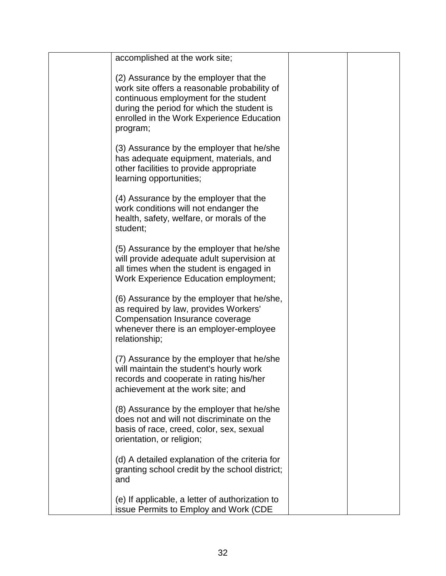| accomplished at the work site;                                                                                                                                                                                                         |  |
|----------------------------------------------------------------------------------------------------------------------------------------------------------------------------------------------------------------------------------------|--|
| (2) Assurance by the employer that the<br>work site offers a reasonable probability of<br>continuous employment for the student<br>during the period for which the student is<br>enrolled in the Work Experience Education<br>program; |  |
| (3) Assurance by the employer that he/she<br>has adequate equipment, materials, and<br>other facilities to provide appropriate<br>learning opportunities;                                                                              |  |
| (4) Assurance by the employer that the<br>work conditions will not endanger the<br>health, safety, welfare, or morals of the<br>student;                                                                                               |  |
| (5) Assurance by the employer that he/she<br>will provide adequate adult supervision at<br>all times when the student is engaged in<br><b>Work Experience Education employment;</b>                                                    |  |
| (6) Assurance by the employer that he/she,<br>as required by law, provides Workers'<br>Compensation Insurance coverage<br>whenever there is an employer-employee<br>relationship;                                                      |  |
| (7) Assurance by the employer that he/she<br>will maintain the student's hourly work<br>records and cooperate in rating his/her<br>achievement at the work site; and                                                                   |  |
| (8) Assurance by the employer that he/she<br>does not and will not discriminate on the<br>basis of race, creed, color, sex, sexual<br>orientation, or religion;                                                                        |  |
| (d) A detailed explanation of the criteria for<br>granting school credit by the school district;<br>and                                                                                                                                |  |
| (e) If applicable, a letter of authorization to<br>issue Permits to Employ and Work (CDE                                                                                                                                               |  |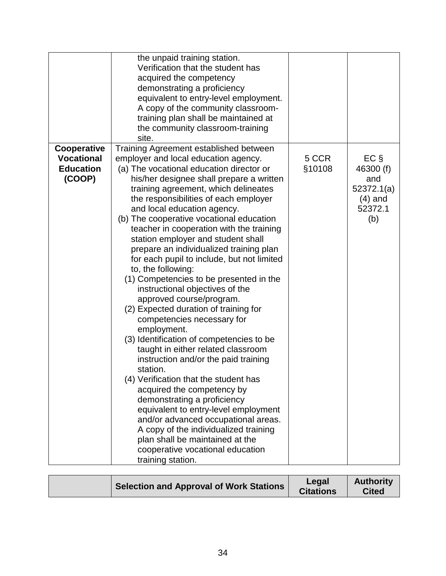|                                                                | the unpaid training station.<br>Verification that the student has<br>acquired the competency<br>demonstrating a proficiency<br>equivalent to entry-level employment.<br>A copy of the community classroom-<br>training plan shall be maintained at<br>the community classroom-training<br>site.                                                                                                                                                                                                                                                                                                                                                                                                                                                                                                                                                                                                                                                                                                                                                                                                                                                                                                     |                 |                                                                          |
|----------------------------------------------------------------|-----------------------------------------------------------------------------------------------------------------------------------------------------------------------------------------------------------------------------------------------------------------------------------------------------------------------------------------------------------------------------------------------------------------------------------------------------------------------------------------------------------------------------------------------------------------------------------------------------------------------------------------------------------------------------------------------------------------------------------------------------------------------------------------------------------------------------------------------------------------------------------------------------------------------------------------------------------------------------------------------------------------------------------------------------------------------------------------------------------------------------------------------------------------------------------------------------|-----------------|--------------------------------------------------------------------------|
| Cooperative<br><b>Vocational</b><br><b>Education</b><br>(COOP) | Training Agreement established between<br>employer and local education agency.<br>(a) The vocational education director or<br>his/her designee shall prepare a written<br>training agreement, which delineates<br>the responsibilities of each employer<br>and local education agency.<br>(b) The cooperative vocational education<br>teacher in cooperation with the training<br>station employer and student shall<br>prepare an individualized training plan<br>for each pupil to include, but not limited<br>to, the following:<br>(1) Competencies to be presented in the<br>instructional objectives of the<br>approved course/program.<br>(2) Expected duration of training for<br>competencies necessary for<br>employment.<br>(3) Identification of competencies to be<br>taught in either related classroom<br>instruction and/or the paid training<br>station.<br>(4) Verification that the student has<br>acquired the competency by<br>demonstrating a proficiency<br>equivalent to entry-level employment<br>and/or advanced occupational areas.<br>A copy of the individualized training<br>plan shall be maintained at the<br>cooperative vocational education<br>training station. | 5 CCR<br>§10108 | $EC \S$<br>46300 (f)<br>and<br>52372.1(a)<br>$(4)$ and<br>52372.1<br>(b) |

<span id="page-33-0"></span>

| Selection and Approval of Work Stations | Legal<br><b>Citations</b> | <b>Authority</b><br><b>Cited</b> |
|-----------------------------------------|---------------------------|----------------------------------|
|-----------------------------------------|---------------------------|----------------------------------|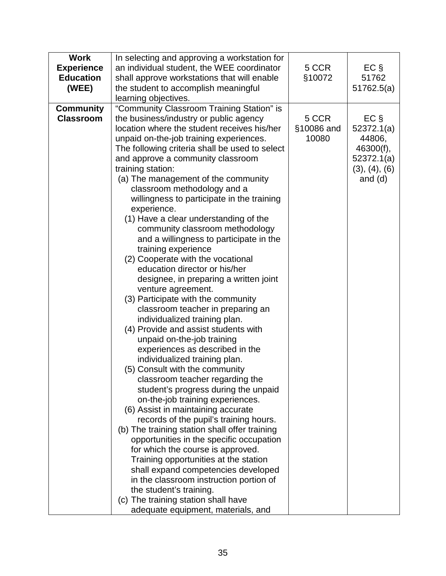| <b>Work</b>       | In selecting and approving a workstation for                      |            |               |
|-------------------|-------------------------------------------------------------------|------------|---------------|
| <b>Experience</b> | an individual student, the WEE coordinator                        | 5 CCR      | $EC \S$       |
| <b>Education</b>  | shall approve workstations that will enable                       | §10072     | 51762         |
| (WEE)             | the student to accomplish meaningful                              |            | 51762.5(a)    |
|                   | learning objectives.                                              |            |               |
| <b>Community</b>  | "Community Classroom Training Station" is                         |            |               |
| <b>Classroom</b>  | the business/industry or public agency                            | 5 CCR      | $EC \S$       |
|                   | location where the student receives his/her                       | §10086 and | 52372.1(a)    |
|                   | unpaid on-the-job training experiences.                           | 10080      | 44806,        |
|                   | The following criteria shall be used to select                    |            | 46300(f),     |
|                   | and approve a community classroom                                 |            | 52372.1(a)    |
|                   | training station:                                                 |            | (3), (4), (6) |
|                   | (a) The management of the community                               |            | and $(d)$     |
|                   | classroom methodology and a                                       |            |               |
|                   | willingness to participate in the training                        |            |               |
|                   | experience.                                                       |            |               |
|                   | (1) Have a clear understanding of the                             |            |               |
|                   | community classroom methodology                                   |            |               |
|                   | and a willingness to participate in the                           |            |               |
|                   | training experience                                               |            |               |
|                   | (2) Cooperate with the vocational                                 |            |               |
|                   | education director or his/her                                     |            |               |
|                   | designee, in preparing a written joint                            |            |               |
|                   | venture agreement.                                                |            |               |
|                   | (3) Participate with the community                                |            |               |
|                   | classroom teacher in preparing an                                 |            |               |
|                   | individualized training plan.                                     |            |               |
|                   | (4) Provide and assist students with                              |            |               |
|                   | unpaid on-the-job training                                        |            |               |
|                   | experiences as described in the                                   |            |               |
|                   | individualized training plan.                                     |            |               |
|                   | (5) Consult with the community<br>classroom teacher regarding the |            |               |
|                   | student's progress during the unpaid                              |            |               |
|                   | on-the-job training experiences.                                  |            |               |
|                   | (6) Assist in maintaining accurate                                |            |               |
|                   | records of the pupil's training hours.                            |            |               |
|                   | (b) The training station shall offer training                     |            |               |
|                   | opportunities in the specific occupation                          |            |               |
|                   | for which the course is approved.                                 |            |               |
|                   | Training opportunities at the station                             |            |               |
|                   | shall expand competencies developed                               |            |               |
|                   | in the classroom instruction portion of                           |            |               |
|                   | the student's training.                                           |            |               |
|                   | (c) The training station shall have                               |            |               |
|                   | adequate equipment, materials, and                                |            |               |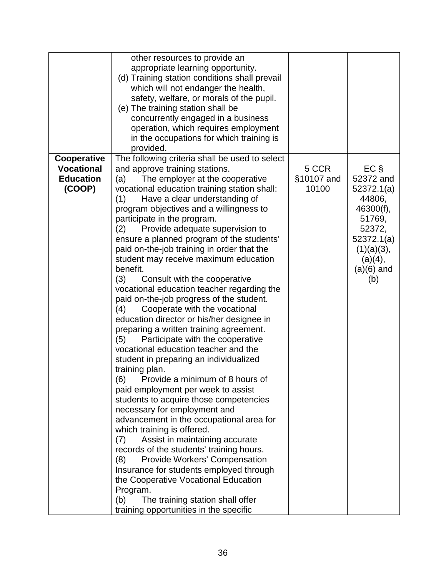|                   | other resources to provide an<br>appropriate learning opportunity.<br>(d) Training station conditions shall prevail<br>which will not endanger the health,<br>safety, welfare, or morals of the pupil.<br>(e) The training station shall be<br>concurrently engaged in a business<br>operation, which requires employment<br>in the occupations for which training is                                                                                                                                                                                                                                                                                                                                                                                                                                                                                                                                                                                                                                                                                                                                                                                                                                                                                                         |            |                                                                                                       |
|-------------------|-------------------------------------------------------------------------------------------------------------------------------------------------------------------------------------------------------------------------------------------------------------------------------------------------------------------------------------------------------------------------------------------------------------------------------------------------------------------------------------------------------------------------------------------------------------------------------------------------------------------------------------------------------------------------------------------------------------------------------------------------------------------------------------------------------------------------------------------------------------------------------------------------------------------------------------------------------------------------------------------------------------------------------------------------------------------------------------------------------------------------------------------------------------------------------------------------------------------------------------------------------------------------------|------------|-------------------------------------------------------------------------------------------------------|
|                   | provided.                                                                                                                                                                                                                                                                                                                                                                                                                                                                                                                                                                                                                                                                                                                                                                                                                                                                                                                                                                                                                                                                                                                                                                                                                                                                     |            |                                                                                                       |
| Cooperative       | The following criteria shall be used to select                                                                                                                                                                                                                                                                                                                                                                                                                                                                                                                                                                                                                                                                                                                                                                                                                                                                                                                                                                                                                                                                                                                                                                                                                                |            |                                                                                                       |
| <b>Vocational</b> | and approve training stations.                                                                                                                                                                                                                                                                                                                                                                                                                                                                                                                                                                                                                                                                                                                                                                                                                                                                                                                                                                                                                                                                                                                                                                                                                                                | 5 CCR      | $EC$ §                                                                                                |
| <b>Education</b>  | The employer at the cooperative<br>(a)                                                                                                                                                                                                                                                                                                                                                                                                                                                                                                                                                                                                                                                                                                                                                                                                                                                                                                                                                                                                                                                                                                                                                                                                                                        | §10107 and | 52372 and                                                                                             |
| (COOP)            | vocational education training station shall:                                                                                                                                                                                                                                                                                                                                                                                                                                                                                                                                                                                                                                                                                                                                                                                                                                                                                                                                                                                                                                                                                                                                                                                                                                  | 10100      | 52372.1(a)                                                                                            |
|                   | (1)<br>Have a clear understanding of<br>program objectives and a willingness to<br>participate in the program.<br>Provide adequate supervision to<br>(2)<br>ensure a planned program of the students'<br>paid on-the-job training in order that the<br>student may receive maximum education<br>benefit.<br>(3)<br>Consult with the cooperative<br>vocational education teacher regarding the<br>paid on-the-job progress of the student.<br>Cooperate with the vocational<br>(4)<br>education director or his/her designee in<br>preparing a written training agreement.<br>Participate with the cooperative<br>(5)<br>vocational education teacher and the<br>student in preparing an individualized<br>training plan.<br>Provide a minimum of 8 hours of<br>(6)<br>paid employment per week to assist<br>students to acquire those competencies<br>necessary for employment and<br>advancement in the occupational area for<br>which training is offered.<br>Assist in maintaining accurate<br>(7)<br>records of the students' training hours.<br>Provide Workers' Compensation<br>(8)<br>Insurance for students employed through<br>the Cooperative Vocational Education<br>Program.<br>(b)<br>The training station shall offer<br>training opportunities in the specific |            | 44806,<br>46300(f),<br>51769,<br>52372,<br>52372.1(a)<br>(1)(a)(3),<br>(a)(4),<br>$(a)(6)$ and<br>(b) |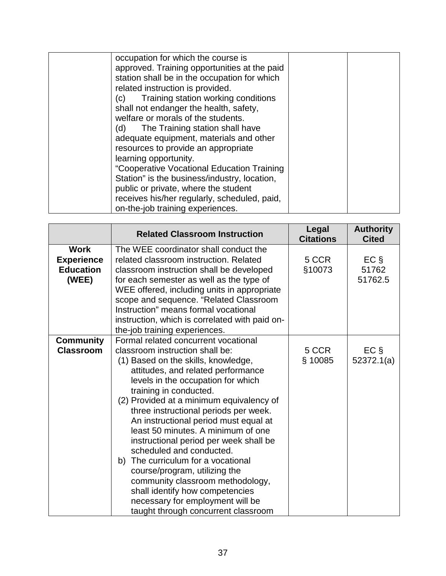| occupation for which the course is                    |  |
|-------------------------------------------------------|--|
| approved. Training opportunities at the paid          |  |
| station shall be in the occupation for which          |  |
| related instruction is provided.                      |  |
| Training station working conditions<br>$\mathsf{(c)}$ |  |
| shall not endanger the health, safety,                |  |
| welfare or morals of the students.                    |  |
| The Training station shall have<br>(d)                |  |
| adequate equipment, materials and other               |  |
| resources to provide an appropriate                   |  |
| learning opportunity.                                 |  |
| "Cooperative Vocational Education Training            |  |
| Station" is the business/industry, location,          |  |
| public or private, where the student                  |  |
| receives his/her regularly, scheduled, paid,          |  |
| on-the-job training experiences.                      |  |
|                                                       |  |

|                                                               | <b>Related Classroom Instruction</b>                                                                                                                                                                                                                                                                                                                                                                                                                                                                                                                                                                                                                                                    | Legal<br><b>Citations</b> | <b>Authority</b><br><b>Cited</b> |
|---------------------------------------------------------------|-----------------------------------------------------------------------------------------------------------------------------------------------------------------------------------------------------------------------------------------------------------------------------------------------------------------------------------------------------------------------------------------------------------------------------------------------------------------------------------------------------------------------------------------------------------------------------------------------------------------------------------------------------------------------------------------|---------------------------|----------------------------------|
| <b>Work</b><br><b>Experience</b><br><b>Education</b><br>(WEE) | The WEE coordinator shall conduct the<br>related classroom instruction. Related<br>classroom instruction shall be developed<br>for each semester as well as the type of<br>WEE offered, including units in appropriate<br>scope and sequence. "Related Classroom<br>Instruction" means formal vocational<br>instruction, which is correlated with paid on-<br>the-job training experiences.                                                                                                                                                                                                                                                                                             | 5 CCR<br>§10073           | $EC \S$<br>51762<br>51762.5      |
| <b>Community</b><br><b>Classroom</b>                          | Formal related concurrent vocational<br>classroom instruction shall be:<br>(1) Based on the skills, knowledge,<br>attitudes, and related performance<br>levels in the occupation for which<br>training in conducted.<br>(2) Provided at a minimum equivalency of<br>three instructional periods per week.<br>An instructional period must equal at<br>least 50 minutes. A minimum of one<br>instructional period per week shall be<br>scheduled and conducted.<br>b) The curriculum for a vocational<br>course/program, utilizing the<br>community classroom methodology,<br>shall identify how competencies<br>necessary for employment will be<br>taught through concurrent classroom | 5 CCR<br>§ 10085          | $EC \S$<br>52372.1(a)            |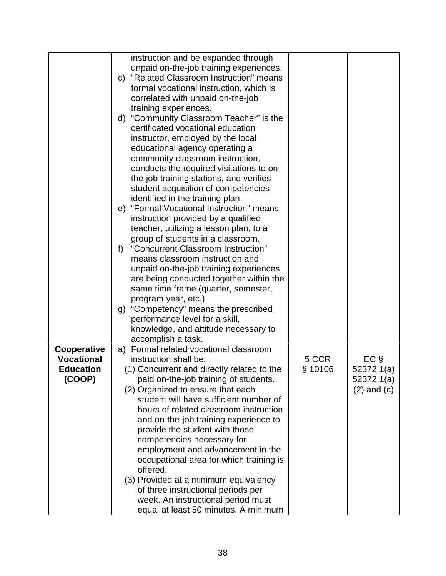|                   | instruction and be expanded through                 |         |                 |
|-------------------|-----------------------------------------------------|---------|-----------------|
|                   | unpaid on-the-job training experiences.             |         |                 |
|                   | "Related Classroom Instruction" means<br>C)         |         |                 |
|                   | formal vocational instruction, which is             |         |                 |
|                   | correlated with unpaid on-the-job                   |         |                 |
|                   |                                                     |         |                 |
|                   | training experiences.                               |         |                 |
|                   | d) "Community Classroom Teacher" is the             |         |                 |
|                   | certificated vocational education                   |         |                 |
|                   | instructor, employed by the local                   |         |                 |
|                   | educational agency operating a                      |         |                 |
|                   | community classroom instruction,                    |         |                 |
|                   | conducts the required visitations to on-            |         |                 |
|                   | the-job training stations, and verifies             |         |                 |
|                   | student acquisition of competencies                 |         |                 |
|                   | identified in the training plan.                    |         |                 |
|                   | "Formal Vocational Instruction" means<br>e)         |         |                 |
|                   | instruction provided by a qualified                 |         |                 |
|                   | teacher, utilizing a lesson plan, to a              |         |                 |
|                   | group of students in a classroom.                   |         |                 |
|                   | "Concurrent Classroom Instruction"<br>$f$ )         |         |                 |
|                   | means classroom instruction and                     |         |                 |
|                   |                                                     |         |                 |
|                   | unpaid on-the-job training experiences              |         |                 |
|                   | are being conducted together within the             |         |                 |
|                   | same time frame (quarter, semester,                 |         |                 |
|                   | program year, etc.)                                 |         |                 |
|                   | g) "Competency" means the prescribed                |         |                 |
|                   | performance level for a skill,                      |         |                 |
|                   | knowledge, and attitude necessary to                |         |                 |
|                   | accomplish a task.                                  |         |                 |
| Cooperative       | Formal related vocational classroom<br>a)           |         |                 |
| <b>Vocational</b> | instruction shall be:                               | 5 CCR   | $EC \S$         |
| <b>Education</b>  | (1) Concurrent and directly related to the          | § 10106 | 52372.1(a)      |
| (COOP)            | paid on-the-job training of students.               |         | 52372.1(a)      |
|                   | (2) Organized to ensure that each                   |         | $(2)$ and $(c)$ |
|                   | student will have sufficient number of              |         |                 |
|                   | hours of related classroom instruction              |         |                 |
|                   | and on-the-job training experience to               |         |                 |
|                   | provide the student with those                      |         |                 |
|                   | competencies necessary for                          |         |                 |
|                   | employment and advancement in the                   |         |                 |
|                   |                                                     |         |                 |
|                   | occupational area for which training is<br>offered. |         |                 |
|                   |                                                     |         |                 |
|                   | (3) Provided at a minimum equivalency               |         |                 |
|                   | of three instructional periods per                  |         |                 |
|                   | week. An instructional period must                  |         |                 |
|                   | equal at least 50 minutes. A minimum                |         |                 |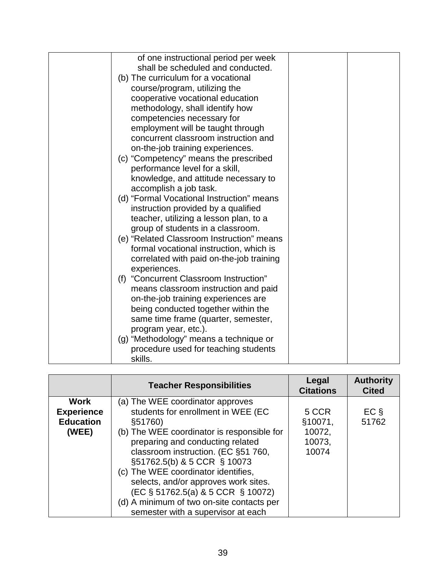| of one instructional period per week      |  |
|-------------------------------------------|--|
| shall be scheduled and conducted.         |  |
| (b) The curriculum for a vocational       |  |
| course/program, utilizing the             |  |
| cooperative vocational education          |  |
| methodology, shall identify how           |  |
| competencies necessary for                |  |
| employment will be taught through         |  |
| concurrent classroom instruction and      |  |
| on-the-job training experiences.          |  |
| (c) "Competency" means the prescribed     |  |
| performance level for a skill,            |  |
| knowledge, and attitude necessary to      |  |
| accomplish a job task.                    |  |
| (d) "Formal Vocational Instruction" means |  |
| instruction provided by a qualified       |  |
| teacher, utilizing a lesson plan, to a    |  |
| group of students in a classroom.         |  |
| (e) "Related Classroom Instruction" means |  |
| formal vocational instruction, which is   |  |
| correlated with paid on-the-job training  |  |
| experiences.                              |  |
| (f) "Concurrent Classroom Instruction"    |  |
| means classroom instruction and paid      |  |
| on-the-job training experiences are       |  |
| being conducted together within the       |  |
| same time frame (quarter, semester,       |  |
| program year, etc.).                      |  |
| (g) "Methodology" means a technique or    |  |
| procedure used for teaching students      |  |
| skills.                                   |  |

|                                                               | <b>Teacher Responsibilities</b>                                                                                                                                                                                                                                                                                                                                                                                                                  | Legal<br><b>Citations</b>                     | <b>Authority</b><br><b>Cited</b> |
|---------------------------------------------------------------|--------------------------------------------------------------------------------------------------------------------------------------------------------------------------------------------------------------------------------------------------------------------------------------------------------------------------------------------------------------------------------------------------------------------------------------------------|-----------------------------------------------|----------------------------------|
| <b>Work</b><br><b>Experience</b><br><b>Education</b><br>(WEE) | (a) The WEE coordinator approves<br>students for enrollment in WEE (EC<br>§51760)<br>(b) The WEE coordinator is responsible for<br>preparing and conducting related<br>classroom instruction. (EC §51 760,<br>§51762.5(b) & 5 CCR § 10073<br>(c) The WEE coordinator identifies,<br>selects, and/or approves work sites.<br>(EC § 51762.5(a) & 5 CCR § 10072)<br>(d) A minimum of two on-site contacts per<br>semester with a supervisor at each | 5 CCR<br>§10071,<br>10072,<br>10073,<br>10074 | $EC \S$<br>51762                 |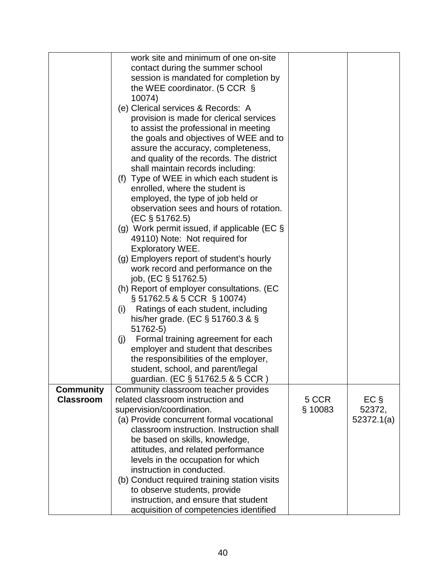|                  | work site and minimum of one on-site           |         |            |
|------------------|------------------------------------------------|---------|------------|
|                  | contact during the summer school               |         |            |
|                  | session is mandated for completion by          |         |            |
|                  | the WEE coordinator. (5 CCR $\S$               |         |            |
|                  | 10074)                                         |         |            |
|                  | (e) Clerical services & Records: A             |         |            |
|                  |                                                |         |            |
|                  | provision is made for clerical services        |         |            |
|                  | to assist the professional in meeting          |         |            |
|                  | the goals and objectives of WEE and to         |         |            |
|                  | assure the accuracy, completeness,             |         |            |
|                  | and quality of the records. The district       |         |            |
|                  | shall maintain records including:              |         |            |
|                  | (f) Type of WEE in which each student is       |         |            |
|                  | enrolled, where the student is                 |         |            |
|                  |                                                |         |            |
|                  | employed, the type of job held or              |         |            |
|                  | observation sees and hours of rotation.        |         |            |
|                  | $(EC \S 51762.5)$                              |         |            |
|                  | (g) Work permit issued, if applicable (EC $\S$ |         |            |
|                  | 49110) Note: Not required for                  |         |            |
|                  | Exploratory WEE.                               |         |            |
|                  | (g) Employers report of student's hourly       |         |            |
|                  | work record and performance on the             |         |            |
|                  | job, (EC § 51762.5)                            |         |            |
|                  | (h) Report of employer consultations. (EC      |         |            |
|                  | § 51762.5 & 5 CCR § 10074)                     |         |            |
|                  | Ratings of each student, including<br>(i)      |         |            |
|                  |                                                |         |            |
|                  | his/her grade. (EC $\S$ 51760.3 & $\S$         |         |            |
|                  | 51762-5)                                       |         |            |
|                  | Formal training agreement for each<br>(j)      |         |            |
|                  | employer and student that describes            |         |            |
|                  | the responsibilities of the employer,          |         |            |
|                  | student, school, and parent/legal              |         |            |
|                  | guardian. (EC § 51762.5 & 5 CCR)               |         |            |
| <b>Community</b> | Community classroom teacher provides           |         |            |
| <b>Classroom</b> | related classroom instruction and              | 5 CCR   | $EC \S$    |
|                  | supervision/coordination.                      | § 10083 | 52372,     |
|                  | (a) Provide concurrent formal vocational       |         | 52372.1(a) |
|                  | classroom instruction. Instruction shall       |         |            |
|                  | be based on skills, knowledge,                 |         |            |
|                  |                                                |         |            |
|                  | attitudes, and related performance             |         |            |
|                  | levels in the occupation for which             |         |            |
|                  | instruction in conducted.                      |         |            |
|                  | (b) Conduct required training station visits   |         |            |
|                  | to observe students, provide                   |         |            |
|                  | instruction, and ensure that student           |         |            |
|                  | acquisition of competencies identified         |         |            |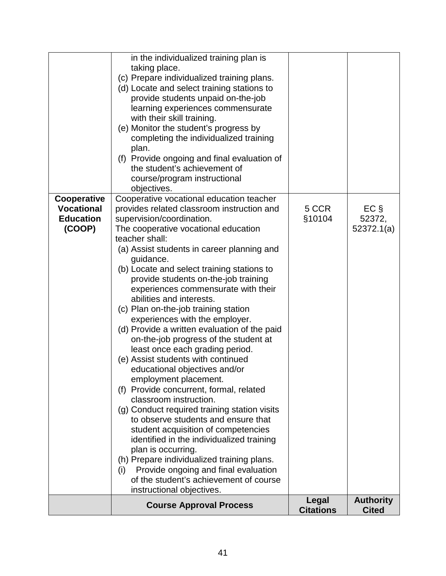|                                                                | <b>Course Approval Process</b>                                                                                                                                                                                                                                                                                                                                                                                                                                                                                                                                                                                | Legal<br><b>Citations</b> | <b>Authority</b><br><b>Cited</b> |
|----------------------------------------------------------------|---------------------------------------------------------------------------------------------------------------------------------------------------------------------------------------------------------------------------------------------------------------------------------------------------------------------------------------------------------------------------------------------------------------------------------------------------------------------------------------------------------------------------------------------------------------------------------------------------------------|---------------------------|----------------------------------|
|                                                                | (g) Conduct required training station visits<br>to observe students and ensure that<br>student acquisition of competencies<br>identified in the individualized training<br>plan is occurring.<br>(h) Prepare individualized training plans.<br>Provide ongoing and final evaluation<br>(i)<br>of the student's achievement of course<br>instructional objectives.                                                                                                                                                                                                                                             |                           |                                  |
|                                                                | teacher shall:<br>(a) Assist students in career planning and<br>guidance.<br>(b) Locate and select training stations to<br>provide students on-the-job training<br>experiences commensurate with their<br>abilities and interests.<br>(c) Plan on-the-job training station<br>experiences with the employer.<br>(d) Provide a written evaluation of the paid<br>on-the-job progress of the student at<br>least once each grading period.<br>(e) Assist students with continued<br>educational objectives and/or<br>employment placement.<br>(f) Provide concurrent, formal, related<br>classroom instruction. |                           |                                  |
| Cooperative<br><b>Vocational</b><br><b>Education</b><br>(COOP) | Cooperative vocational education teacher<br>provides related classroom instruction and<br>supervision/coordination.<br>The cooperative vocational education                                                                                                                                                                                                                                                                                                                                                                                                                                                   | 5 CCR<br>§10104           | $EC \S$<br>52372,<br>52372.1(a)  |
|                                                                | in the individualized training plan is<br>taking place.<br>(c) Prepare individualized training plans.<br>(d) Locate and select training stations to<br>provide students unpaid on-the-job<br>learning experiences commensurate<br>with their skill training.<br>(e) Monitor the student's progress by<br>completing the individualized training<br>plan.<br>(f) Provide ongoing and final evaluation of<br>the student's achievement of<br>course/program instructional<br>objectives.                                                                                                                        |                           |                                  |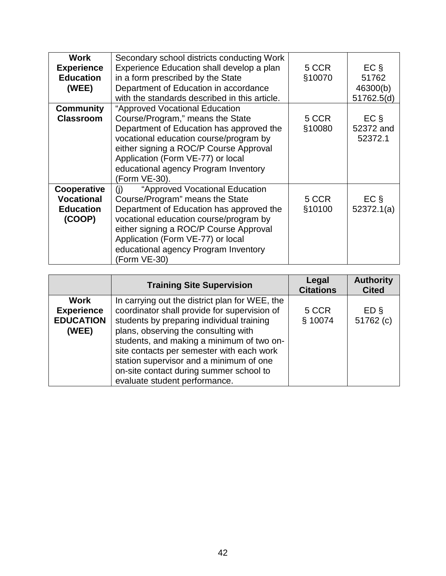| <b>Work</b><br><b>Experience</b><br><b>Education</b><br>(WEE)  | Secondary school districts conducting Work<br>Experience Education shall develop a plan<br>in a form prescribed by the State<br>Department of Education in accordance<br>with the standards described in this article.                                                                                | 5 CCR<br>§10070 | $EC \S$<br>51762<br>46300(b)<br>51762.5(d) |
|----------------------------------------------------------------|-------------------------------------------------------------------------------------------------------------------------------------------------------------------------------------------------------------------------------------------------------------------------------------------------------|-----------------|--------------------------------------------|
| <b>Community</b><br><b>Classroom</b>                           | "Approved Vocational Education<br>Course/Program," means the State<br>Department of Education has approved the<br>vocational education course/program by<br>either signing a ROC/P Course Approval<br>Application (Form VE-77) or local<br>educational agency Program Inventory<br>(Form VE-30).      | 5 CCR<br>§10080 | $EC \S$<br>52372 and<br>52372.1            |
| Cooperative<br><b>Vocational</b><br><b>Education</b><br>(COOP) | "Approved Vocational Education<br>(i)<br>Course/Program" means the State<br>Department of Education has approved the<br>vocational education course/program by<br>either signing a ROC/P Course Approval<br>Application (Form VE-77) or local<br>educational agency Program Inventory<br>(Form VE-30) | 5 CCR<br>§10100 | $EC \S$<br>52372.1(a)                      |

|                                                        | <b>Training Site Supervision</b>                                                                                                                                                                                                                                                                                                                                                                     | Legal<br><b>Citations</b> | <b>Authority</b><br><b>Cited</b> |
|--------------------------------------------------------|------------------------------------------------------------------------------------------------------------------------------------------------------------------------------------------------------------------------------------------------------------------------------------------------------------------------------------------------------------------------------------------------------|---------------------------|----------------------------------|
| Work<br><b>Experience</b><br><b>EDUCATION</b><br>(WEE) | In carrying out the district plan for WEE, the<br>coordinator shall provide for supervision of<br>students by preparing individual training<br>plans, observing the consulting with<br>students, and making a minimum of two on-<br>site contacts per semester with each work<br>station supervisor and a minimum of one<br>on-site contact during summer school to<br>evaluate student performance. | 5 CCR<br>§ 10074          | ED <sub>§</sub><br>51762 (c)     |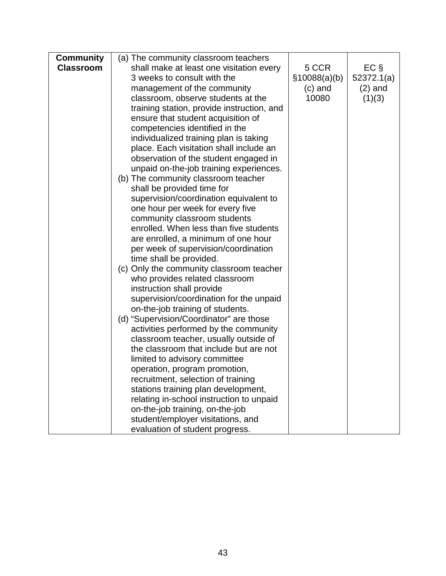|                                          |                                                                                                                                                                                                                                                                                                                                                                                                                                                                                                                                                                                                                                                                                                                                                                                                                                                                                                                                                                                                                                                                                                                                                                                                                                                                           | $EC \S$                                      |
|------------------------------------------|---------------------------------------------------------------------------------------------------------------------------------------------------------------------------------------------------------------------------------------------------------------------------------------------------------------------------------------------------------------------------------------------------------------------------------------------------------------------------------------------------------------------------------------------------------------------------------------------------------------------------------------------------------------------------------------------------------------------------------------------------------------------------------------------------------------------------------------------------------------------------------------------------------------------------------------------------------------------------------------------------------------------------------------------------------------------------------------------------------------------------------------------------------------------------------------------------------------------------------------------------------------------------|----------------------------------------------|
|                                          |                                                                                                                                                                                                                                                                                                                                                                                                                                                                                                                                                                                                                                                                                                                                                                                                                                                                                                                                                                                                                                                                                                                                                                                                                                                                           |                                              |
|                                          |                                                                                                                                                                                                                                                                                                                                                                                                                                                                                                                                                                                                                                                                                                                                                                                                                                                                                                                                                                                                                                                                                                                                                                                                                                                                           | 52372.1(a)                                   |
|                                          |                                                                                                                                                                                                                                                                                                                                                                                                                                                                                                                                                                                                                                                                                                                                                                                                                                                                                                                                                                                                                                                                                                                                                                                                                                                                           | $(2)$ and                                    |
|                                          |                                                                                                                                                                                                                                                                                                                                                                                                                                                                                                                                                                                                                                                                                                                                                                                                                                                                                                                                                                                                                                                                                                                                                                                                                                                                           | (1)(3)                                       |
|                                          |                                                                                                                                                                                                                                                                                                                                                                                                                                                                                                                                                                                                                                                                                                                                                                                                                                                                                                                                                                                                                                                                                                                                                                                                                                                                           |                                              |
|                                          |                                                                                                                                                                                                                                                                                                                                                                                                                                                                                                                                                                                                                                                                                                                                                                                                                                                                                                                                                                                                                                                                                                                                                                                                                                                                           |                                              |
|                                          |                                                                                                                                                                                                                                                                                                                                                                                                                                                                                                                                                                                                                                                                                                                                                                                                                                                                                                                                                                                                                                                                                                                                                                                                                                                                           |                                              |
|                                          |                                                                                                                                                                                                                                                                                                                                                                                                                                                                                                                                                                                                                                                                                                                                                                                                                                                                                                                                                                                                                                                                                                                                                                                                                                                                           |                                              |
|                                          |                                                                                                                                                                                                                                                                                                                                                                                                                                                                                                                                                                                                                                                                                                                                                                                                                                                                                                                                                                                                                                                                                                                                                                                                                                                                           |                                              |
|                                          |                                                                                                                                                                                                                                                                                                                                                                                                                                                                                                                                                                                                                                                                                                                                                                                                                                                                                                                                                                                                                                                                                                                                                                                                                                                                           |                                              |
|                                          |                                                                                                                                                                                                                                                                                                                                                                                                                                                                                                                                                                                                                                                                                                                                                                                                                                                                                                                                                                                                                                                                                                                                                                                                                                                                           |                                              |
|                                          |                                                                                                                                                                                                                                                                                                                                                                                                                                                                                                                                                                                                                                                                                                                                                                                                                                                                                                                                                                                                                                                                                                                                                                                                                                                                           |                                              |
|                                          |                                                                                                                                                                                                                                                                                                                                                                                                                                                                                                                                                                                                                                                                                                                                                                                                                                                                                                                                                                                                                                                                                                                                                                                                                                                                           |                                              |
|                                          |                                                                                                                                                                                                                                                                                                                                                                                                                                                                                                                                                                                                                                                                                                                                                                                                                                                                                                                                                                                                                                                                                                                                                                                                                                                                           |                                              |
|                                          |                                                                                                                                                                                                                                                                                                                                                                                                                                                                                                                                                                                                                                                                                                                                                                                                                                                                                                                                                                                                                                                                                                                                                                                                                                                                           |                                              |
| community classroom students             |                                                                                                                                                                                                                                                                                                                                                                                                                                                                                                                                                                                                                                                                                                                                                                                                                                                                                                                                                                                                                                                                                                                                                                                                                                                                           |                                              |
|                                          |                                                                                                                                                                                                                                                                                                                                                                                                                                                                                                                                                                                                                                                                                                                                                                                                                                                                                                                                                                                                                                                                                                                                                                                                                                                                           |                                              |
| are enrolled, a minimum of one hour      |                                                                                                                                                                                                                                                                                                                                                                                                                                                                                                                                                                                                                                                                                                                                                                                                                                                                                                                                                                                                                                                                                                                                                                                                                                                                           |                                              |
| per week of supervision/coordination     |                                                                                                                                                                                                                                                                                                                                                                                                                                                                                                                                                                                                                                                                                                                                                                                                                                                                                                                                                                                                                                                                                                                                                                                                                                                                           |                                              |
| time shall be provided.                  |                                                                                                                                                                                                                                                                                                                                                                                                                                                                                                                                                                                                                                                                                                                                                                                                                                                                                                                                                                                                                                                                                                                                                                                                                                                                           |                                              |
| (c) Only the community classroom teacher |                                                                                                                                                                                                                                                                                                                                                                                                                                                                                                                                                                                                                                                                                                                                                                                                                                                                                                                                                                                                                                                                                                                                                                                                                                                                           |                                              |
| who provides related classroom           |                                                                                                                                                                                                                                                                                                                                                                                                                                                                                                                                                                                                                                                                                                                                                                                                                                                                                                                                                                                                                                                                                                                                                                                                                                                                           |                                              |
|                                          |                                                                                                                                                                                                                                                                                                                                                                                                                                                                                                                                                                                                                                                                                                                                                                                                                                                                                                                                                                                                                                                                                                                                                                                                                                                                           |                                              |
|                                          |                                                                                                                                                                                                                                                                                                                                                                                                                                                                                                                                                                                                                                                                                                                                                                                                                                                                                                                                                                                                                                                                                                                                                                                                                                                                           |                                              |
|                                          |                                                                                                                                                                                                                                                                                                                                                                                                                                                                                                                                                                                                                                                                                                                                                                                                                                                                                                                                                                                                                                                                                                                                                                                                                                                                           |                                              |
|                                          |                                                                                                                                                                                                                                                                                                                                                                                                                                                                                                                                                                                                                                                                                                                                                                                                                                                                                                                                                                                                                                                                                                                                                                                                                                                                           |                                              |
|                                          |                                                                                                                                                                                                                                                                                                                                                                                                                                                                                                                                                                                                                                                                                                                                                                                                                                                                                                                                                                                                                                                                                                                                                                                                                                                                           |                                              |
|                                          |                                                                                                                                                                                                                                                                                                                                                                                                                                                                                                                                                                                                                                                                                                                                                                                                                                                                                                                                                                                                                                                                                                                                                                                                                                                                           |                                              |
|                                          |                                                                                                                                                                                                                                                                                                                                                                                                                                                                                                                                                                                                                                                                                                                                                                                                                                                                                                                                                                                                                                                                                                                                                                                                                                                                           |                                              |
|                                          |                                                                                                                                                                                                                                                                                                                                                                                                                                                                                                                                                                                                                                                                                                                                                                                                                                                                                                                                                                                                                                                                                                                                                                                                                                                                           |                                              |
|                                          |                                                                                                                                                                                                                                                                                                                                                                                                                                                                                                                                                                                                                                                                                                                                                                                                                                                                                                                                                                                                                                                                                                                                                                                                                                                                           |                                              |
|                                          |                                                                                                                                                                                                                                                                                                                                                                                                                                                                                                                                                                                                                                                                                                                                                                                                                                                                                                                                                                                                                                                                                                                                                                                                                                                                           |                                              |
|                                          |                                                                                                                                                                                                                                                                                                                                                                                                                                                                                                                                                                                                                                                                                                                                                                                                                                                                                                                                                                                                                                                                                                                                                                                                                                                                           |                                              |
|                                          |                                                                                                                                                                                                                                                                                                                                                                                                                                                                                                                                                                                                                                                                                                                                                                                                                                                                                                                                                                                                                                                                                                                                                                                                                                                                           |                                              |
|                                          |                                                                                                                                                                                                                                                                                                                                                                                                                                                                                                                                                                                                                                                                                                                                                                                                                                                                                                                                                                                                                                                                                                                                                                                                                                                                           |                                              |
|                                          |                                                                                                                                                                                                                                                                                                                                                                                                                                                                                                                                                                                                                                                                                                                                                                                                                                                                                                                                                                                                                                                                                                                                                                                                                                                                           |                                              |
|                                          |                                                                                                                                                                                                                                                                                                                                                                                                                                                                                                                                                                                                                                                                                                                                                                                                                                                                                                                                                                                                                                                                                                                                                                                                                                                                           |                                              |
|                                          | (a) The community classroom teachers<br>shall make at least one visitation every<br>3 weeks to consult with the<br>management of the community<br>classroom, observe students at the<br>training station, provide instruction, and<br>ensure that student acquisition of<br>competencies identified in the<br>individualized training plan is taking<br>place. Each visitation shall include an<br>observation of the student engaged in<br>unpaid on-the-job training experiences.<br>(b) The community classroom teacher<br>shall be provided time for<br>supervision/coordination equivalent to<br>one hour per week for every five<br>enrolled. When less than five students<br>instruction shall provide<br>supervision/coordination for the unpaid<br>on-the-job training of students.<br>(d) "Supervision/Coordinator" are those<br>activities performed by the community<br>classroom teacher, usually outside of<br>the classroom that include but are not<br>limited to advisory committee<br>operation, program promotion,<br>recruitment, selection of training<br>stations training plan development,<br>relating in-school instruction to unpaid<br>on-the-job training, on-the-job<br>student/employer visitations, and<br>evaluation of student progress. | 5 CCR<br>\$10088(a)(b)<br>$(c)$ and<br>10080 |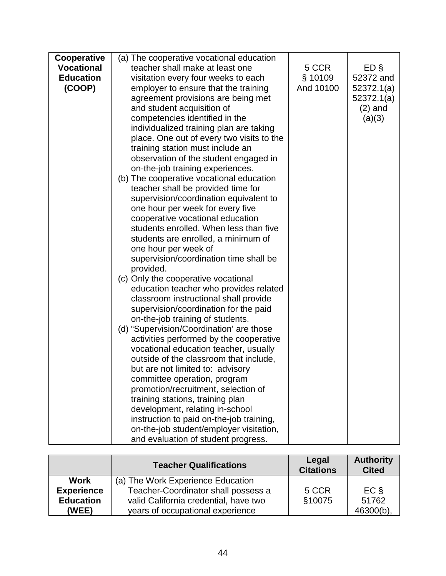| Cooperative       | (a) The cooperative vocational education  |           |                 |
|-------------------|-------------------------------------------|-----------|-----------------|
| <b>Vocational</b> | teacher shall make at least one           | 5 CCR     | ED <sub>§</sub> |
| <b>Education</b>  | visitation every four weeks to each       | § 10109   | 52372 and       |
| (COOP)            | employer to ensure that the training      | And 10100 | 52372.1(a)      |
|                   | agreement provisions are being met        |           | 52372.1(a)      |
|                   | and student acquisition of                |           | $(2)$ and       |
|                   | competencies identified in the            |           | (a)(3)          |
|                   | individualized training plan are taking   |           |                 |
|                   | place. One out of every two visits to the |           |                 |
|                   | training station must include an          |           |                 |
|                   | observation of the student engaged in     |           |                 |
|                   | on-the-job training experiences.          |           |                 |
|                   | (b) The cooperative vocational education  |           |                 |
|                   | teacher shall be provided time for        |           |                 |
|                   | supervision/coordination equivalent to    |           |                 |
|                   | one hour per week for every five          |           |                 |
|                   | cooperative vocational education          |           |                 |
|                   | students enrolled. When less than five    |           |                 |
|                   | students are enrolled, a minimum of       |           |                 |
|                   | one hour per week of                      |           |                 |
|                   | supervision/coordination time shall be    |           |                 |
|                   | provided.                                 |           |                 |
|                   | (c) Only the cooperative vocational       |           |                 |
|                   | education teacher who provides related    |           |                 |
|                   | classroom instructional shall provide     |           |                 |
|                   | supervision/coordination for the paid     |           |                 |
|                   | on-the-job training of students.          |           |                 |
|                   | (d) "Supervision/Coordination' are those  |           |                 |
|                   | activities performed by the cooperative   |           |                 |
|                   | vocational education teacher, usually     |           |                 |
|                   | outside of the classroom that include,    |           |                 |
|                   | but are not limited to: advisory          |           |                 |
|                   | committee operation, program              |           |                 |
|                   | promotion/recruitment, selection of       |           |                 |
|                   | training stations, training plan          |           |                 |
|                   | development, relating in-school           |           |                 |
|                   | instruction to paid on-the-job training,  |           |                 |
|                   | on-the-job student/employer visitation,   |           |                 |
|                   | and evaluation of student progress.       |           |                 |

|                   | <b>Teacher Qualifications</b>         | Legal<br><b>Citations</b> | <b>Authority</b><br><b>Cited</b> |
|-------------------|---------------------------------------|---------------------------|----------------------------------|
| <b>Work</b>       | (a) The Work Experience Education     |                           |                                  |
| <b>Experience</b> | Teacher-Coordinator shall possess a   | 5 CCR                     | $EC$ §                           |
| <b>Education</b>  | valid California credential, have two | §10075                    | 51762                            |
| (WEE)             | years of occupational experience      |                           | $46300(b)$ .                     |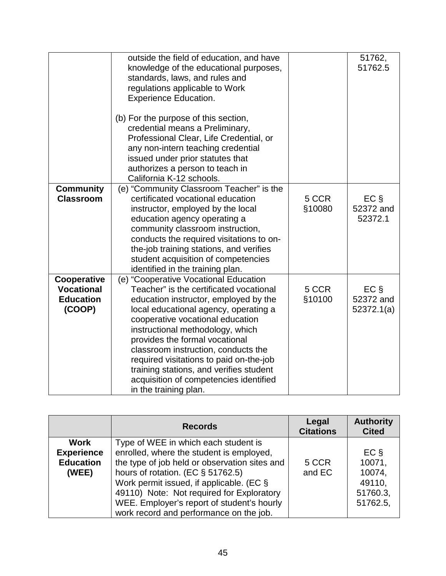|                                                                | outside the field of education, and have<br>knowledge of the educational purposes,<br>standards, laws, and rules and<br>regulations applicable to Work<br><b>Experience Education.</b><br>(b) For the purpose of this section,<br>credential means a Preliminary,<br>Professional Clear, Life Credential, or<br>any non-intern teaching credential<br>issued under prior statutes that<br>authorizes a person to teach in<br>California K-12 schools.                        |                 | 51762,<br>51762.5                  |
|----------------------------------------------------------------|------------------------------------------------------------------------------------------------------------------------------------------------------------------------------------------------------------------------------------------------------------------------------------------------------------------------------------------------------------------------------------------------------------------------------------------------------------------------------|-----------------|------------------------------------|
| <b>Community</b><br><b>Classroom</b>                           | (e) "Community Classroom Teacher" is the<br>certificated vocational education<br>instructor, employed by the local<br>education agency operating a<br>community classroom instruction,<br>conducts the required visitations to on-<br>the-job training stations, and verifies<br>student acquisition of competencies<br>identified in the training plan.                                                                                                                     | 5 CCR<br>§10080 | $EC \S$<br>52372 and<br>52372.1    |
| Cooperative<br><b>Vocational</b><br><b>Education</b><br>(COOP) | (e) "Cooperative Vocational Education<br>Teacher" is the certificated vocational<br>education instructor, employed by the<br>local educational agency, operating a<br>cooperative vocational education<br>instructional methodology, which<br>provides the formal vocational<br>classroom instruction, conducts the<br>required visitations to paid on-the-job<br>training stations, and verifies student<br>acquisition of competencies identified<br>in the training plan. | 5 CCR<br>§10100 | $EC \S$<br>52372 and<br>52372.1(a) |

|                                                        | <b>Records</b>                                                                                                                                                                 | Legal<br><b>Citations</b> | <b>Authority</b><br><b>Cited</b> |
|--------------------------------------------------------|--------------------------------------------------------------------------------------------------------------------------------------------------------------------------------|---------------------------|----------------------------------|
| Work<br><b>Experience</b><br><b>Education</b><br>(WEE) | Type of WEE in which each student is<br>enrolled, where the student is employed,<br>the type of job held or observation sites and<br>hours of rotation. (EC $\S$ 51762.5)      | 5 CCR<br>and EC           | $EC$ §<br>10071,<br>10074.       |
|                                                        | Work permit issued, if applicable. (EC §<br>49110) Note: Not required for Exploratory<br>WEE. Employer's report of student's hourly<br>work record and performance on the job. |                           | 49110,<br>51760.3,<br>51762.5,   |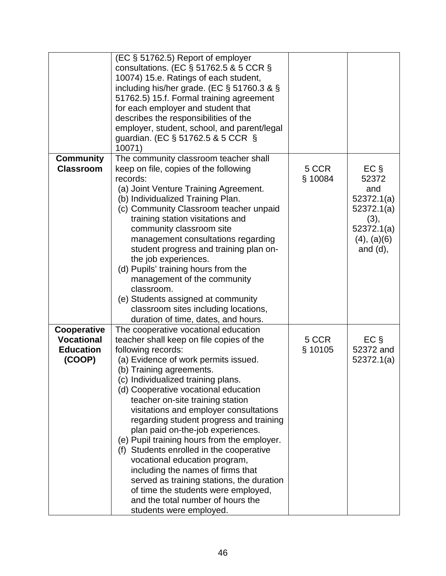|                                                                | (EC § 51762.5) Report of employer<br>consultations. (EC $\S$ 51762.5 & 5 CCR $\S$<br>10074) 15.e. Ratings of each student,<br>including his/her grade. (EC $\S$ 51760.3 & $\S$<br>51762.5) 15.f. Formal training agreement<br>for each employer and student that<br>describes the responsibilities of the<br>employer, student, school, and parent/legal<br>guardian. (EC § 51762.5 & 5 CCR §<br>10071)                                                                                                                                                                                                                                                                                                                                     |                  |                                                                                                         |
|----------------------------------------------------------------|---------------------------------------------------------------------------------------------------------------------------------------------------------------------------------------------------------------------------------------------------------------------------------------------------------------------------------------------------------------------------------------------------------------------------------------------------------------------------------------------------------------------------------------------------------------------------------------------------------------------------------------------------------------------------------------------------------------------------------------------|------------------|---------------------------------------------------------------------------------------------------------|
| <b>Community</b><br><b>Classroom</b>                           | The community classroom teacher shall<br>keep on file, copies of the following<br>records:<br>(a) Joint Venture Training Agreement.<br>(b) Individualized Training Plan.<br>(c) Community Classroom teacher unpaid<br>training station visitations and<br>community classroom site<br>management consultations regarding<br>student progress and training plan on-<br>the job experiences.<br>(d) Pupils' training hours from the<br>management of the community<br>classroom.<br>(e) Students assigned at community<br>classroom sites including locations,<br>duration of time, dates, and hours.                                                                                                                                         | 5 CCR<br>§ 10084 | $EC \S$<br>52372<br>and<br>52372.1(a)<br>52372.1(a)<br>(3),<br>52372.1(a)<br>(4), (a)(6)<br>and $(d)$ , |
| Cooperative<br><b>Vocational</b><br><b>Education</b><br>(COOP) | The cooperative vocational education<br>teacher shall keep on file copies of the<br>following records:<br>(a) Evidence of work permits issued.<br>(b) Training agreements.<br>(c) Individualized training plans.<br>(d) Cooperative vocational education<br>teacher on-site training station<br>visitations and employer consultations<br>regarding student progress and training<br>plan paid on-the-job experiences.<br>(e) Pupil training hours from the employer.<br>(f) Students enrolled in the cooperative<br>vocational education program,<br>including the names of firms that<br>served as training stations, the duration<br>of time the students were employed,<br>and the total number of hours the<br>students were employed. | 5 CCR<br>§ 10105 | $EC \S$<br>52372 and<br>52372.1(a)                                                                      |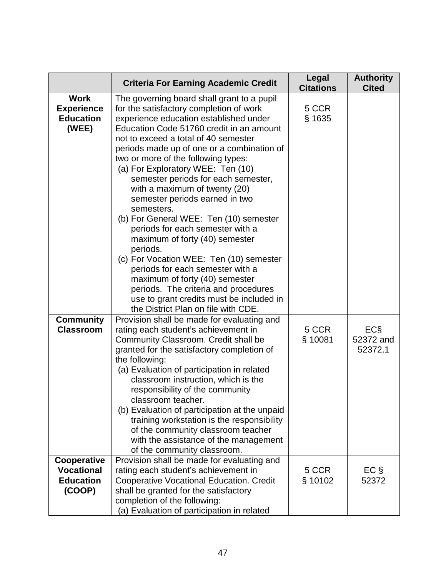|                                                                | <b>Criteria For Earning Academic Credit</b>                                                                                                                                                                                                                                                                                                                                                                                                                                                                                                                                                                                                                                                                                                                                                                                                   | Legal<br><b>Citations</b> | <b>Authority</b><br><b>Cited</b> |
|----------------------------------------------------------------|-----------------------------------------------------------------------------------------------------------------------------------------------------------------------------------------------------------------------------------------------------------------------------------------------------------------------------------------------------------------------------------------------------------------------------------------------------------------------------------------------------------------------------------------------------------------------------------------------------------------------------------------------------------------------------------------------------------------------------------------------------------------------------------------------------------------------------------------------|---------------------------|----------------------------------|
| <b>Work</b><br><b>Experience</b><br><b>Education</b><br>(WEE)  | The governing board shall grant to a pupil<br>for the satisfactory completion of work<br>experience education established under<br>Education Code 51760 credit in an amount<br>not to exceed a total of 40 semester<br>periods made up of one or a combination of<br>two or more of the following types:<br>(a) For Exploratory WEE: Ten (10)<br>semester periods for each semester,<br>with a maximum of twenty (20)<br>semester periods earned in two<br>semesters.<br>(b) For General WEE: Ten (10) semester<br>periods for each semester with a<br>maximum of forty (40) semester<br>periods.<br>(c) For Vocation WEE: Ten (10) semester<br>periods for each semester with a<br>maximum of forty (40) semester<br>periods. The criteria and procedures<br>use to grant credits must be included in<br>the District Plan on file with CDE. | 5 CCR<br>§ 1635           |                                  |
| <b>Community</b><br><b>Classroom</b>                           | Provision shall be made for evaluating and<br>rating each student's achievement in<br>Community Classroom. Credit shall be<br>granted for the satisfactory completion of<br>the following:<br>(a) Evaluation of participation in related<br>classroom instruction, which is the<br>responsibility of the community<br>classroom teacher.<br>(b) Evaluation of participation at the unpaid<br>training workstation is the responsibility<br>of the community classroom teacher<br>with the assistance of the management<br>of the community classroom.                                                                                                                                                                                                                                                                                         | 5 CCR<br>§ 10081          | ECS<br>52372 and<br>52372.1      |
| Cooperative<br><b>Vocational</b><br><b>Education</b><br>(COOP) | Provision shall be made for evaluating and<br>rating each student's achievement in<br><b>Cooperative Vocational Education. Credit</b><br>shall be granted for the satisfactory<br>completion of the following:<br>(a) Evaluation of participation in related                                                                                                                                                                                                                                                                                                                                                                                                                                                                                                                                                                                  | 5 CCR<br>§ 10102          | $EC \S$<br>52372                 |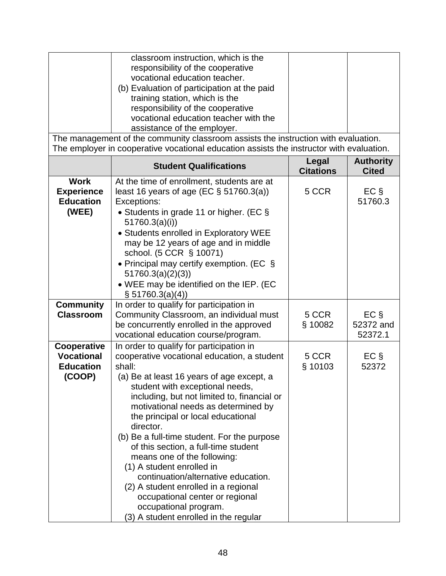| classroom instruction, which is the<br>responsibility of the cooperative<br>vocational education teacher.<br>(b) Evaluation of participation at the paid<br>training station, which is the |  |
|--------------------------------------------------------------------------------------------------------------------------------------------------------------------------------------------|--|
| responsibility of the cooperative<br>vocational education teacher with the                                                                                                                 |  |
| assistance of the employer.                                                                                                                                                                |  |

The management of the community classroom assists the instruction with evaluation. The employer in cooperative vocational education assists the instructor with evaluation.

|                                                                | <b>Student Qualifications</b>                                                                                                                                                                                                                                                                                                                                                                                                                                                                                                                                                                                                                                     | Legal<br><b>Citations</b> | <b>Authority</b><br><b>Cited</b> |
|----------------------------------------------------------------|-------------------------------------------------------------------------------------------------------------------------------------------------------------------------------------------------------------------------------------------------------------------------------------------------------------------------------------------------------------------------------------------------------------------------------------------------------------------------------------------------------------------------------------------------------------------------------------------------------------------------------------------------------------------|---------------------------|----------------------------------|
| <b>Work</b><br><b>Experience</b><br><b>Education</b><br>(WEE)  | At the time of enrollment, students are at<br>least 16 years of age (EC $\S$ 51760.3(a))<br>Exceptions:<br>• Students in grade 11 or higher. (EC §<br>51760.3(a)(i))<br>• Students enrolled in Exploratory WEE<br>may be 12 years of age and in middle<br>school. (5 CCR § 10071)<br>• Principal may certify exemption. (EC $\S$<br>51760.3(a)(2)(3)<br>• WEE may be identified on the IEP. (EC<br>$\S 51760.3(a)(4)$                                                                                                                                                                                                                                             | 5 CCR                     | $EC \S$<br>51760.3               |
| <b>Community</b><br><b>Classroom</b>                           | In order to qualify for participation in<br>Community Classroom, an individual must<br>be concurrently enrolled in the approved<br>vocational education course/program.                                                                                                                                                                                                                                                                                                                                                                                                                                                                                           | 5 CCR<br>§ 10082          | $EC$ §<br>52372 and<br>52372.1   |
| Cooperative<br><b>Vocational</b><br><b>Education</b><br>(COOP) | In order to qualify for participation in<br>cooperative vocational education, a student<br>shall:<br>(a) Be at least 16 years of age except, a<br>student with exceptional needs,<br>including, but not limited to, financial or<br>motivational needs as determined by<br>the principal or local educational<br>director.<br>(b) Be a full-time student. For the purpose<br>of this section, a full-time student<br>means one of the following:<br>(1) A student enrolled in<br>continuation/alternative education.<br>(2) A student enrolled in a regional<br>occupational center or regional<br>occupational program.<br>(3) A student enrolled in the regular | 5 CCR<br>§ 10103          | $EC \S$<br>52372                 |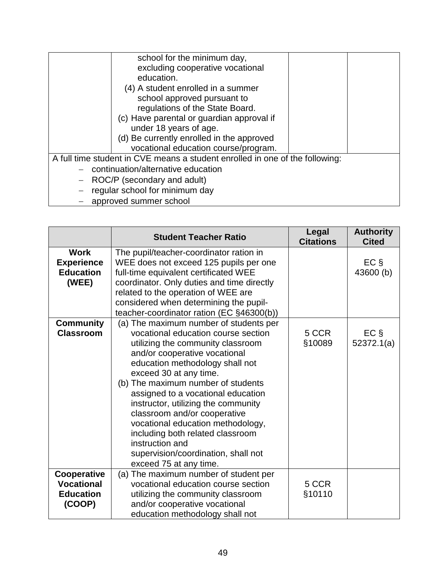| school for the minimum day,<br>excluding cooperative vocational<br>education.<br>(4) A student enrolled in a summer<br>school approved pursuant to |  |
|----------------------------------------------------------------------------------------------------------------------------------------------------|--|
| regulations of the State Board.                                                                                                                    |  |
| (c) Have parental or guardian approval if                                                                                                          |  |
| under 18 years of age.                                                                                                                             |  |
| (d) Be currently enrolled in the approved                                                                                                          |  |
| vocational education course/program.                                                                                                               |  |
| A full time student in CVE means a student enrolled in one of the following:                                                                       |  |
| $-$ continuation/alternative education                                                                                                             |  |
| $-$ ROC/P (secondary and adult)                                                                                                                    |  |
| regular school for minimum day                                                                                                                     |  |
| - approved summer school                                                                                                                           |  |

|                                                                | <b>Student Teacher Ratio</b>                                                                                                                                                                                                                                                                                                                                                                                                                                                                                                     | Legal<br><b>Citations</b> | <b>Authority</b><br><b>Cited</b> |
|----------------------------------------------------------------|----------------------------------------------------------------------------------------------------------------------------------------------------------------------------------------------------------------------------------------------------------------------------------------------------------------------------------------------------------------------------------------------------------------------------------------------------------------------------------------------------------------------------------|---------------------------|----------------------------------|
| <b>Work</b><br><b>Experience</b><br><b>Education</b><br>(WEE)  | The pupil/teacher-coordinator ration in<br>WEE does not exceed 125 pupils per one<br>full-time equivalent certificated WEE<br>coordinator. Only duties and time directly<br>related to the operation of WEE are<br>considered when determining the pupil-<br>teacher-coordinator ration (EC §46300(b))                                                                                                                                                                                                                           |                           | $EC \S$<br>43600 (b)             |
| <b>Community</b><br><b>Classroom</b>                           | (a) The maximum number of students per<br>vocational education course section<br>utilizing the community classroom<br>and/or cooperative vocational<br>education methodology shall not<br>exceed 30 at any time.<br>(b) The maximum number of students<br>assigned to a vocational education<br>instructor, utilizing the community<br>classroom and/or cooperative<br>vocational education methodology,<br>including both related classroom<br>instruction and<br>supervision/coordination, shall not<br>exceed 75 at any time. | 5 CCR<br>§10089           | $EC \S$<br>52372.1(a)            |
| Cooperative<br><b>Vocational</b><br><b>Education</b><br>(COOP) | (a) The maximum number of student per<br>vocational education course section<br>utilizing the community classroom<br>and/or cooperative vocational<br>education methodology shall not                                                                                                                                                                                                                                                                                                                                            | 5 CCR<br>§10110           |                                  |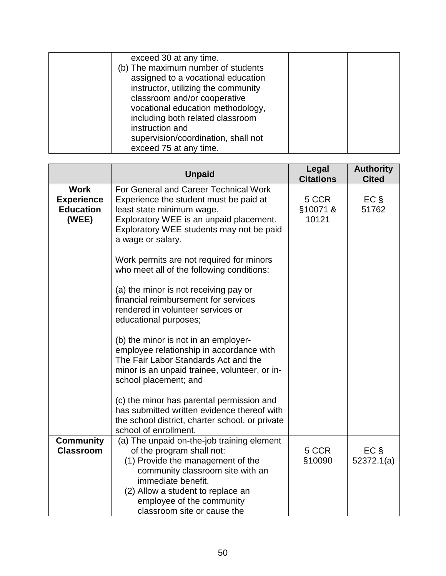| exceed 30 at any time.<br>(b) The maximum number of students<br>assigned to a vocational education<br>instructor, utilizing the community<br>classroom and/or cooperative<br>vocational education methodology,<br>including both related classroom<br>instruction and |  |
|-----------------------------------------------------------------------------------------------------------------------------------------------------------------------------------------------------------------------------------------------------------------------|--|
|                                                                                                                                                                                                                                                                       |  |
| supervision/coordination, shall not                                                                                                                                                                                                                                   |  |
| exceed 75 at any time.                                                                                                                                                                                                                                                |  |

|                                                               | <b>Unpaid</b>                                                                                                                                                                                                            | Legal<br><b>Citations</b> | <b>Authority</b><br><b>Cited</b> |
|---------------------------------------------------------------|--------------------------------------------------------------------------------------------------------------------------------------------------------------------------------------------------------------------------|---------------------------|----------------------------------|
| <b>Work</b><br><b>Experience</b><br><b>Education</b><br>(WEE) | For General and Career Technical Work<br>Experience the student must be paid at<br>least state minimum wage.<br>Exploratory WEE is an unpaid placement.<br>Exploratory WEE students may not be paid<br>a wage or salary. | 5 CCR<br>§10071&<br>10121 | $EC \S$<br>51762                 |
|                                                               | Work permits are not required for minors<br>who meet all of the following conditions:                                                                                                                                    |                           |                                  |
|                                                               | (a) the minor is not receiving pay or<br>financial reimbursement for services<br>rendered in volunteer services or<br>educational purposes;                                                                              |                           |                                  |
|                                                               | (b) the minor is not in an employer-<br>employee relationship in accordance with<br>The Fair Labor Standards Act and the<br>minor is an unpaid trainee, volunteer, or in-<br>school placement; and                       |                           |                                  |
|                                                               | (c) the minor has parental permission and<br>has submitted written evidence thereof with<br>the school district, charter school, or private<br>school of enrollment.                                                     |                           |                                  |
| <b>Community</b><br><b>Classroom</b>                          | (a) The unpaid on-the-job training element<br>of the program shall not:<br>(1) Provide the management of the<br>community classroom site with an<br>immediate benefit.<br>(2) Allow a student to replace an              | 5 CCR<br>§10090           | $EC \S$<br>52372.1(a)            |
|                                                               | employee of the community<br>classroom site or cause the                                                                                                                                                                 |                           |                                  |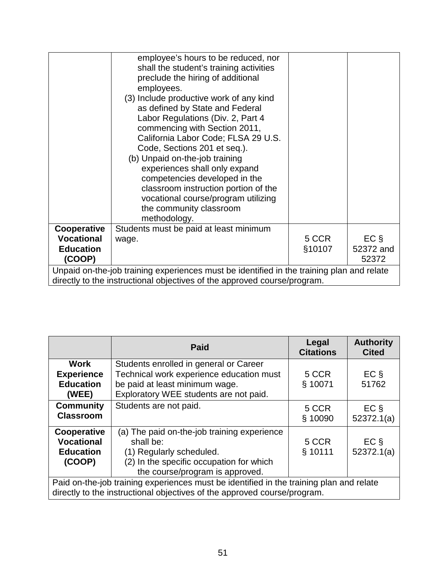|                                                                                                                                                                       | employee's hours to be reduced, nor<br>shall the student's training activities<br>preclude the hiring of additional<br>employees.<br>(3) Include productive work of any kind<br>as defined by State and Federal<br>Labor Regulations (Div. 2, Part 4<br>commencing with Section 2011,<br>California Labor Code; FLSA 29 U.S.<br>Code, Sections 201 et seq.).<br>(b) Unpaid on-the-job training<br>experiences shall only expand<br>competencies developed in the<br>classroom instruction portion of the<br>vocational course/program utilizing<br>the community classroom<br>methodology. |                 |                      |
|-----------------------------------------------------------------------------------------------------------------------------------------------------------------------|--------------------------------------------------------------------------------------------------------------------------------------------------------------------------------------------------------------------------------------------------------------------------------------------------------------------------------------------------------------------------------------------------------------------------------------------------------------------------------------------------------------------------------------------------------------------------------------------|-----------------|----------------------|
| Cooperative<br><b>Vocational</b><br><b>Education</b>                                                                                                                  | Students must be paid at least minimum<br>wage.                                                                                                                                                                                                                                                                                                                                                                                                                                                                                                                                            | 5 CCR<br>§10107 | $EC \S$<br>52372 and |
| (COOP)                                                                                                                                                                |                                                                                                                                                                                                                                                                                                                                                                                                                                                                                                                                                                                            |                 | 52372                |
| Unpaid on-the-job training experiences must be identified in the training plan and relate<br>directly to the instructional objectives of the approved course/program. |                                                                                                                                                                                                                                                                                                                                                                                                                                                                                                                                                                                            |                 |                      |

|                                                                                                                                                                     | <b>Paid</b>                                                                                                                                                         | Legal<br><b>Citations</b> | <b>Authority</b><br><b>Cited</b> |
|---------------------------------------------------------------------------------------------------------------------------------------------------------------------|---------------------------------------------------------------------------------------------------------------------------------------------------------------------|---------------------------|----------------------------------|
| Work<br><b>Experience</b><br><b>Education</b><br>(WEE)                                                                                                              | Students enrolled in general or Career<br>Technical work experience education must<br>be paid at least minimum wage.<br>Exploratory WEE students are not paid.      | 5 CCR<br>§ 10071          | $EC$ §<br>51762                  |
| <b>Community</b><br><b>Classroom</b>                                                                                                                                | Students are not paid.                                                                                                                                              | 5 CCR<br>§ 10090          | $EC$ §<br>52372.1(a)             |
| Cooperative<br><b>Vocational</b><br><b>Education</b><br>(COOP)                                                                                                      | (a) The paid on-the-job training experience<br>shall be:<br>(1) Regularly scheduled.<br>(2) In the specific occupation for which<br>the course/program is approved. | 5 CCR<br>§ 10111          | $EC$ §<br>52372.1(a)             |
| Paid on-the-job training experiences must be identified in the training plan and relate<br>directly to the instructional objectives of the approved course/program. |                                                                                                                                                                     |                           |                                  |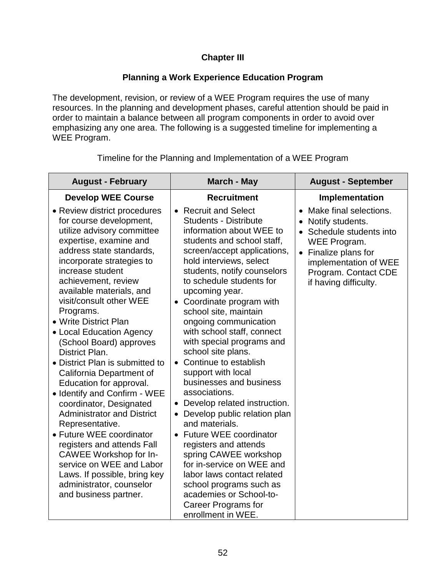# **Chapter III**

## **Planning a Work Experience Education Program**

The development, revision, or review of a WEE Program requires the use of many resources. In the planning and development phases, careful attention should be paid in order to maintain a balance between all program components in order to avoid over emphasizing any one area. The following is a suggested timeline for implementing a WEE Program.

| <b>August - February</b>                                                                                                                                                                                                                                                                                                                                                                                                                                                                                                                                                                                                                                                                                                                                                                                    | March - May                                                                                                                                                                                                                                                                                                                                                                                                                                                                                                                                                                                                                                                                                                                                                                                                                                                                                         | <b>August - September</b>                                                                                                                                                                                                   |
|-------------------------------------------------------------------------------------------------------------------------------------------------------------------------------------------------------------------------------------------------------------------------------------------------------------------------------------------------------------------------------------------------------------------------------------------------------------------------------------------------------------------------------------------------------------------------------------------------------------------------------------------------------------------------------------------------------------------------------------------------------------------------------------------------------------|-----------------------------------------------------------------------------------------------------------------------------------------------------------------------------------------------------------------------------------------------------------------------------------------------------------------------------------------------------------------------------------------------------------------------------------------------------------------------------------------------------------------------------------------------------------------------------------------------------------------------------------------------------------------------------------------------------------------------------------------------------------------------------------------------------------------------------------------------------------------------------------------------------|-----------------------------------------------------------------------------------------------------------------------------------------------------------------------------------------------------------------------------|
| <b>Develop WEE Course</b>                                                                                                                                                                                                                                                                                                                                                                                                                                                                                                                                                                                                                                                                                                                                                                                   | <b>Recruitment</b>                                                                                                                                                                                                                                                                                                                                                                                                                                                                                                                                                                                                                                                                                                                                                                                                                                                                                  | Implementation                                                                                                                                                                                                              |
| • Review district procedures<br>for course development,<br>utilize advisory committee<br>expertise, examine and<br>address state standards,<br>incorporate strategies to<br>increase student<br>achievement, review<br>available materials, and<br>visit/consult other WEE<br>Programs.<br>• Write District Plan<br>• Local Education Agency<br>(School Board) approves<br>District Plan.<br>• District Plan is submitted to<br>California Department of<br>Education for approval.<br>• Identify and Confirm - WEE<br>coordinator, Designated<br><b>Administrator and District</b><br>Representative.<br>• Future WEE coordinator<br>registers and attends Fall<br>CAWEE Workshop for In-<br>service on WEE and Labor<br>Laws. If possible, bring key<br>administrator, counselor<br>and business partner. | • Recruit and Select<br><b>Students - Distribute</b><br>information about WEE to<br>students and school staff,<br>screen/accept applications,<br>hold interviews, select<br>students, notify counselors<br>to schedule students for<br>upcoming year.<br>Coordinate program with<br>$\bullet$<br>school site, maintain<br>ongoing communication<br>with school staff, connect<br>with special programs and<br>school site plans.<br>• Continue to establish<br>support with local<br>businesses and business<br>associations.<br>Develop related instruction.<br>$\bullet$<br>• Develop public relation plan<br>and materials.<br><b>Future WEE coordinator</b><br>$\bullet$<br>registers and attends<br>spring CAWEE workshop<br>for in-service on WEE and<br>labor laws contact related<br>school programs such as<br>academies or School-to-<br><b>Career Programs for</b><br>enrollment in WEE. | Make final selections.<br>$\bullet$<br>Notify students.<br>Schedule students into<br>$\bullet$<br>WEE Program.<br>Finalize plans for<br>$\bullet$<br>implementation of WEE<br>Program. Contact CDE<br>if having difficulty. |

Timeline for the Planning and Implementation of a WEE Program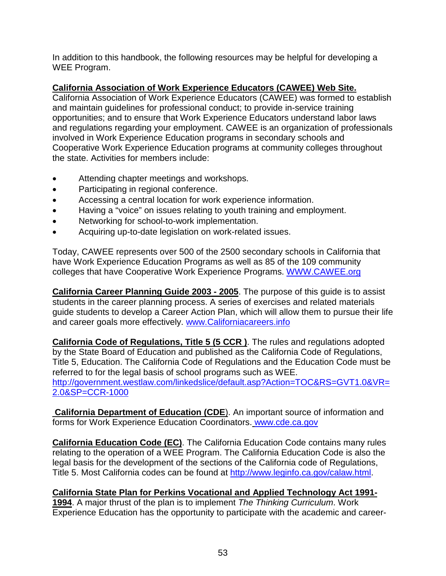In addition to this handbook, the following resources may be helpful for developing a WEE Program.

# **California Association of Work Experience Educators (CAWEE) Web Site.**

California Association of Work Experience Educators (CAWEE) was formed to establish and maintain guidelines for professional conduct; to provide in-service training opportunities; and to ensure that Work Experience Educators understand labor laws and regulations regarding your employment. CAWEE is an organization of professionals involved in Work Experience Education programs in secondary schools and Cooperative Work Experience Education programs at community colleges throughout the state. Activities for members include:

- Attending chapter meetings and workshops.
- Participating in regional conference.
- Accessing a central location for work experience information.
- Having a "voice" on issues relating to youth training and employment.
- Networking for school-to-work implementation.
- Acquiring up-to-date legislation on work-related issues.

Today, CAWEE represents over 500 of the 2500 secondary schools in California that have Work Experience Education Programs as well as 85 of the 109 community colleges that have Cooperative Work Experience Programs. [WWW.CAWEE.org](http://www.cawee.org/)

**California Career Planning Guide 2003 - 2005**. The purpose of this guide is to assist students in the career planning process. A series of exercises and related materials guide students to develop a Career Action Plan, which will allow them to pursue their life and career goals more effectively. [www.Californiacareers.info](http://www.californiacareers.info/)

**California Code of Regulations, Title 5 (5 CCR )**. The rules and regulations adopted by the State Board of Education and published as the California Code of Regulations, Title 5, Education. The California Code of Regulations and the Education Code must be referred to for the legal basis of school programs such as WEE. [http://government.westlaw.com/linkedslice/default.asp?Action=TOC&RS=GVT1.0&VR=](http://government.westlaw.com/linkedslice/default.asp?Action=TOC&RS=GVT1.0&VR=2.0&SP=CCR-1000) [2.0&SP=CCR-1000](http://government.westlaw.com/linkedslice/default.asp?Action=TOC&RS=GVT1.0&VR=2.0&SP=CCR-1000)

**California Department of Education (CDE**). An important source of information and forms for Work Experience Education Coordinators. [www.cde.ca.gov](http://www.cde.ca.gov/)

**California Education Code (EC)**. The California Education Code contains many rules relating to the operation of a WEE Program. The California Education Code is also the legal basis for the development of the sections of the California code of Regulations, Title 5. Most California codes can be found at [http://www.leginfo.ca.gov/calaw.html.](http://www.leginfo.ca.gov/calaw.html)

#### **California State Plan for Perkins Vocational and Applied Technology Act 1991- 1994**. A major thrust of the plan is to implement *The Thinking Curriculum*. Work Experience Education has the opportunity to participate with the academic and career-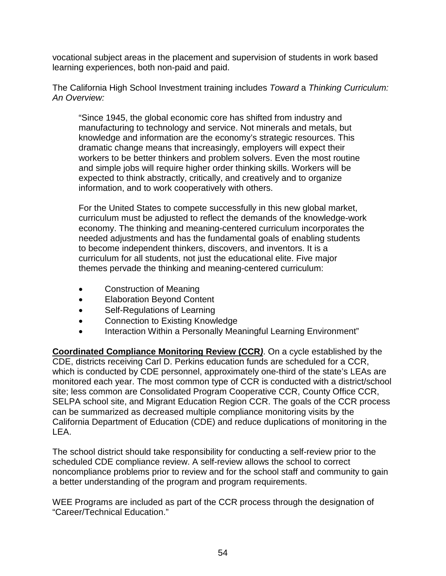vocational subject areas in the placement and supervision of students in work based learning experiences, both non-paid and paid.

The California High School Investment training includes *Toward* a *Thinking Curriculum: An Overview:*

"Since 1945, the global economic core has shifted from industry and manufacturing to technology and service. Not minerals and metals, but knowledge and information are the economy's strategic resources. This dramatic change means that increasingly, employers will expect their workers to be better thinkers and problem solvers. Even the most routine and simple jobs will require higher order thinking skills. Workers will be expected to think abstractly, critically, and creatively and to organize information, and to work cooperatively with others.

For the United States to compete successfully in this new global market, curriculum must be adjusted to reflect the demands of the knowledge-work economy. The thinking and meaning-centered curriculum incorporates the needed adjustments and has the fundamental goals of enabling students to become independent thinkers, discovers, and inventors. It is a curriculum for all students, not just the educational elite. Five major themes pervade the thinking and meaning-centered curriculum:

- Construction of Meaning
- Elaboration Beyond Content
- Self-Regulations of Learning
- Connection to Existing Knowledge
- Interaction Within a Personally Meaningful Learning Environment"

**Coordinated Compliance Monitoring Review (CCR***)*. On a cycle established by the CDE, districts receiving Carl D. Perkins education funds are scheduled for a CCR, which is conducted by CDE personnel, approximately one-third of the state's LEAs are monitored each year. The most common type of CCR is conducted with a district/school site; less common are Consolidated Program Cooperative CCR, County Office CCR, SELPA school site, and Migrant Education Region CCR. The goals of the CCR process can be summarized as decreased multiple compliance monitoring visits by the California Department of Education (CDE) and reduce duplications of monitoring in the LEA.

The school district should take responsibility for conducting a self-review prior to the scheduled CDE compliance review. A self-review allows the school to correct noncompliance problems prior to review and for the school staff and community to gain a better understanding of the program and program requirements.

WEE Programs are included as part of the CCR process through the designation of "Career/Technical Education."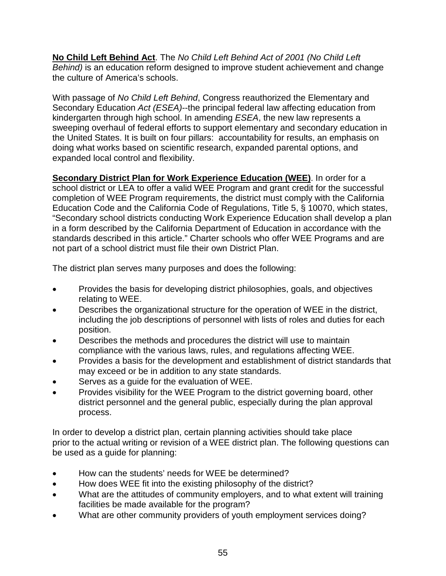**No Child Left Behind Act**. The *No Child Left Behind Act of 2001 (No Child Left Behind)* is an education reform designed to improve student achievement and change the culture of America's schools.

With passage of *No Child Left Behind*, Congress reauthorized the Elementary and Secondary Education *Act (ESEA)*--the principal federal law affecting education from kindergarten through high school. In amending *ESEA*, the new law represents a sweeping overhaul of federal efforts to support elementary and secondary education in the United States. It is built on four pillars: accountability for results, an emphasis on doing what works based on scientific research, expanded parental options, and expanded local control and flexibility.

**Secondary District Plan for Work Experience Education (WEE)**. In order for a school district or LEA to offer a valid WEE Program and grant credit for the successful completion of WEE Program requirements, the district must comply with the California Education Code and the California Code of Regulations, Title 5, § 10070, which states, "Secondary school districts conducting Work Experience Education shall develop a plan in a form described by the California Department of Education in accordance with the standards described in this article." Charter schools who offer WEE Programs and are not part of a school district must file their own District Plan.

The district plan serves many purposes and does the following:

- Provides the basis for developing district philosophies, goals, and objectives relating to WEE.
- Describes the organizational structure for the operation of WEE in the district, including the job descriptions of personnel with lists of roles and duties for each position.
- Describes the methods and procedures the district will use to maintain compliance with the various laws, rules, and regulations affecting WEE.
- Provides a basis for the development and establishment of district standards that may exceed or be in addition to any state standards.
- Serves as a guide for the evaluation of WEE.
- Provides visibility for the WEE Program to the district governing board, other district personnel and the general public, especially during the plan approval process.

In order to develop a district plan, certain planning activities should take place prior to the actual writing or revision of a WEE district plan. The following questions can be used as a guide for planning:

- How can the students' needs for WEE be determined?
- How does WEE fit into the existing philosophy of the district?
- What are the attitudes of community employers, and to what extent will training facilities be made available for the program?
- What are other community providers of youth employment services doing?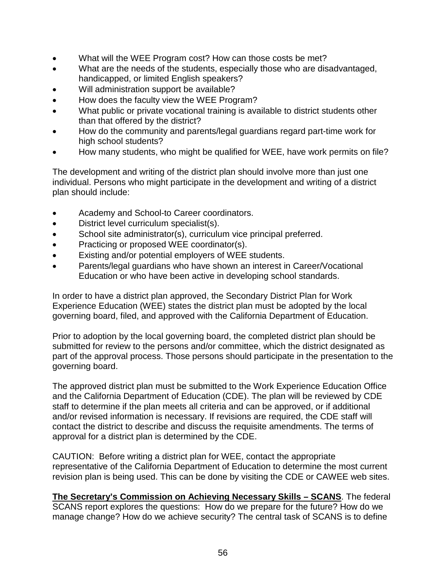- What will the WEE Program cost? How can those costs be met?
- What are the needs of the students, especially those who are disadvantaged, handicapped, or limited English speakers?
- Will administration support be available?
- How does the faculty view the WEE Program?
- What public or private vocational training is available to district students other than that offered by the district?
- How do the community and parents/legal guardians regard part-time work for high school students?
- How many students, who might be qualified for WEE, have work permits on file?

The development and writing of the district plan should involve more than just one individual. Persons who might participate in the development and writing of a district plan should include:

- Academy and School-to Career coordinators.
- District level curriculum specialist(s).
- School site administrator(s), curriculum vice principal preferred.
- Practicing or proposed WEE coordinator(s).
- Existing and/or potential employers of WEE students.
- Parents/legal guardians who have shown an interest in Career/Vocational Education or who have been active in developing school standards.

In order to have a district plan approved, the Secondary District Plan for Work Experience Education (WEE) states the district plan must be adopted by the local governing board, filed, and approved with the California Department of Education.

Prior to adoption by the local governing board, the completed district plan should be submitted for review to the persons and/or committee, which the district designated as part of the approval process. Those persons should participate in the presentation to the governing board.

The approved district plan must be submitted to the Work Experience Education Office and the California Department of Education (CDE). The plan will be reviewed by CDE staff to determine if the plan meets all criteria and can be approved, or if additional and/or revised information is necessary. If revisions are required, the CDE staff will contact the district to describe and discuss the requisite amendments. The terms of approval for a district plan is determined by the CDE.

CAUTION: Before writing a district plan for WEE, contact the appropriate representative of the California Department of Education to determine the most current revision plan is being used. This can be done by visiting the CDE or CAWEE web sites.

**The Secretary's Commission on Achieving Necessary Skills – SCANS**. The federal SCANS report explores the questions: How do we prepare for the future? How do we manage change? How do we achieve security? The central task of SCANS is to define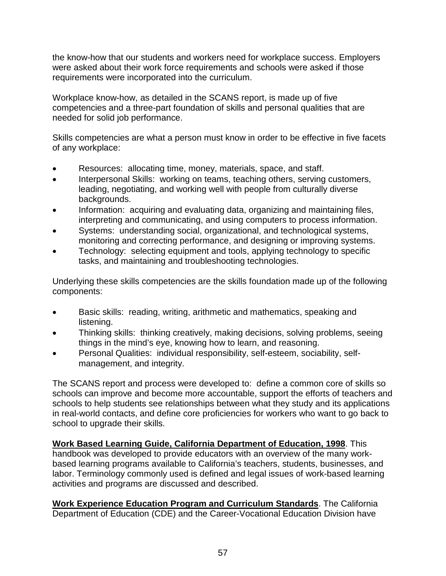the know-how that our students and workers need for workplace success. Employers were asked about their work force requirements and schools were asked if those requirements were incorporated into the curriculum.

Workplace know-how, as detailed in the SCANS report, is made up of five competencies and a three-part foundation of skills and personal qualities that are needed for solid job performance.

Skills competencies are what a person must know in order to be effective in five facets of any workplace:

- Resources: allocating time, money, materials, space, and staff.
- Interpersonal Skills: working on teams, teaching others, serving customers, leading, negotiating, and working well with people from culturally diverse backgrounds.
- Information: acquiring and evaluating data, organizing and maintaining files, interpreting and communicating, and using computers to process information.
- Systems: understanding social, organizational, and technological systems, monitoring and correcting performance, and designing or improving systems.
- Technology: selecting equipment and tools, applying technology to specific tasks, and maintaining and troubleshooting technologies.

Underlying these skills competencies are the skills foundation made up of the following components:

- Basic skills: reading, writing, arithmetic and mathematics, speaking and listening.
- Thinking skills: thinking creatively, making decisions, solving problems, seeing things in the mind's eye, knowing how to learn, and reasoning.
- Personal Qualities: individual responsibility, self-esteem, sociability, selfmanagement, and integrity.

The SCANS report and process were developed to: define a common core of skills so schools can improve and become more accountable, support the efforts of teachers and schools to help students see relationships between what they study and its applications in real-world contacts, and define core proficiencies for workers who want to go back to school to upgrade their skills.

**Work Based Learning Guide, California Department of Education, 1998**. This handbook was developed to provide educators with an overview of the many workbased learning programs available to California's teachers, students, businesses, and labor. Terminology commonly used is defined and legal issues of work-based learning activities and programs are discussed and described.

**Work Experience Education Program and Curriculum Standards**. The California Department of Education (CDE) and the Career-Vocational Education Division have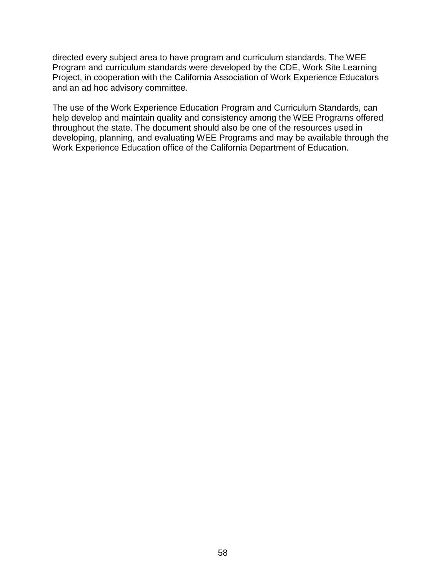directed every subject area to have program and curriculum standards. The WEE Program and curriculum standards were developed by the CDE, Work Site Learning Project, in cooperation with the California Association of Work Experience Educators and an ad hoc advisory committee.

The use of the Work Experience Education Program and Curriculum Standards, can help develop and maintain quality and consistency among the WEE Programs offered throughout the state. The document should also be one of the resources used in developing, planning, and evaluating WEE Programs and may be available through the Work Experience Education office of the California Department of Education.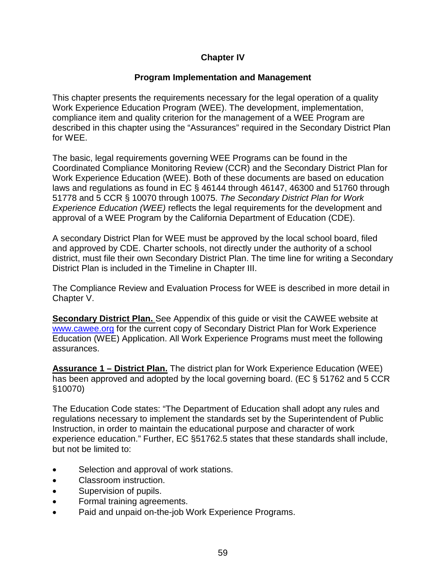## **Chapter IV**

## **Program Implementation and Management**

This chapter presents the requirements necessary for the legal operation of a quality Work Experience Education Program (WEE). The development, implementation, compliance item and quality criterion for the management of a WEE Program are described in this chapter using the "Assurances" required in the Secondary District Plan for WEE.

The basic, legal requirements governing WEE Programs can be found in the Coordinated Compliance Monitoring Review (CCR) and the Secondary District Plan for Work Experience Education (WEE). Both of these documents are based on education laws and regulations as found in EC § 46144 through 46147, 46300 and 51760 through 51778 and 5 CCR § 10070 through 10075. *The Secondary District Plan for Work Experience Education (WEE)* reflects the legal requirements for the development and approval of a WEE Program by the California Department of Education (CDE).

A secondary District Plan for WEE must be approved by the local school board, filed and approved by CDE. Charter schools, not directly under the authority of a school district, must file their own Secondary District Plan. The time line for writing a Secondary District Plan is included in the Timeline in Chapter III.

The Compliance Review and Evaluation Process for WEE is described in more detail in Chapter V.

**Secondary District Plan.** See Appendix of this guide or visit the CAWEE website at [www.cawee.org](http://www.cawee.org/) for the current copy of Secondary District Plan for Work Experience Education (WEE) Application. All Work Experience Programs must meet the following assurances.

**Assurance 1 – District Plan.** The district plan for Work Experience Education (WEE) has been approved and adopted by the local governing board. (EC § 51762 and 5 CCR §10070)

The Education Code states: "The Department of Education shall adopt any rules and regulations necessary to implement the standards set by the Superintendent of Public Instruction, in order to maintain the educational purpose and character of work experience education." Further, EC §51762.5 states that these standards shall include, but not be limited to:

- Selection and approval of work stations.
- Classroom instruction.
- Supervision of pupils.
- Formal training agreements.
- Paid and unpaid on-the-job Work Experience Programs.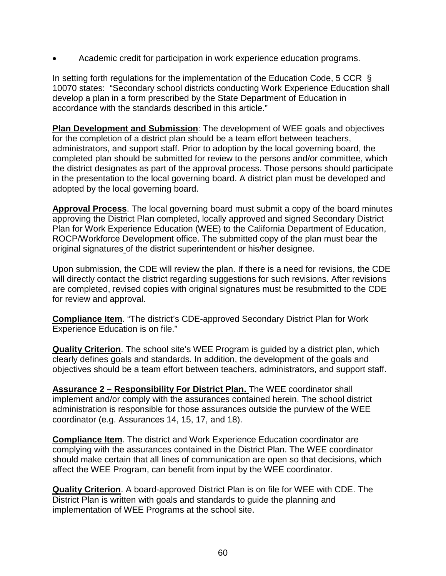• Academic credit for participation in work experience education programs.

In setting forth regulations for the implementation of the Education Code, 5 CCR § 10070 states: "Secondary school districts conducting Work Experience Education shall develop a plan in a form prescribed by the State Department of Education in accordance with the standards described in this article."

**Plan Development and Submission**: The development of WEE goals and objectives for the completion of a district plan should be a team effort between teachers, administrators, and support staff. Prior to adoption by the local governing board, the completed plan should be submitted for review to the persons and/or committee, which the district designates as part of the approval process. Those persons should participate in the presentation to the local governing board. A district plan must be developed and adopted by the local governing board.

**Approval Process**. The local governing board must submit a copy of the board minutes approving the District Plan completed, locally approved and signed Secondary District Plan for Work Experience Education (WEE) to the California Department of Education, ROCP/Workforce Development office. The submitted copy of the plan must bear the original signatures of the district superintendent or his/her designee.

Upon submission, the CDE will review the plan. If there is a need for revisions, the CDE will directly contact the district regarding suggestions for such revisions. After revisions are completed, revised copies with original signatures must be resubmitted to the CDE for review and approval.

**Compliance Item**. "The district's CDE-approved Secondary District Plan for Work Experience Education is on file."

**Quality Criterion**. The school site's WEE Program is guided by a district plan, which clearly defines goals and standards. In addition, the development of the goals and objectives should be a team effort between teachers, administrators, and support staff.

**Assurance 2 – Responsibility For District Plan.** The WEE coordinator shall implement and/or comply with the assurances contained herein. The school district administration is responsible for those assurances outside the purview of the WEE coordinator (e.g. Assurances 14, 15, 17, and 18).

**Compliance Item**. The district and Work Experience Education coordinator are complying with the assurances contained in the District Plan. The WEE coordinator should make certain that all lines of communication are open so that decisions, which affect the WEE Program, can benefit from input by the WEE coordinator.

**Quality Criterion**. A board-approved District Plan is on file for WEE with CDE. The District Plan is written with goals and standards to guide the planning and implementation of WEE Programs at the school site.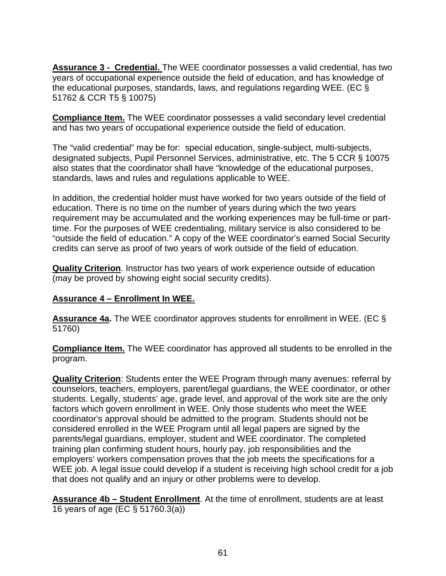**Assurance 3 - Credential.** The WEE coordinator possesses a valid credential, has two years of occupational experience outside the field of education, and has knowledge of the educational purposes, standards, laws, and regulations regarding WEE. (EC § 51762 & CCR T5 § 10075)

**Compliance Item.** The WEE coordinator possesses a valid secondary level credential and has two years of occupational experience outside the field of education.

The "valid credential" may be for: special education, single-subject, multi-subjects, designated subjects, Pupil Personnel Services, administrative, etc. The 5 CCR § 10075 also states that the coordinator shall have "knowledge of the educational purposes, standards, laws and rules and regulations applicable to WEE.

In addition, the credential holder must have worked for two years outside of the field of education. There is no time on the number of years during which the two years requirement may be accumulated and the working experiences may be full-time or parttime. For the purposes of WEE credentialing, military service is also considered to be "outside the field of education." A copy of the WEE coordinator's earned Social Security credits can serve as proof of two years of work outside of the field of education.

**Quality Criterion**. Instructor has two years of work experience outside of education (may be proved by showing eight social security credits).

## **Assurance 4 – Enrollment In WEE.**

**Assurance 4a.** The WEE coordinator approves students for enrollment in WEE. (EC § 51760)

**Compliance Item.** The WEE coordinator has approved all students to be enrolled in the program.

**Quality Criterion**: Students enter the WEE Program through many avenues: referral by counselors, teachers, employers, parent/legal guardians, the WEE coordinator, or other students. Legally, students' age, grade level, and approval of the work site are the only factors which govern enrollment in WEE. Only those students who meet the WEE coordinator's approval should be admitted to the program. Students should not be considered enrolled in the WEE Program until all legal papers are signed by the parents/legal guardians, employer, student and WEE coordinator. The completed training plan confirming student hours, hourly pay, job responsibilities and the employers' workers compensation proves that the job meets the specifications for a WEE job. A legal issue could develop if a student is receiving high school credit for a job that does not qualify and an injury or other problems were to develop.

**Assurance 4b – Student Enrollment**. At the time of enrollment, students are at least 16 years of age (EC § 51760.3(a))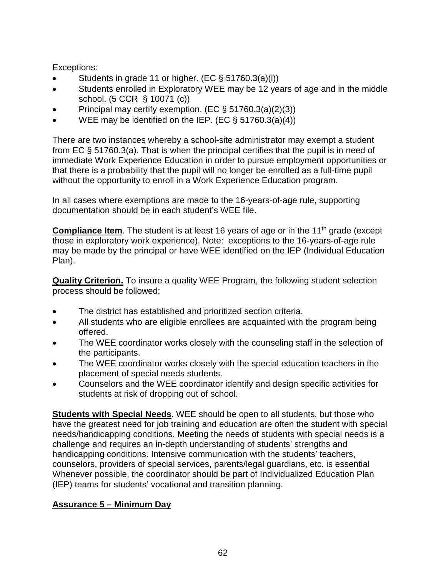Exceptions:

- Students in grade 11 or higher. (EC  $\S$  51760.3(a)(i))
- Students enrolled in Exploratory WEE may be 12 years of age and in the middle school. (5 CCR § 10071 (c))
- Principal may certify exemption. (EC § 51760.3(a)(2)(3))
- WEE may be identified on the IEP. (EC  $\S$  51760.3(a)(4))

There are two instances whereby a school-site administrator may exempt a student from EC § 51760.3(a). That is when the principal certifies that the pupil is in need of immediate Work Experience Education in order to pursue employment opportunities or that there is a probability that the pupil will no longer be enrolled as a full-time pupil without the opportunity to enroll in a Work Experience Education program.

In all cases where exemptions are made to the 16-years-of-age rule, supporting documentation should be in each student's WEE file.

**Compliance Item**. The student is at least 16 years of age or in the 11<sup>th</sup> grade (except those in exploratory work experience). Note: exceptions to the 16-years-of-age rule may be made by the principal or have WEE identified on the IEP (Individual Education Plan).

**Quality Criterion.** To insure a quality WEE Program, the following student selection process should be followed:

- The district has established and prioritized section criteria.
- All students who are eligible enrollees are acquainted with the program being offered.
- The WEE coordinator works closely with the counseling staff in the selection of the participants.
- The WEE coordinator works closely with the special education teachers in the placement of special needs students.
- Counselors and the WEE coordinator identify and design specific activities for students at risk of dropping out of school.

**Students with Special Needs**. WEE should be open to all students, but those who have the greatest need for job training and education are often the student with special needs/handicapping conditions. Meeting the needs of students with special needs is a challenge and requires an in-depth understanding of students' strengths and handicapping conditions. Intensive communication with the students' teachers, counselors, providers of special services, parents/legal guardians, etc. is essential Whenever possible, the coordinator should be part of Individualized Education Plan (IEP) teams for students' vocational and transition planning.

# **Assurance 5 – Minimum Day**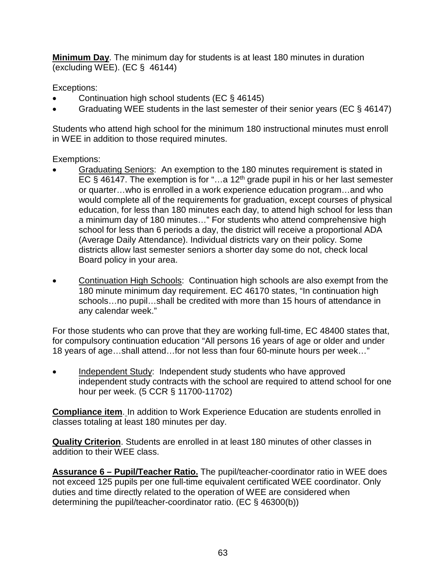**Minimum Day**. The minimum day for students is at least 180 minutes in duration (excluding WEE). (EC  $\S$  46144)

Exceptions:

- Continuation high school students (EC § 46145)
- Graduating WEE students in the last semester of their senior years (EC § 46147)

Students who attend high school for the minimum 180 instructional minutes must enroll in WEE in addition to those required minutes.

Exemptions:

- Graduating Seniors: An exemption to the 180 minutes requirement is stated in EC § 46147. The exemption is for "...a 12<sup>th</sup> grade pupil in his or her last semester or quarter…who is enrolled in a work experience education program…and who would complete all of the requirements for graduation, except courses of physical education, for less than 180 minutes each day, to attend high school for less than a minimum day of 180 minutes…" For students who attend comprehensive high school for less than 6 periods a day, the district will receive a proportional ADA (Average Daily Attendance). Individual districts vary on their policy. Some districts allow last semester seniors a shorter day some do not, check local Board policy in your area.
- Continuation High Schools: Continuation high schools are also exempt from the 180 minute minimum day requirement. EC 46170 states, "In continuation high schools…no pupil…shall be credited with more than 15 hours of attendance in any calendar week."

For those students who can prove that they are working full-time, EC 48400 states that, for compulsory continuation education "All persons 16 years of age or older and under 18 years of age…shall attend…for not less than four 60-minute hours per week…"

Independent Study: Independent study students who have approved independent study contracts with the school are required to attend school for one hour per week. (5 CCR § 11700-11702)

**Compliance item**. In addition to Work Experience Education are students enrolled in classes totaling at least 180 minutes per day.

**Quality Criterion**. Students are enrolled in at least 180 minutes of other classes in addition to their WEE class.

**Assurance 6 – Pupil/Teacher Ratio.** The pupil/teacher-coordinator ratio in WEE does not exceed 125 pupils per one full-time equivalent certificated WEE coordinator. Only duties and time directly related to the operation of WEE are considered when determining the pupil/teacher-coordinator ratio. (EC § 46300(b))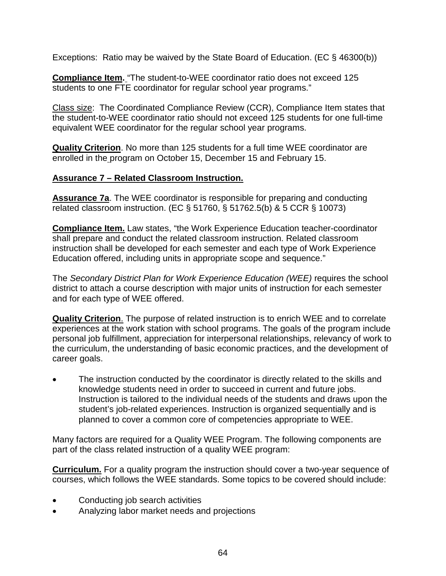Exceptions: Ratio may be waived by the State Board of Education. (EC § 46300(b))

**Compliance Item.** "The student-to-WEE coordinator ratio does not exceed 125 students to one FTE coordinator for regular school year programs."

Class size: The Coordinated Compliance Review (CCR), Compliance Item states that the student-to-WEE coordinator ratio should not exceed 125 students for one full-time equivalent WEE coordinator for the regular school year programs.

**Quality Criterion**. No more than 125 students for a full time WEE coordinator are enrolled in the program on October 15, December 15 and February 15.

## **Assurance 7 – Related Classroom Instruction.**

**Assurance 7a**. The WEE coordinator is responsible for preparing and conducting related classroom instruction. (EC § 51760, § 51762.5(b) & 5 CCR § 10073)

**Compliance Item.** Law states, "the Work Experience Education teacher-coordinator shall prepare and conduct the related classroom instruction. Related classroom instruction shall be developed for each semester and each type of Work Experience Education offered, including units in appropriate scope and sequence."

The *Secondary District Plan for Work Experience Education (WEE)* requires the school district to attach a course description with major units of instruction for each semester and for each type of WEE offered.

**Quality Criterion**. The purpose of related instruction is to enrich WEE and to correlate experiences at the work station with school programs. The goals of the program include personal job fulfillment, appreciation for interpersonal relationships, relevancy of work to the curriculum, the understanding of basic economic practices, and the development of career goals.

The instruction conducted by the coordinator is directly related to the skills and knowledge students need in order to succeed in current and future jobs. Instruction is tailored to the individual needs of the students and draws upon the student's job-related experiences. Instruction is organized sequentially and is planned to cover a common core of competencies appropriate to WEE.

Many factors are required for a Quality WEE Program. The following components are part of the class related instruction of a quality WEE program:

**Curriculum.** For a quality program the instruction should cover a two-year sequence of courses, which follows the WEE standards. Some topics to be covered should include:

- Conducting job search activities
- Analyzing labor market needs and projections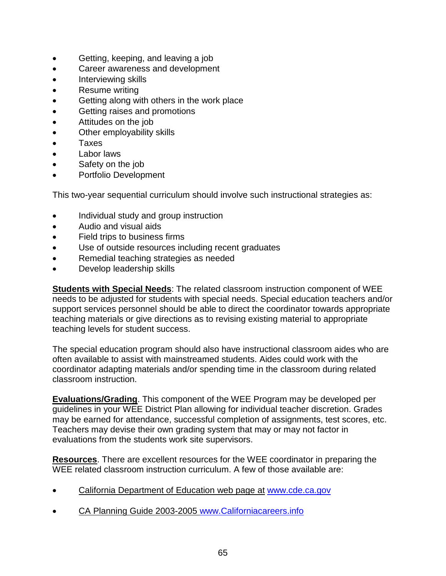- Getting, keeping, and leaving a job
- Career awareness and development
- Interviewing skills
- Resume writing
- Getting along with others in the work place
- Getting raises and promotions
- Attitudes on the job
- Other employability skills
- Taxes
- Labor laws
- Safety on the job
- Portfolio Development

This two-year sequential curriculum should involve such instructional strategies as:

- Individual study and group instruction
- Audio and visual aids
- Field trips to business firms
- Use of outside resources including recent graduates
- Remedial teaching strategies as needed
- Develop leadership skills

**Students with Special Needs**: The related classroom instruction component of WEE needs to be adjusted for students with special needs. Special education teachers and/or support services personnel should be able to direct the coordinator towards appropriate teaching materials or give directions as to revising existing material to appropriate teaching levels for student success.

The special education program should also have instructional classroom aides who are often available to assist with mainstreamed students. Aides could work with the coordinator adapting materials and/or spending time in the classroom during related classroom instruction.

**Evaluations/Grading**. This component of the WEE Program may be developed per guidelines in your WEE District Plan allowing for individual teacher discretion. Grades may be earned for attendance, successful completion of assignments, test scores, etc. Teachers may devise their own grading system that may or may not factor in evaluations from the students work site supervisors.

**Resources**. There are excellent resources for the WEE coordinator in preparing the WEE related classroom instruction curriculum. A few of those available are:

- California Department of Education web page at [www.cde.ca.gov](http://www.cde.ca.gov/)
- CA Planning Guide 2003-2005 www.Californiacareers.info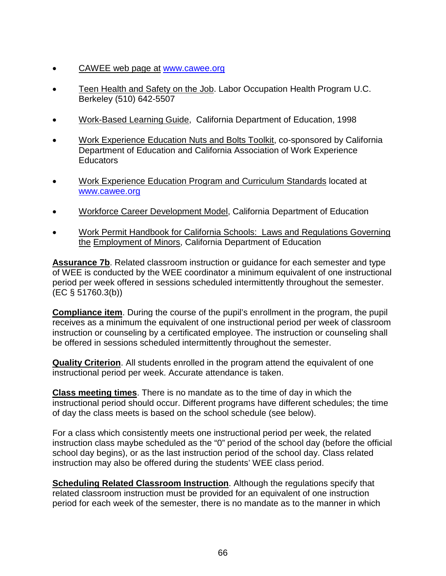- CAWEE web page at [www.cawee.org](http://www.cawee.org/)
- Teen Health and Safety on the Job. Labor Occupation Health Program U.C. Berkeley (510) 642-5507
- Work-Based Learning Guide,California Department of Education, 1998
- Work Experience Education Nuts and Bolts Toolkit, co-sponsored by California Department of Education and California Association of Work Experience **Educators**
- Work Experience Education Program and Curriculum Standards located at [www.cawee.org](http://www.cawee.org/)
- Workforce Career Development Model, California Department of Education
- Work Permit Handbook for California Schools: Laws and Regulations Governing the Employment of Minors, California Department of Education

**Assurance 7b**. Related classroom instruction or guidance for each semester and type of WEE is conducted by the WEE coordinator a minimum equivalent of one instructional period per week offered in sessions scheduled intermittently throughout the semester. (EC § 51760.3(b))

**Compliance item**. During the course of the pupil's enrollment in the program, the pupil receives as a minimum the equivalent of one instructional period per week of classroom instruction or counseling by a certificated employee. The instruction or counseling shall be offered in sessions scheduled intermittently throughout the semester.

**Quality Criterion**. All students enrolled in the program attend the equivalent of one instructional period per week. Accurate attendance is taken.

**Class meeting times**. There is no mandate as to the time of day in which the instructional period should occur. Different programs have different schedules; the time of day the class meets is based on the school schedule (see below).

For a class which consistently meets one instructional period per week, the related instruction class maybe scheduled as the "0" period of the school day (before the official school day begins), or as the last instruction period of the school day. Class related instruction may also be offered during the students' WEE class period.

**Scheduling Related Classroom Instruction**. Although the regulations specify that related classroom instruction must be provided for an equivalent of one instruction period for each week of the semester, there is no mandate as to the manner in which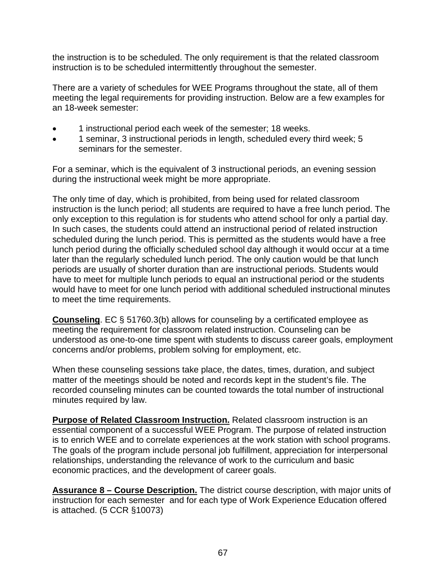the instruction is to be scheduled. The only requirement is that the related classroom instruction is to be scheduled intermittently throughout the semester.

There are a variety of schedules for WEE Programs throughout the state, all of them meeting the legal requirements for providing instruction. Below are a few examples for an 18-week semester:

- 1 instructional period each week of the semester; 18 weeks.
- 1 seminar, 3 instructional periods in length, scheduled every third week; 5 seminars for the semester.

For a seminar, which is the equivalent of 3 instructional periods, an evening session during the instructional week might be more appropriate.

The only time of day, which is prohibited, from being used for related classroom instruction is the lunch period; all students are required to have a free lunch period. The only exception to this regulation is for students who attend school for only a partial day. In such cases, the students could attend an instructional period of related instruction scheduled during the lunch period. This is permitted as the students would have a free lunch period during the officially scheduled school day although it would occur at a time later than the regularly scheduled lunch period. The only caution would be that lunch periods are usually of shorter duration than are instructional periods. Students would have to meet for multiple lunch periods to equal an instructional period or the students would have to meet for one lunch period with additional scheduled instructional minutes to meet the time requirements.

**Counseling**. EC § 51760.3(b) allows for counseling by a certificated employee as meeting the requirement for classroom related instruction. Counseling can be understood as one-to-one time spent with students to discuss career goals, employment concerns and/or problems, problem solving for employment, etc.

When these counseling sessions take place, the dates, times, duration, and subject matter of the meetings should be noted and records kept in the student's file. The recorded counseling minutes can be counted towards the total number of instructional minutes required by law.

**Purpose of Related Classroom Instruction.** Related classroom instruction is an essential component of a successful WEE Program. The purpose of related instruction is to enrich WEE and to correlate experiences at the work station with school programs. The goals of the program include personal job fulfillment, appreciation for interpersonal relationships, understanding the relevance of work to the curriculum and basic economic practices, and the development of career goals.

**Assurance 8 – Course Description.** The district course description, with major units of instruction for each semester and for each type of Work Experience Education offered is attached. (5 CCR §10073)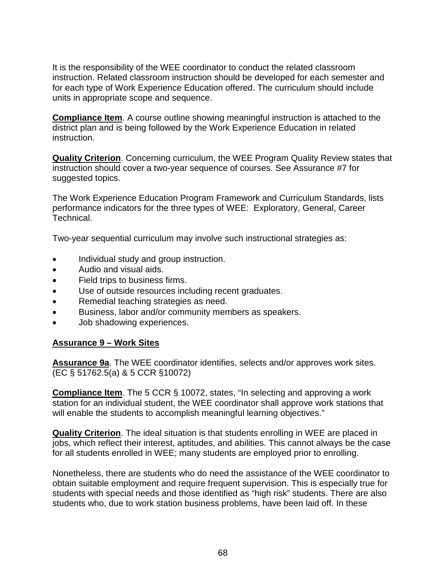It is the responsibility of the WEE coordinator to conduct the related classroom instruction. Related classroom instruction should be developed for each semester and for each type of Work Experience Education offered. The curriculum should include units in appropriate scope and sequence.

**Compliance Item**. A course outline showing meaningful instruction is attached to the district plan and is being followed by the Work Experience Education in related instruction.

**Quality Criterion**. Concerning curriculum, the WEE Program Quality Review states that instruction should cover a two-year sequence of courses. See Assurance #7 for suggested topics.

The Work Experience Education Program Framework and Curriculum Standards, lists performance indicators for the three types of WEE: Exploratory, General, Career Technical.

Two-year sequential curriculum may involve such instructional strategies as:

- Individual study and group instruction.
- Audio and visual aids.
- Field trips to business firms.
- Use of outside resources including recent graduates.
- Remedial teaching strategies as need.
- Business, labor and/or community members as speakers.
- Job shadowing experiences.

## **Assurance 9 – Work Sites**

**Assurance 9a**. The WEE coordinator identifies, selects and/or approves work sites. (EC § 51762.5(a) & 5 CCR §10072)

**Compliance Item.** The 5 CCR § 10072, states, "In selecting and approving a work station for an individual student, the WEE coordinator shall approve work stations that will enable the students to accomplish meaningful learning objectives."

**Quality Criterion**. The ideal situation is that students enrolling in WEE are placed in jobs, which reflect their interest, aptitudes, and abilities. This cannot always be the case for all students enrolled in WEE; many students are employed prior to enrolling.

Nonetheless, there are students who do need the assistance of the WEE coordinator to obtain suitable employment and require frequent supervision. This is especially true for students with special needs and those identified as "high risk" students. There are also students who, due to work station business problems, have been laid off. In these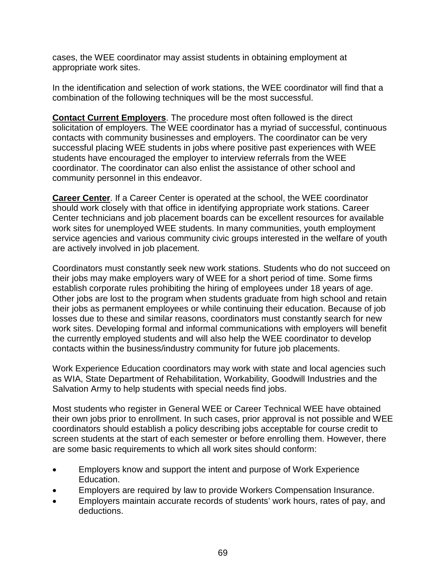cases, the WEE coordinator may assist students in obtaining employment at appropriate work sites.

In the identification and selection of work stations, the WEE coordinator will find that a combination of the following techniques will be the most successful.

**Contact Current Employers**. The procedure most often followed is the direct solicitation of employers. The WEE coordinator has a myriad of successful, continuous contacts with community businesses and employers. The coordinator can be very successful placing WEE students in jobs where positive past experiences with WEE students have encouraged the employer to interview referrals from the WEE coordinator. The coordinator can also enlist the assistance of other school and community personnel in this endeavor.

**Career Center**. If a Career Center is operated at the school, the WEE coordinator should work closely with that office in identifying appropriate work stations. Career Center technicians and job placement boards can be excellent resources for available work sites for unemployed WEE students. In many communities, youth employment service agencies and various community civic groups interested in the welfare of youth are actively involved in job placement.

Coordinators must constantly seek new work stations. Students who do not succeed on their jobs may make employers wary of WEE for a short period of time. Some firms establish corporate rules prohibiting the hiring of employees under 18 years of age. Other jobs are lost to the program when students graduate from high school and retain their jobs as permanent employees or while continuing their education. Because of job losses due to these and similar reasons, coordinators must constantly search for new work sites. Developing formal and informal communications with employers will benefit the currently employed students and will also help the WEE coordinator to develop contacts within the business/industry community for future job placements.

Work Experience Education coordinators may work with state and local agencies such as WIA, State Department of Rehabilitation, Workability, Goodwill Industries and the Salvation Army to help students with special needs find jobs.

Most students who register in General WEE or Career Technical WEE have obtained their own jobs prior to enrollment. In such cases, prior approval is not possible and WEE coordinators should establish a policy describing jobs acceptable for course credit to screen students at the start of each semester or before enrolling them. However, there are some basic requirements to which all work sites should conform:

- Employers know and support the intent and purpose of Work Experience Education.
- Employers are required by law to provide Workers Compensation Insurance.
- Employers maintain accurate records of students' work hours, rates of pay, and deductions.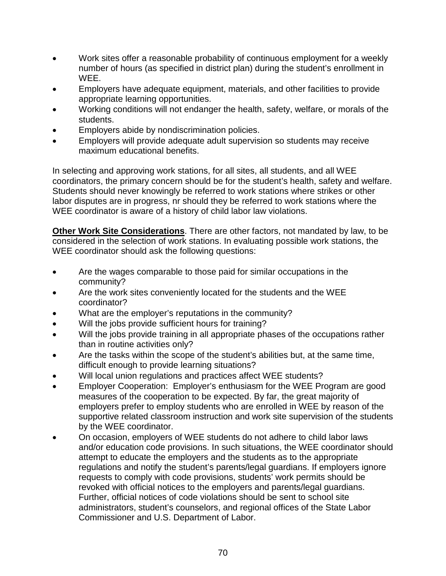- Work sites offer a reasonable probability of continuous employment for a weekly number of hours (as specified in district plan) during the student's enrollment in WEE.
- Employers have adequate equipment, materials, and other facilities to provide appropriate learning opportunities.
- Working conditions will not endanger the health, safety, welfare, or morals of the students.
- Employers abide by nondiscrimination policies.
- Employers will provide adequate adult supervision so students may receive maximum educational benefits.

In selecting and approving work stations, for all sites, all students, and all WEE coordinators, the primary concern should be for the student's health, safety and welfare. Students should never knowingly be referred to work stations where strikes or other labor disputes are in progress, nr should they be referred to work stations where the WEE coordinator is aware of a history of child labor law violations.

**Other Work Site Considerations**. There are other factors, not mandated by law, to be considered in the selection of work stations. In evaluating possible work stations, the WEE coordinator should ask the following questions:

- Are the wages comparable to those paid for similar occupations in the community?
- Are the work sites conveniently located for the students and the WEE coordinator?
- What are the employer's reputations in the community?
- Will the jobs provide sufficient hours for training?
- Will the jobs provide training in all appropriate phases of the occupations rather than in routine activities only?
- Are the tasks within the scope of the student's abilities but, at the same time, difficult enough to provide learning situations?
- Will local union regulations and practices affect WEE students?
- Employer Cooperation: Employer's enthusiasm for the WEE Program are good measures of the cooperation to be expected. By far, the great majority of employers prefer to employ students who are enrolled in WEE by reason of the supportive related classroom instruction and work site supervision of the students by the WEE coordinator.
- On occasion, employers of WEE students do not adhere to child labor laws and/or education code provisions. In such situations, the WEE coordinator should attempt to educate the employers and the students as to the appropriate regulations and notify the student's parents/legal guardians. If employers ignore requests to comply with code provisions, students' work permits should be revoked with official notices to the employers and parents/legal guardians. Further, official notices of code violations should be sent to school site administrators, student's counselors, and regional offices of the State Labor Commissioner and U.S. Department of Labor.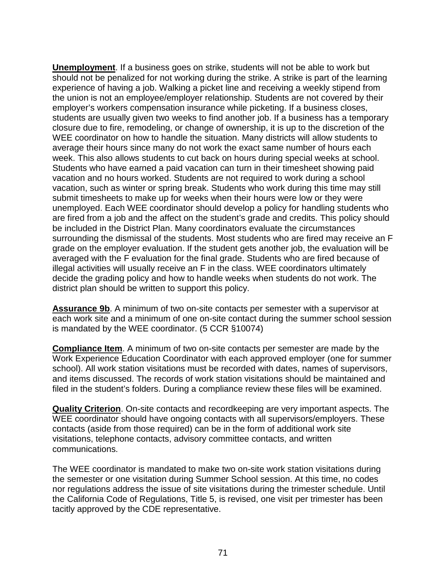**Unemployment**. If a business goes on strike, students will not be able to work but should not be penalized for not working during the strike. A strike is part of the learning experience of having a job. Walking a picket line and receiving a weekly stipend from the union is not an employee/employer relationship. Students are not covered by their employer's workers compensation insurance while picketing. If a business closes, students are usually given two weeks to find another job. If a business has a temporary closure due to fire, remodeling, or change of ownership, it is up to the discretion of the WEE coordinator on how to handle the situation. Many districts will allow students to average their hours since many do not work the exact same number of hours each week. This also allows students to cut back on hours during special weeks at school. Students who have earned a paid vacation can turn in their timesheet showing paid vacation and no hours worked. Students are not required to work during a school vacation, such as winter or spring break. Students who work during this time may still submit timesheets to make up for weeks when their hours were low or they were unemployed. Each WEE coordinator should develop a policy for handling students who are fired from a job and the affect on the student's grade and credits. This policy should be included in the District Plan. Many coordinators evaluate the circumstances surrounding the dismissal of the students. Most students who are fired may receive an F grade on the employer evaluation. If the student gets another job, the evaluation will be averaged with the F evaluation for the final grade. Students who are fired because of illegal activities will usually receive an F in the class. WEE coordinators ultimately decide the grading policy and how to handle weeks when students do not work. The district plan should be written to support this policy.

**Assurance 9b**. A minimum of two on-site contacts per semester with a supervisor at each work site and a minimum of one on-site contact during the summer school session is mandated by the WEE coordinator. (5 CCR §10074)

**Compliance Item**. A minimum of two on-site contacts per semester are made by the Work Experience Education Coordinator with each approved employer (one for summer school). All work station visitations must be recorded with dates, names of supervisors, and items discussed. The records of work station visitations should be maintained and filed in the student's folders. During a compliance review these files will be examined.

**Quality Criterion**. On-site contacts and recordkeeping are very important aspects. The WEE coordinator should have ongoing contacts with all supervisors/employers. These contacts (aside from those required) can be in the form of additional work site visitations, telephone contacts, advisory committee contacts, and written communications.

The WEE coordinator is mandated to make two on-site work station visitations during the semester or one visitation during Summer School session. At this time, no codes nor regulations address the issue of site visitations during the trimester schedule. Until the California Code of Regulations, Title 5, is revised, one visit per trimester has been tacitly approved by the CDE representative.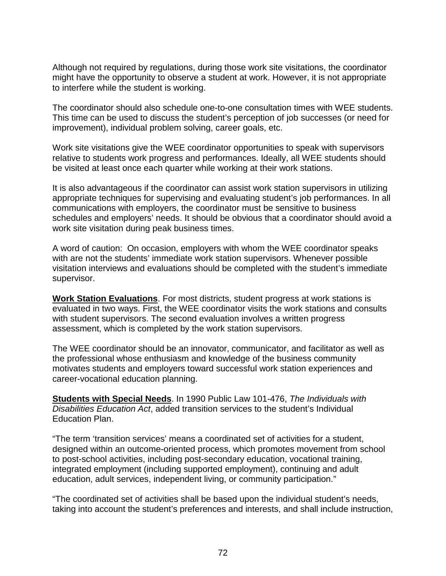Although not required by regulations, during those work site visitations, the coordinator might have the opportunity to observe a student at work. However, it is not appropriate to interfere while the student is working.

The coordinator should also schedule one-to-one consultation times with WEE students. This time can be used to discuss the student's perception of job successes (or need for improvement), individual problem solving, career goals, etc.

Work site visitations give the WEE coordinator opportunities to speak with supervisors relative to students work progress and performances. Ideally, all WEE students should be visited at least once each quarter while working at their work stations.

It is also advantageous if the coordinator can assist work station supervisors in utilizing appropriate techniques for supervising and evaluating student's job performances. In all communications with employers, the coordinator must be sensitive to business schedules and employers' needs. It should be obvious that a coordinator should avoid a work site visitation during peak business times.

A word of caution: On occasion, employers with whom the WEE coordinator speaks with are not the students' immediate work station supervisors. Whenever possible visitation interviews and evaluations should be completed with the student's immediate supervisor.

**Work Station Evaluations**. For most districts, student progress at work stations is evaluated in two ways. First, the WEE coordinator visits the work stations and consults with student supervisors. The second evaluation involves a written progress assessment, which is completed by the work station supervisors.

The WEE coordinator should be an innovator, communicator, and facilitator as well as the professional whose enthusiasm and knowledge of the business community motivates students and employers toward successful work station experiences and career-vocational education planning.

**Students with Special Needs**. In 1990 Public Law 101-476, *The Individuals with Disabilities Education Act*, added transition services to the student's Individual Education Plan.

"The term 'transition services' means a coordinated set of activities for a student, designed within an outcome-oriented process, which promotes movement from school to post-school activities, including post-secondary education, vocational training, integrated employment (including supported employment), continuing and adult education, adult services, independent living, or community participation."

"The coordinated set of activities shall be based upon the individual student's needs, taking into account the student's preferences and interests, and shall include instruction,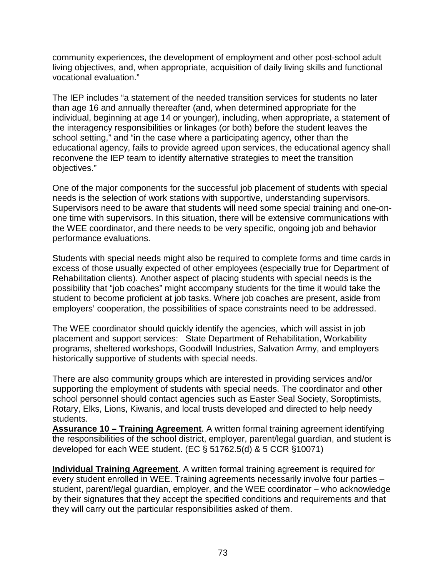community experiences, the development of employment and other post-school adult living objectives, and, when appropriate, acquisition of daily living skills and functional vocational evaluation."

The IEP includes "a statement of the needed transition services for students no later than age 16 and annually thereafter (and, when determined appropriate for the individual, beginning at age 14 or younger), including, when appropriate, a statement of the interagency responsibilities or linkages (or both) before the student leaves the school setting," and "in the case where a participating agency, other than the educational agency, fails to provide agreed upon services, the educational agency shall reconvene the IEP team to identify alternative strategies to meet the transition objectives."

One of the major components for the successful job placement of students with special needs is the selection of work stations with supportive, understanding supervisors. Supervisors need to be aware that students will need some special training and one-onone time with supervisors. In this situation, there will be extensive communications with the WEE coordinator, and there needs to be very specific, ongoing job and behavior performance evaluations.

Students with special needs might also be required to complete forms and time cards in excess of those usually expected of other employees (especially true for Department of Rehabilitation clients). Another aspect of placing students with special needs is the possibility that "job coaches" might accompany students for the time it would take the student to become proficient at job tasks. Where job coaches are present, aside from employers' cooperation, the possibilities of space constraints need to be addressed.

The WEE coordinator should quickly identify the agencies, which will assist in job placement and support services: State Department of Rehabilitation, Workability programs, sheltered workshops, Goodwill Industries, Salvation Army, and employers historically supportive of students with special needs.

There are also community groups which are interested in providing services and/or supporting the employment of students with special needs. The coordinator and other school personnel should contact agencies such as Easter Seal Society, Soroptimists, Rotary, Elks, Lions, Kiwanis, and local trusts developed and directed to help needy students.

**Assurance 10 – Training Agreement**. A written formal training agreement identifying the responsibilities of the school district, employer, parent/legal guardian, and student is developed for each WEE student. (EC § 51762.5(d) & 5 CCR §10071)

**Individual Training Agreement**. A written formal training agreement is required for every student enrolled in WEE. Training agreements necessarily involve four parties – student, parent/legal guardian, employer, and the WEE coordinator – who acknowledge by their signatures that they accept the specified conditions and requirements and that they will carry out the particular responsibilities asked of them.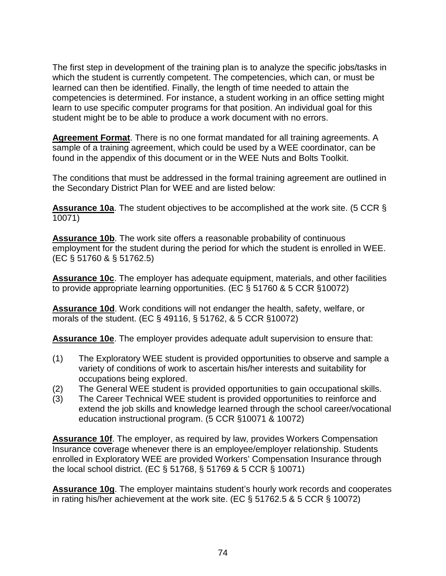The first step in development of the training plan is to analyze the specific jobs/tasks in which the student is currently competent. The competencies, which can, or must be learned can then be identified. Finally, the length of time needed to attain the competencies is determined. For instance, a student working in an office setting might learn to use specific computer programs for that position. An individual goal for this student might be to be able to produce a work document with no errors.

**Agreement Format**. There is no one format mandated for all training agreements. A sample of a training agreement, which could be used by a WEE coordinator, can be found in the appendix of this document or in the WEE Nuts and Bolts Toolkit.

The conditions that must be addressed in the formal training agreement are outlined in the Secondary District Plan for WEE and are listed below:

**Assurance 10a**. The student objectives to be accomplished at the work site. (5 CCR § 10071)

**Assurance 10b**. The work site offers a reasonable probability of continuous employment for the student during the period for which the student is enrolled in WEE. (EC § 51760 & § 51762.5)

**Assurance 10c**. The employer has adequate equipment, materials, and other facilities to provide appropriate learning opportunities. (EC § 51760 & 5 CCR §10072)

**Assurance 10d**. Work conditions will not endanger the health, safety, welfare, or morals of the student. (EC § 49116, § 51762, & 5 CCR §10072)

**Assurance 10e**. The employer provides adequate adult supervision to ensure that:

- (1) The Exploratory WEE student is provided opportunities to observe and sample a variety of conditions of work to ascertain his/her interests and suitability for occupations being explored.
- (2) The General WEE student is provided opportunities to gain occupational skills.
- (3) The Career Technical WEE student is provided opportunities to reinforce and extend the job skills and knowledge learned through the school career/vocational education instructional program. (5 CCR §10071 & 10072)

**Assurance 10f**. The employer, as required by law, provides Workers Compensation Insurance coverage whenever there is an employee/employer relationship. Students enrolled in Exploratory WEE are provided Workers' Compensation Insurance through the local school district. (EC § 51768, § 51769 & 5 CCR § 10071)

**Assurance 10g**. The employer maintains student's hourly work records and cooperates in rating his/her achievement at the work site. (EC § 51762.5 & 5 CCR § 10072)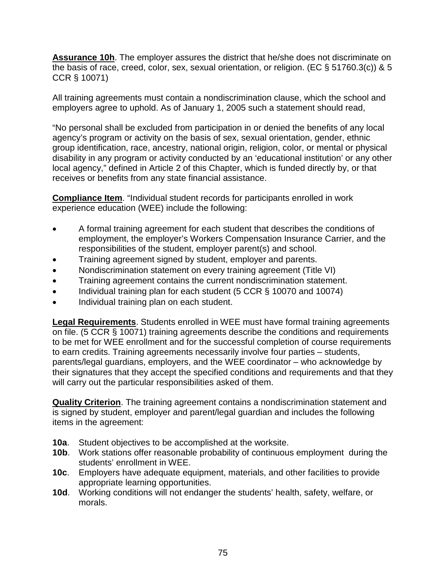**Assurance 10h**. The employer assures the district that he/she does not discriminate on the basis of race, creed, color, sex, sexual orientation, or religion. (EC § 51760.3(c)) & 5 CCR § 10071)

All training agreements must contain a nondiscrimination clause, which the school and employers agree to uphold. As of January 1, 2005 such a statement should read,

"No personal shall be excluded from participation in or denied the benefits of any local agency's program or activity on the basis of sex, sexual orientation, gender, ethnic group identification, race, ancestry, national origin, religion, color, or mental or physical disability in any program or activity conducted by an 'educational institution' or any other local agency," defined in Article 2 of this Chapter, which is funded directly by, or that receives or benefits from any state financial assistance.

**Compliance Item**. "Individual student records for participants enrolled in work experience education (WEE) include the following:

- A formal training agreement for each student that describes the conditions of employment, the employer's Workers Compensation Insurance Carrier, and the responsibilities of the student, employer parent(s) and school.
- Training agreement signed by student, employer and parents.
- Nondiscrimination statement on every training agreement (Title VI)
- Training agreement contains the current nondiscrimination statement.
- Individual training plan for each student (5 CCR § 10070 and 10074)
- Individual training plan on each student.

**Legal Requirements**. Students enrolled in WEE must have formal training agreements on file. (5 CCR § 10071) training agreements describe the conditions and requirements to be met for WEE enrollment and for the successful completion of course requirements to earn credits. Training agreements necessarily involve four parties – students, parents/legal guardians, employers, and the WEE coordinator – who acknowledge by their signatures that they accept the specified conditions and requirements and that they will carry out the particular responsibilities asked of them.

**Quality Criterion**. The training agreement contains a nondiscrimination statement and is signed by student, employer and parent/legal guardian and includes the following items in the agreement:

- **10a**. Student objectives to be accomplished at the worksite.
- **10b**. Work stations offer reasonable probability of continuous employment during the students' enrollment in WEE.
- **10c**. Employers have adequate equipment, materials, and other facilities to provide appropriate learning opportunities.
- **10d**. Working conditions will not endanger the students' health, safety, welfare, or morals.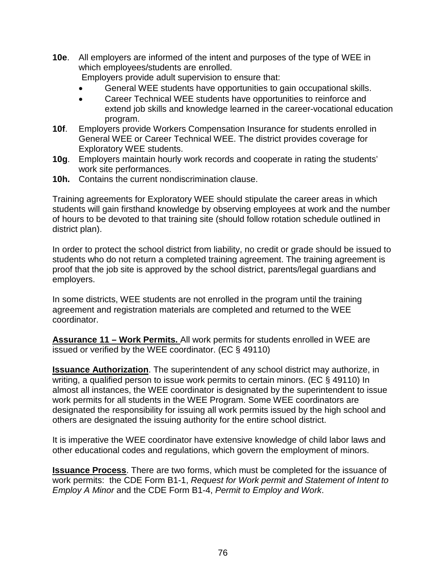**10e**. All employers are informed of the intent and purposes of the type of WEE in which employees/students are enrolled.

Employers provide adult supervision to ensure that:

- General WEE students have opportunities to gain occupational skills.
- Career Technical WEE students have opportunities to reinforce and extend job skills and knowledge learned in the career-vocational education program.
- **10f**. Employers provide Workers Compensation Insurance for students enrolled in General WEE or Career Technical WEE. The district provides coverage for Exploratory WEE students.
- **10g**. Employers maintain hourly work records and cooperate in rating the students' work site performances.
- **10h.** Contains the current nondiscrimination clause.

Training agreements for Exploratory WEE should stipulate the career areas in which students will gain firsthand knowledge by observing employees at work and the number of hours to be devoted to that training site (should follow rotation schedule outlined in district plan).

In order to protect the school district from liability, no credit or grade should be issued to students who do not return a completed training agreement. The training agreement is proof that the job site is approved by the school district, parents/legal guardians and employers.

In some districts, WEE students are not enrolled in the program until the training agreement and registration materials are completed and returned to the WEE coordinator.

**Assurance 11 – Work Permits.** All work permits for students enrolled in WEE are issued or verified by the WEE coordinator. (EC § 49110)

**Issuance Authorization**. The superintendent of any school district may authorize, in writing, a qualified person to issue work permits to certain minors. (EC § 49110) In almost all instances, the WEE coordinator is designated by the superintendent to issue work permits for all students in the WEE Program. Some WEE coordinators are designated the responsibility for issuing all work permits issued by the high school and others are designated the issuing authority for the entire school district.

It is imperative the WEE coordinator have extensive knowledge of child labor laws and other educational codes and regulations, which govern the employment of minors.

**Issuance Process**. There are two forms, which must be completed for the issuance of work permits: the CDE Form B1-1, *Request for Work permit and Statement of Intent to Employ A Minor* and the CDE Form B1-4, *Permit to Employ and Work*.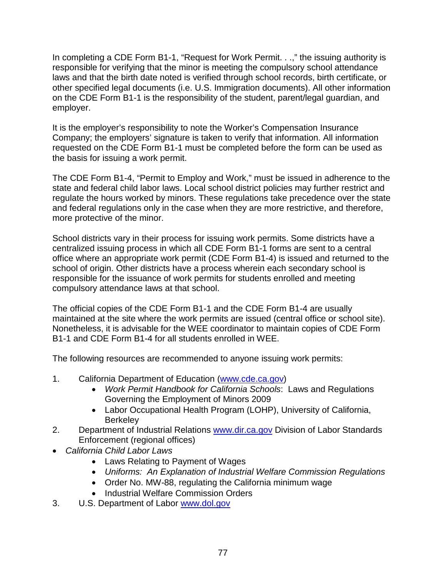In completing a CDE Form B1-1, "Request for Work Permit. . .," the issuing authority is responsible for verifying that the minor is meeting the compulsory school attendance laws and that the birth date noted is verified through school records, birth certificate, or other specified legal documents (i.e. U.S. Immigration documents). All other information on the CDE Form B1-1 is the responsibility of the student, parent/legal guardian, and employer.

It is the employer's responsibility to note the Worker's Compensation Insurance Company; the employers' signature is taken to verify that information. All information requested on the CDE Form B1-1 must be completed before the form can be used as the basis for issuing a work permit.

The CDE Form B1-4, "Permit to Employ and Work," must be issued in adherence to the state and federal child labor laws. Local school district policies may further restrict and regulate the hours worked by minors. These regulations take precedence over the state and federal regulations only in the case when they are more restrictive, and therefore, more protective of the minor.

School districts vary in their process for issuing work permits. Some districts have a centralized issuing process in which all CDE Form B1-1 forms are sent to a central office where an appropriate work permit (CDE Form B1-4) is issued and returned to the school of origin. Other districts have a process wherein each secondary school is responsible for the issuance of work permits for students enrolled and meeting compulsory attendance laws at that school.

The official copies of the CDE Form B1-1 and the CDE Form B1-4 are usually maintained at the site where the work permits are issued (central office or school site). Nonetheless, it is advisable for the WEE coordinator to maintain copies of CDE Form B1-1 and CDE Form B1-4 for all students enrolled in WEE.

The following resources are recommended to anyone issuing work permits:

- 1. California Department of Education [\(www.cde.ca.gov\)](http://www.cde.ca.gov/)
	- *Work Permit Handbook for California Schools*: Laws and Regulations Governing the Employment of Minors 2009
	- Labor Occupational Health Program (LOHP), University of California, **Berkeley**
- 2. Department of Industrial Relations [www.dir.ca.gov](http://www.dir.ca.gov/) Division of Labor Standards Enforcement (regional offices)
- *California Child Labor Laws*
	- Laws Relating to Payment of Wages
	- *Uniforms: An Explanation of Industrial Welfare Commission Regulations*
	- Order No. MW-88, regulating the California minimum wage
	- Industrial Welfare Commission Orders
- 3. U.S. Department of Labor [www.dol.gov](http://www.dol.gov/)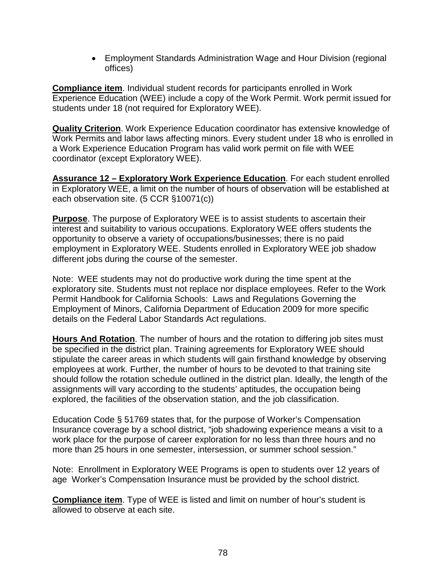• Employment Standards Administration Wage and Hour Division (regional offices)

**Compliance item**. Individual student records for participants enrolled in Work Experience Education (WEE) include a copy of the Work Permit. Work permit issued for students under 18 (not required for Exploratory WEE).

**Quality Criterion**. Work Experience Education coordinator has extensive knowledge of Work Permits and labor laws affecting minors. Every student under 18 who is enrolled in a Work Experience Education Program has valid work permit on file with WEE coordinator (except Exploratory WEE).

**Assurance 12 – Exploratory Work Experience Education**. For each student enrolled in Exploratory WEE, a limit on the number of hours of observation will be established at each observation site. (5 CCR §10071(c))

**Purpose**. The purpose of Exploratory WEE is to assist students to ascertain their interest and suitability to various occupations. Exploratory WEE offers students the opportunity to observe a variety of occupations/businesses; there is no paid employment in Exploratory WEE. Students enrolled in Exploratory WEE job shadow different jobs during the course of the semester.

Note: WEE students may not do productive work during the time spent at the exploratory site. Students must not replace nor displace employees. Refer to the Work Permit Handbook for California Schools: Laws and Regulations Governing the Employment of Minors, California Department of Education 2009 for more specific details on the Federal Labor Standards Act regulations.

**Hours And Rotation**. The number of hours and the rotation to differing job sites must be specified in the district plan. Training agreements for Exploratory WEE should stipulate the career areas in which students will gain firsthand knowledge by observing employees at work. Further, the number of hours to be devoted to that training site should follow the rotation schedule outlined in the district plan. Ideally, the length of the assignments will vary according to the students' aptitudes, the occupation being explored, the facilities of the observation station, and the job classification.

Education Code § 51769 states that, for the purpose of Worker's Compensation Insurance coverage by a school district, "job shadowing experience means a visit to a work place for the purpose of career exploration for no less than three hours and no more than 25 hours in one semester, intersession, or summer school session."

Note: Enrollment in Exploratory WEE Programs is open to students over 12 years of age Worker's Compensation Insurance must be provided by the school district.

**Compliance item**. Type of WEE is listed and limit on number of hour's student is allowed to observe at each site.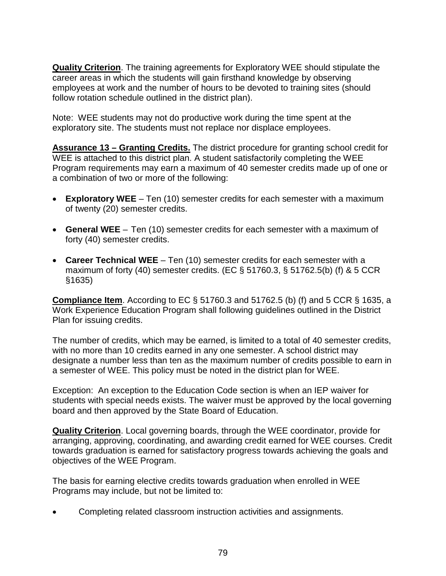**Quality Criterion**. The training agreements for Exploratory WEE should stipulate the career areas in which the students will gain firsthand knowledge by observing employees at work and the number of hours to be devoted to training sites (should follow rotation schedule outlined in the district plan).

Note: WEE students may not do productive work during the time spent at the exploratory site. The students must not replace nor displace employees.

**Assurance 13 – Granting Credits.** The district procedure for granting school credit for WEE is attached to this district plan. A student satisfactorily completing the WEE Program requirements may earn a maximum of 40 semester credits made up of one or a combination of two or more of the following:

- **Exploratory WEE** Ten (10) semester credits for each semester with a maximum of twenty (20) semester credits.
- **General WEE** Ten (10) semester credits for each semester with a maximum of forty (40) semester credits.
- **Career Technical WEE** Ten (10) semester credits for each semester with a maximum of forty (40) semester credits. (EC § 51760.3, § 51762.5(b) (f) & 5 CCR §1635)

**Compliance Item**. According to EC § 51760.3 and 51762.5 (b) (f) and 5 CCR § 1635, a Work Experience Education Program shall following guidelines outlined in the District Plan for issuing credits.

The number of credits, which may be earned, is limited to a total of 40 semester credits, with no more than 10 credits earned in any one semester. A school district may designate a number less than ten as the maximum number of credits possible to earn in a semester of WEE. This policy must be noted in the district plan for WEE.

Exception: An exception to the Education Code section is when an IEP waiver for students with special needs exists. The waiver must be approved by the local governing board and then approved by the State Board of Education.

**Quality Criterion**. Local governing boards, through the WEE coordinator, provide for arranging, approving, coordinating, and awarding credit earned for WEE courses. Credit towards graduation is earned for satisfactory progress towards achieving the goals and objectives of the WEE Program.

The basis for earning elective credits towards graduation when enrolled in WEE Programs may include, but not be limited to:

• Completing related classroom instruction activities and assignments.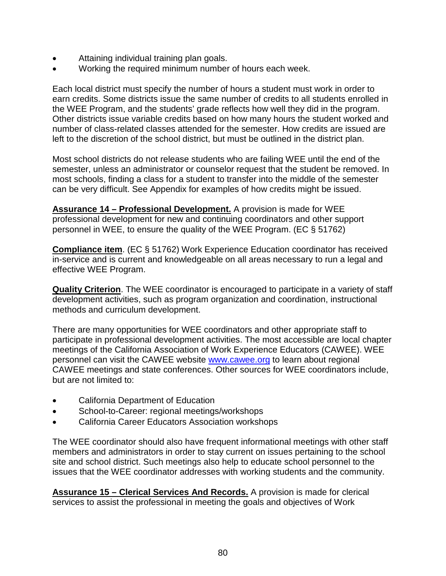- Attaining individual training plan goals.
- Working the required minimum number of hours each week.

Each local district must specify the number of hours a student must work in order to earn credits. Some districts issue the same number of credits to all students enrolled in the WEE Program, and the students' grade reflects how well they did in the program. Other districts issue variable credits based on how many hours the student worked and number of class-related classes attended for the semester. How credits are issued are left to the discretion of the school district, but must be outlined in the district plan.

Most school districts do not release students who are failing WEE until the end of the semester, unless an administrator or counselor request that the student be removed. In most schools, finding a class for a student to transfer into the middle of the semester can be very difficult. See Appendix for examples of how credits might be issued.

**Assurance 14 – Professional Development.** A provision is made for WEE professional development for new and continuing coordinators and other support personnel in WEE, to ensure the quality of the WEE Program. (EC § 51762)

**Compliance item**. (EC § 51762) Work Experience Education coordinator has received in-service and is current and knowledgeable on all areas necessary to run a legal and effective WEE Program.

**Quality Criterion**. The WEE coordinator is encouraged to participate in a variety of staff development activities, such as program organization and coordination, instructional methods and curriculum development.

There are many opportunities for WEE coordinators and other appropriate staff to participate in professional development activities. The most accessible are local chapter meetings of the California Association of Work Experience Educators (CAWEE). WEE personnel can visit the CAWEE website [www.cawee.org](http://www.cawee.org/) to learn about regional CAWEE meetings and state conferences. Other sources for WEE coordinators include, but are not limited to:

- California Department of Education
- School-to-Career: regional meetings/workshops
- California Career Educators Association workshops

The WEE coordinator should also have frequent informational meetings with other staff members and administrators in order to stay current on issues pertaining to the school site and school district. Such meetings also help to educate school personnel to the issues that the WEE coordinator addresses with working students and the community.

**Assurance 15 – Clerical Services And Records.** A provision is made for clerical services to assist the professional in meeting the goals and objectives of Work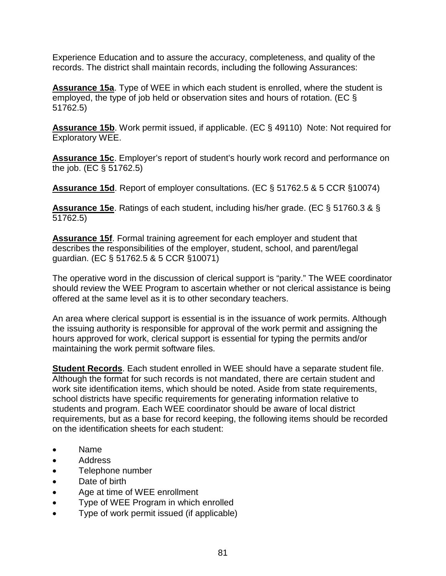Experience Education and to assure the accuracy, completeness, and quality of the records. The district shall maintain records, including the following Assurances:

**Assurance 15a**. Type of WEE in which each student is enrolled, where the student is employed, the type of job held or observation sites and hours of rotation. (EC § 51762.5)

**Assurance 15b**. Work permit issued, if applicable. (EC § 49110) Note: Not required for Exploratory WEE.

**Assurance 15c**. Employer's report of student's hourly work record and performance on the job. (EC § 51762.5)

**Assurance 15d**. Report of employer consultations. (EC § 51762.5 & 5 CCR §10074)

**Assurance 15e**. Ratings of each student, including his/her grade. (EC § 51760.3 & § 51762.5)

**Assurance 15f**. Formal training agreement for each employer and student that describes the responsibilities of the employer, student, school, and parent/legal guardian. (EC § 51762.5 & 5 CCR §10071)

The operative word in the discussion of clerical support is "parity." The WEE coordinator should review the WEE Program to ascertain whether or not clerical assistance is being offered at the same level as it is to other secondary teachers.

An area where clerical support is essential is in the issuance of work permits. Although the issuing authority is responsible for approval of the work permit and assigning the hours approved for work, clerical support is essential for typing the permits and/or maintaining the work permit software files.

**Student Records**. Each student enrolled in WEE should have a separate student file. Although the format for such records is not mandated, there are certain student and work site identification items, which should be noted. Aside from state requirements, school districts have specific requirements for generating information relative to students and program. Each WEE coordinator should be aware of local district requirements, but as a base for record keeping, the following items should be recorded on the identification sheets for each student:

- Name
- Address
- Telephone number
- Date of birth
- Age at time of WEE enrollment
- Type of WEE Program in which enrolled
- Type of work permit issued (if applicable)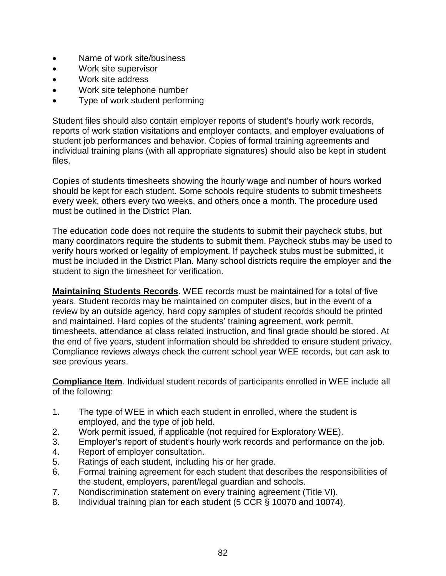- Name of work site/business
- Work site supervisor
- Work site address
- Work site telephone number
- Type of work student performing

Student files should also contain employer reports of student's hourly work records, reports of work station visitations and employer contacts, and employer evaluations of student job performances and behavior. Copies of formal training agreements and individual training plans (with all appropriate signatures) should also be kept in student files.

Copies of students timesheets showing the hourly wage and number of hours worked should be kept for each student. Some schools require students to submit timesheets every week, others every two weeks, and others once a month. The procedure used must be outlined in the District Plan.

The education code does not require the students to submit their paycheck stubs, but many coordinators require the students to submit them. Paycheck stubs may be used to verify hours worked or legality of employment. If paycheck stubs must be submitted, it must be included in the District Plan. Many school districts require the employer and the student to sign the timesheet for verification.

**Maintaining Students Records**. WEE records must be maintained for a total of five years. Student records may be maintained on computer discs, but in the event of a review by an outside agency, hard copy samples of student records should be printed and maintained. Hard copies of the students' training agreement, work permit, timesheets, attendance at class related instruction, and final grade should be stored. At the end of five years, student information should be shredded to ensure student privacy. Compliance reviews always check the current school year WEE records, but can ask to see previous years.

**Compliance Item**. Individual student records of participants enrolled in WEE include all of the following:

- 1. The type of WEE in which each student in enrolled, where the student is employed, and the type of job held.
- 2. Work permit issued, if applicable (not required for Exploratory WEE).
- 3. Employer's report of student's hourly work records and performance on the job.
- 4. Report of employer consultation.
- 5. Ratings of each student, including his or her grade.
- 6. Formal training agreement for each student that describes the responsibilities of the student, employers, parent/legal guardian and schools.
- 7. Nondiscrimination statement on every training agreement (Title VI).
- 8. Individual training plan for each student (5 CCR § 10070 and 10074).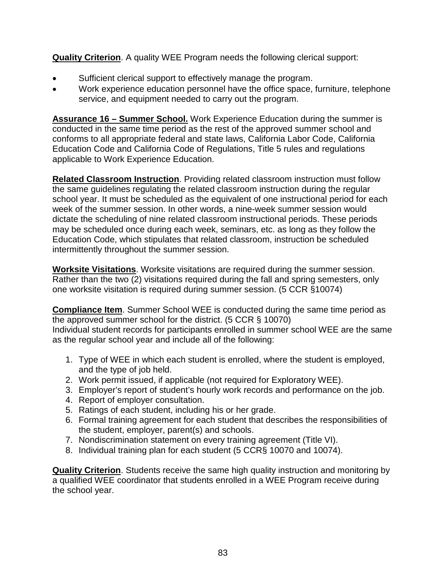**Quality Criterion**. A quality WEE Program needs the following clerical support:

- Sufficient clerical support to effectively manage the program.
- Work experience education personnel have the office space, furniture, telephone service, and equipment needed to carry out the program.

**Assurance 16 – Summer School.** Work Experience Education during the summer is conducted in the same time period as the rest of the approved summer school and conforms to all appropriate federal and state laws, California Labor Code, California Education Code and California Code of Regulations, Title 5 rules and regulations applicable to Work Experience Education.

**Related Classroom Instruction**. Providing related classroom instruction must follow the same guidelines regulating the related classroom instruction during the regular school year. It must be scheduled as the equivalent of one instructional period for each week of the summer session. In other words, a nine-week summer session would dictate the scheduling of nine related classroom instructional periods. These periods may be scheduled once during each week, seminars, etc. as long as they follow the Education Code, which stipulates that related classroom, instruction be scheduled intermittently throughout the summer session.

**Worksite Visitations**. Worksite visitations are required during the summer session. Rather than the two (2) visitations required during the fall and spring semesters, only one worksite visitation is required during summer session. (5 CCR §10074)

**Compliance Item**. Summer School WEE is conducted during the same time period as the approved summer school for the district. (5 CCR § 10070) Individual student records for participants enrolled in summer school WEE are the same as the regular school year and include all of the following:

- 1. Type of WEE in which each student is enrolled, where the student is employed, and the type of job held.
- 2. Work permit issued, if applicable (not required for Exploratory WEE).
- 3. Employer's report of student's hourly work records and performance on the job.
- 4. Report of employer consultation.
- 5. Ratings of each student, including his or her grade.
- 6. Formal training agreement for each student that describes the responsibilities of the student, employer, parent(s) and schools.
- 7. Nondiscrimination statement on every training agreement (Title VI).
- 8. Individual training plan for each student (5 CCR§ 10070 and 10074).

**Quality Criterion**. Students receive the same high quality instruction and monitoring by a qualified WEE coordinator that students enrolled in a WEE Program receive during the school year.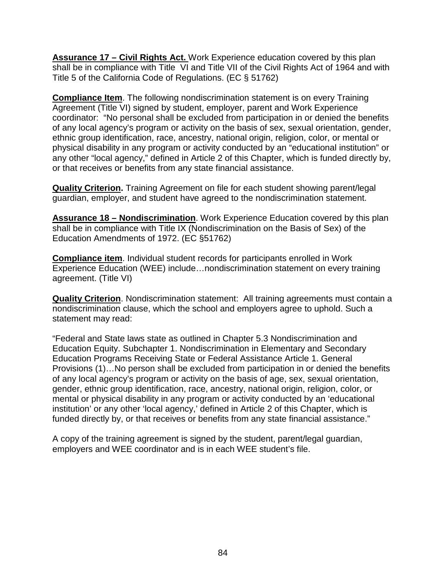**Assurance 17 – Civil Rights Act.** Work Experience education covered by this plan shall be in compliance with Title VI and Title VII of the Civil Rights Act of 1964 and with Title 5 of the California Code of Regulations. (EC § 51762)

**Compliance Item**. The following nondiscrimination statement is on every Training Agreement (Title VI) signed by student, employer, parent and Work Experience coordinator: "No personal shall be excluded from participation in or denied the benefits of any local agency's program or activity on the basis of sex, sexual orientation, gender, ethnic group identification, race, ancestry, national origin, religion, color, or mental or physical disability in any program or activity conducted by an "educational institution" or any other "local agency," defined in Article 2 of this Chapter, which is funded directly by, or that receives or benefits from any state financial assistance.

**Quality Criterion.** Training Agreement on file for each student showing parent/legal guardian, employer, and student have agreed to the nondiscrimination statement.

**Assurance 18 – Nondiscrimination**. Work Experience Education covered by this plan shall be in compliance with Title IX (Nondiscrimination on the Basis of Sex) of the Education Amendments of 1972. (EC §51762)

**Compliance item**. Individual student records for participants enrolled in Work Experience Education (WEE) include…nondiscrimination statement on every training agreement. (Title VI)

**Quality Criterion**. Nondiscrimination statement: All training agreements must contain a nondiscrimination clause, which the school and employers agree to uphold. Such a statement may read:

"Federal and State laws state as outlined in Chapter 5.3 Nondiscrimination and Education Equity. Subchapter 1. Nondiscrimination in Elementary and Secondary Education Programs Receiving State or Federal Assistance Article 1. General Provisions (1)…No person shall be excluded from participation in or denied the benefits of any local agency's program or activity on the basis of age, sex, sexual orientation, gender, ethnic group identification, race, ancestry, national origin, religion, color, or mental or physical disability in any program or activity conducted by an 'educational institution' or any other 'local agency,' defined in Article 2 of this Chapter, which is funded directly by, or that receives or benefits from any state financial assistance."

A copy of the training agreement is signed by the student, parent/legal guardian, employers and WEE coordinator and is in each WEE student's file.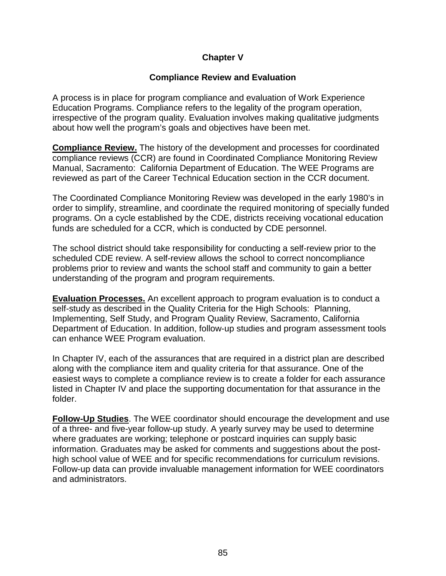## **Chapter V**

#### **Compliance Review and Evaluation**

A process is in place for program compliance and evaluation of Work Experience Education Programs. Compliance refers to the legality of the program operation, irrespective of the program quality. Evaluation involves making qualitative judgments about how well the program's goals and objectives have been met.

**Compliance Review.** The history of the development and processes for coordinated compliance reviews (CCR) are found in Coordinated Compliance Monitoring Review Manual, Sacramento: California Department of Education. The WEE Programs are reviewed as part of the Career Technical Education section in the CCR document.

The Coordinated Compliance Monitoring Review was developed in the early 1980's in order to simplify, streamline, and coordinate the required monitoring of specially funded programs. On a cycle established by the CDE, districts receiving vocational education funds are scheduled for a CCR, which is conducted by CDE personnel.

The school district should take responsibility for conducting a self-review prior to the scheduled CDE review. A self-review allows the school to correct noncompliance problems prior to review and wants the school staff and community to gain a better understanding of the program and program requirements.

**Evaluation Processes.** An excellent approach to program evaluation is to conduct a self-study as described in the Quality Criteria for the High Schools: Planning, Implementing, Self Study, and Program Quality Review, Sacramento, California Department of Education. In addition, follow-up studies and program assessment tools can enhance WEE Program evaluation.

In Chapter IV, each of the assurances that are required in a district plan are described along with the compliance item and quality criteria for that assurance. One of the easiest ways to complete a compliance review is to create a folder for each assurance listed in Chapter IV and place the supporting documentation for that assurance in the folder.

**Follow-Up Studies**. The WEE coordinator should encourage the development and use of a three- and five-year follow-up study. A yearly survey may be used to determine where graduates are working; telephone or postcard inquiries can supply basic information. Graduates may be asked for comments and suggestions about the posthigh school value of WEE and for specific recommendations for curriculum revisions. Follow-up data can provide invaluable management information for WEE coordinators and administrators.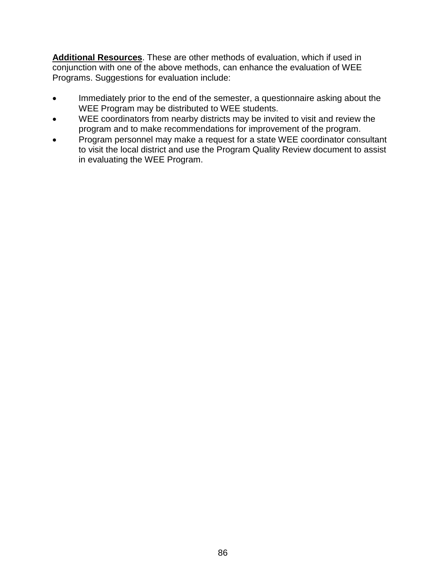**Additional Resources**. These are other methods of evaluation, which if used in conjunction with one of the above methods, can enhance the evaluation of WEE Programs. Suggestions for evaluation include:

- Immediately prior to the end of the semester, a questionnaire asking about the WEE Program may be distributed to WEE students.
- WEE coordinators from nearby districts may be invited to visit and review the program and to make recommendations for improvement of the program.
- Program personnel may make a request for a state WEE coordinator consultant to visit the local district and use the Program Quality Review document to assist in evaluating the WEE Program.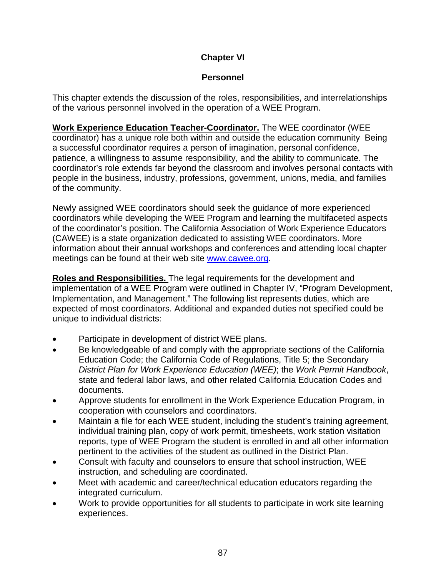# **Chapter VI**

## **Personnel**

This chapter extends the discussion of the roles, responsibilities, and interrelationships of the various personnel involved in the operation of a WEE Program.

**Work Experience Education Teacher-Coordinator.** The WEE coordinator (WEE coordinator) has a unique role both within and outside the education community Being a successful coordinator requires a person of imagination, personal confidence, patience, a willingness to assume responsibility, and the ability to communicate. The coordinator's role extends far beyond the classroom and involves personal contacts with people in the business, industry, professions, government, unions, media, and families of the community.

Newly assigned WEE coordinators should seek the guidance of more experienced coordinators while developing the WEE Program and learning the multifaceted aspects of the coordinator's position. The California Association of Work Experience Educators (CAWEE) is a state organization dedicated to assisting WEE coordinators. More information about their annual workshops and conferences and attending local chapter meetings can be found at their web site [www.cawee.org.](http://www.cawee.org/)

**Roles and Responsibilities.** The legal requirements for the development and implementation of a WEE Program were outlined in Chapter IV, "Program Development, Implementation, and Management." The following list represents duties, which are expected of most coordinators. Additional and expanded duties not specified could be unique to individual districts:

- Participate in development of district WEE plans.
- Be knowledgeable of and comply with the appropriate sections of the California Education Code; the California Code of Regulations, Title 5; the Secondary *District Plan for Work Experience Education (WEE)*; the *Work Permit Handbook*, state and federal labor laws, and other related California Education Codes and documents.
- Approve students for enrollment in the Work Experience Education Program, in cooperation with counselors and coordinators.
- Maintain a file for each WEE student, including the student's training agreement, individual training plan, copy of work permit, timesheets, work station visitation reports, type of WEE Program the student is enrolled in and all other information pertinent to the activities of the student as outlined in the District Plan.
- Consult with faculty and counselors to ensure that school instruction, WEE instruction, and scheduling are coordinated.
- Meet with academic and career/technical education educators regarding the integrated curriculum.
- Work to provide opportunities for all students to participate in work site learning experiences.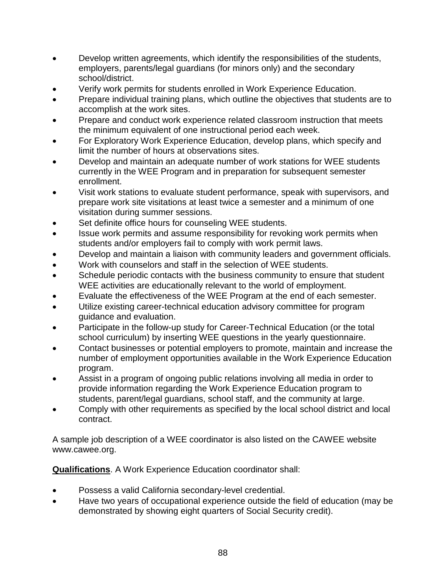- Develop written agreements, which identify the responsibilities of the students, employers, parents/legal guardians (for minors only) and the secondary school/district.
- Verify work permits for students enrolled in Work Experience Education.
- Prepare individual training plans, which outline the objectives that students are to accomplish at the work sites.
- Prepare and conduct work experience related classroom instruction that meets the minimum equivalent of one instructional period each week.
- For Exploratory Work Experience Education, develop plans, which specify and limit the number of hours at observations sites.
- Develop and maintain an adequate number of work stations for WEE students currently in the WEE Program and in preparation for subsequent semester enrollment.
- Visit work stations to evaluate student performance, speak with supervisors, and prepare work site visitations at least twice a semester and a minimum of one visitation during summer sessions.
- Set definite office hours for counseling WEE students.
- Issue work permits and assume responsibility for revoking work permits when students and/or employers fail to comply with work permit laws.
- Develop and maintain a liaison with community leaders and government officials.
- Work with counselors and staff in the selection of WEE students.
- Schedule periodic contacts with the business community to ensure that student WEE activities are educationally relevant to the world of employment.
- Evaluate the effectiveness of the WEE Program at the end of each semester.
- Utilize existing career-technical education advisory committee for program guidance and evaluation.
- Participate in the follow-up study for Career-Technical Education (or the total school curriculum) by inserting WEE questions in the yearly questionnaire.
- Contact businesses or potential employers to promote, maintain and increase the number of employment opportunities available in the Work Experience Education program.
- Assist in a program of ongoing public relations involving all media in order to provide information regarding the Work Experience Education program to students, parent/legal guardians, school staff, and the community at large.
- Comply with other requirements as specified by the local school district and local contract.

A sample job description of a WEE coordinator is also listed on the CAWEE website www.cawee.org.

**Qualifications**. A Work Experience Education coordinator shall:

- Possess a valid California secondary-level credential.
- Have two years of occupational experience outside the field of education (may be demonstrated by showing eight quarters of Social Security credit).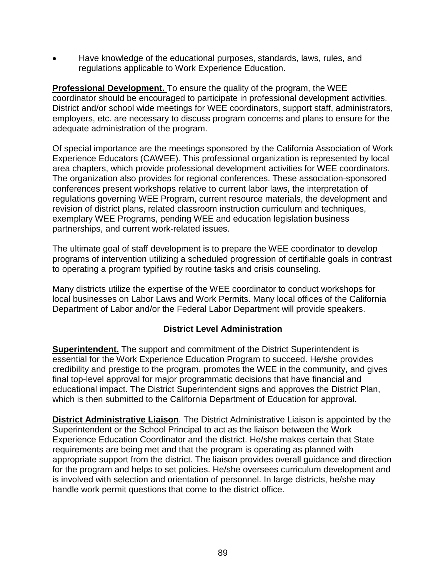• Have knowledge of the educational purposes, standards, laws, rules, and regulations applicable to Work Experience Education.

**Professional Development.** To ensure the quality of the program, the WEE coordinator should be encouraged to participate in professional development activities. District and/or school wide meetings for WEE coordinators, support staff, administrators, employers, etc. are necessary to discuss program concerns and plans to ensure for the adequate administration of the program.

Of special importance are the meetings sponsored by the California Association of Work Experience Educators (CAWEE). This professional organization is represented by local area chapters, which provide professional development activities for WEE coordinators. The organization also provides for regional conferences. These association-sponsored conferences present workshops relative to current labor laws, the interpretation of regulations governing WEE Program, current resource materials, the development and revision of district plans, related classroom instruction curriculum and techniques, exemplary WEE Programs, pending WEE and education legislation business partnerships, and current work-related issues.

The ultimate goal of staff development is to prepare the WEE coordinator to develop programs of intervention utilizing a scheduled progression of certifiable goals in contrast to operating a program typified by routine tasks and crisis counseling.

Many districts utilize the expertise of the WEE coordinator to conduct workshops for local businesses on Labor Laws and Work Permits. Many local offices of the California Department of Labor and/or the Federal Labor Department will provide speakers.

## **District Level Administration**

**Superintendent.** The support and commitment of the District Superintendent is essential for the Work Experience Education Program to succeed. He/she provides credibility and prestige to the program, promotes the WEE in the community, and gives final top-level approval for major programmatic decisions that have financial and educational impact. The District Superintendent signs and approves the District Plan, which is then submitted to the California Department of Education for approval.

**District Administrative Liaison**. The District Administrative Liaison is appointed by the Superintendent or the School Principal to act as the liaison between the Work Experience Education Coordinator and the district. He/she makes certain that State requirements are being met and that the program is operating as planned with appropriate support from the district. The liaison provides overall guidance and direction for the program and helps to set policies. He/she oversees curriculum development and is involved with selection and orientation of personnel. In large districts, he/she may handle work permit questions that come to the district office.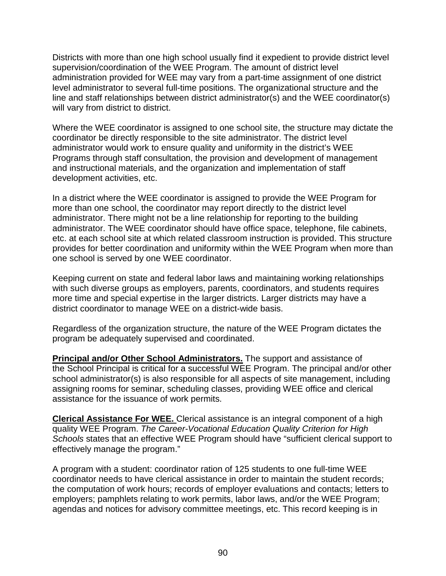Districts with more than one high school usually find it expedient to provide district level supervision/coordination of the WEE Program. The amount of district level administration provided for WEE may vary from a part-time assignment of one district level administrator to several full-time positions. The organizational structure and the line and staff relationships between district administrator(s) and the WEE coordinator(s) will vary from district to district.

Where the WEE coordinator is assigned to one school site, the structure may dictate the coordinator be directly responsible to the site administrator. The district level administrator would work to ensure quality and uniformity in the district's WEE Programs through staff consultation, the provision and development of management and instructional materials, and the organization and implementation of staff development activities, etc.

In a district where the WEE coordinator is assigned to provide the WEE Program for more than one school, the coordinator may report directly to the district level administrator. There might not be a line relationship for reporting to the building administrator. The WEE coordinator should have office space, telephone, file cabinets, etc. at each school site at which related classroom instruction is provided. This structure provides for better coordination and uniformity within the WEE Program when more than one school is served by one WEE coordinator.

Keeping current on state and federal labor laws and maintaining working relationships with such diverse groups as employers, parents, coordinators, and students requires more time and special expertise in the larger districts. Larger districts may have a district coordinator to manage WEE on a district-wide basis.

Regardless of the organization structure, the nature of the WEE Program dictates the program be adequately supervised and coordinated.

**Principal and/or Other School Administrators.** The support and assistance of the School Principal is critical for a successful WEE Program. The principal and/or other school administrator(s) is also responsible for all aspects of site management, including assigning rooms for seminar, scheduling classes, providing WEE office and clerical assistance for the issuance of work permits.

**Clerical Assistance For WEE.** Clerical assistance is an integral component of a high quality WEE Program. *The Career-Vocational Education Quality Criterion for High Schools* states that an effective WEE Program should have "sufficient clerical support to effectively manage the program."

A program with a student: coordinator ration of 125 students to one full-time WEE coordinator needs to have clerical assistance in order to maintain the student records; the computation of work hours; records of employer evaluations and contacts; letters to employers; pamphlets relating to work permits, labor laws, and/or the WEE Program; agendas and notices for advisory committee meetings, etc. This record keeping is in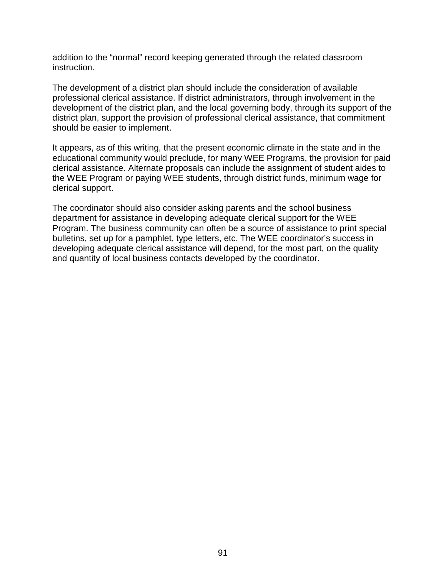addition to the "normal" record keeping generated through the related classroom instruction.

The development of a district plan should include the consideration of available professional clerical assistance. If district administrators, through involvement in the development of the district plan, and the local governing body, through its support of the district plan, support the provision of professional clerical assistance, that commitment should be easier to implement.

It appears, as of this writing, that the present economic climate in the state and in the educational community would preclude, for many WEE Programs, the provision for paid clerical assistance. Alternate proposals can include the assignment of student aides to the WEE Program or paying WEE students, through district funds, minimum wage for clerical support.

The coordinator should also consider asking parents and the school business department for assistance in developing adequate clerical support for the WEE Program. The business community can often be a source of assistance to print special bulletins, set up for a pamphlet, type letters, etc. The WEE coordinator's success in developing adequate clerical assistance will depend, for the most part, on the quality and quantity of local business contacts developed by the coordinator.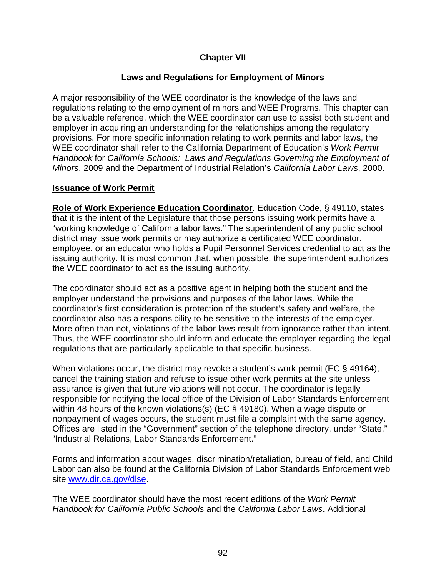## **Chapter VII**

### **Laws and Regulations for Employment of Minors**

A major responsibility of the WEE coordinator is the knowledge of the laws and regulations relating to the employment of minors and WEE Programs. This chapter can be a valuable reference, which the WEE coordinator can use to assist both student and employer in acquiring an understanding for the relationships among the regulatory provisions. For more specific information relating to work permits and labor laws, the WEE coordinator shall refer to the California Department of Education's *Work Permit Handbook* for *California Schools: Laws and Regulations Governing the Employment of Minors*, 2009 and the Department of Industrial Relation's *California Labor Laws*, 2000.

#### **Issuance of Work Permit**

**Role of Work Experience Education Coordinator**. Education Code, § 49110, states that it is the intent of the Legislature that those persons issuing work permits have a "working knowledge of California labor laws." The superintendent of any public school district may issue work permits or may authorize a certificated WEE coordinator, employee, or an educator who holds a Pupil Personnel Services credential to act as the issuing authority. It is most common that, when possible, the superintendent authorizes the WEE coordinator to act as the issuing authority.

The coordinator should act as a positive agent in helping both the student and the employer understand the provisions and purposes of the labor laws. While the coordinator's first consideration is protection of the student's safety and welfare, the coordinator also has a responsibility to be sensitive to the interests of the employer. More often than not, violations of the labor laws result from ignorance rather than intent. Thus, the WEE coordinator should inform and educate the employer regarding the legal regulations that are particularly applicable to that specific business.

When violations occur, the district may revoke a student's work permit (EC § 49164), cancel the training station and refuse to issue other work permits at the site unless assurance is given that future violations will not occur. The coordinator is legally responsible for notifying the local office of the Division of Labor Standards Enforcement within 48 hours of the known violations(s) (EC § 49180). When a wage dispute or nonpayment of wages occurs, the student must file a complaint with the same agency. Offices are listed in the "Government" section of the telephone directory, under "State," "Industrial Relations, Labor Standards Enforcement."

Forms and information about wages, discrimination/retaliation, bureau of field, and Child Labor can also be found at the California Division of Labor Standards Enforcement web site [www.dir.ca.gov/dlse.](http://www.dir.ca.gov/dlse)

The WEE coordinator should have the most recent editions of the *Work Permit Handbook for California Public Schools* and the *California Labor Laws*. Additional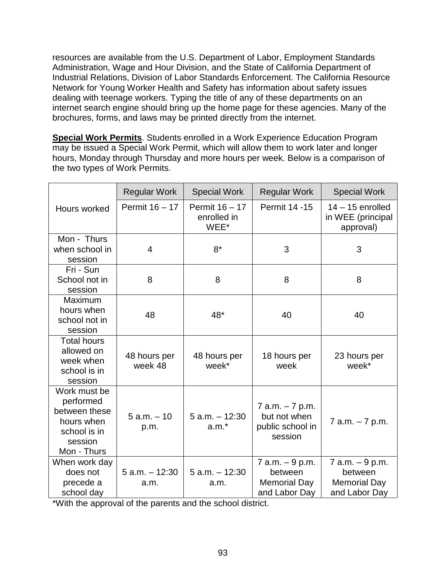resources are available from the U.S. Department of Labor, Employment Standards Administration, Wage and Hour Division, and the State of California Department of Industrial Relations, Division of Labor Standards Enforcement. The California Resource Network for Young Worker Health and Safety has information about safety issues dealing with teenage workers. Typing the title of any of these departments on an internet search engine should bring up the home page for these agencies. Many of the brochures, forms, and laws may be printed directly from the internet.

**Special Work Permits**. Students enrolled in a Work Experience Education Program may be issued a Special Work Permit, which will allow them to work later and longer hours, Monday through Thursday and more hours per week. Below is a comparison of the two types of Work Permits.

|                                                                                                    | <b>Regular Work</b>       | <b>Special Work</b>                   | <b>Regular Work</b>                                                   | <b>Special Work</b>                                                |
|----------------------------------------------------------------------------------------------------|---------------------------|---------------------------------------|-----------------------------------------------------------------------|--------------------------------------------------------------------|
| Hours worked                                                                                       | Permit 16 - 17            | Permit 16 - 17<br>enrolled in<br>WEE* | Permit 14 - 15                                                        | $14 - 15$ enrolled<br>in WEE (principal<br>approval)               |
| Mon - Thurs<br>when school in<br>session                                                           | 4                         | $8*$                                  | 3                                                                     | 3                                                                  |
| Fri - Sun<br>School not in<br>session                                                              | 8                         | 8                                     | 8                                                                     | 8                                                                  |
| Maximum<br>hours when<br>school not in<br>session                                                  | 48                        | 48*                                   | 40                                                                    | 40                                                                 |
| <b>Total hours</b><br>allowed on<br>week when<br>school is in<br>session                           | 48 hours per<br>week 48   | 48 hours per<br>week*                 | 18 hours per<br>week                                                  | 23 hours per<br>week*                                              |
| Work must be<br>performed<br>between these<br>hours when<br>school is in<br>session<br>Mon - Thurs | $5 a.m. - 10$<br>p.m.     | $5$ a.m. $-12:30$<br>$a.m.*$          | 7 a.m. - 7 p.m.<br>but not when<br>public school in<br>session        | $7$ a.m. $-7$ p.m.                                                 |
| When work day<br>does not<br>precede a<br>school day                                               | $5$ a.m. $-12:30$<br>a.m. | $5 a.m. - 12:30$<br>a.m.              | $7$ a.m. $-9$ p.m.<br>between<br><b>Memorial Day</b><br>and Labor Day | 7 a.m. - 9 p.m.<br>between<br><b>Memorial Day</b><br>and Labor Day |

\*With the approval of the parents and the school district.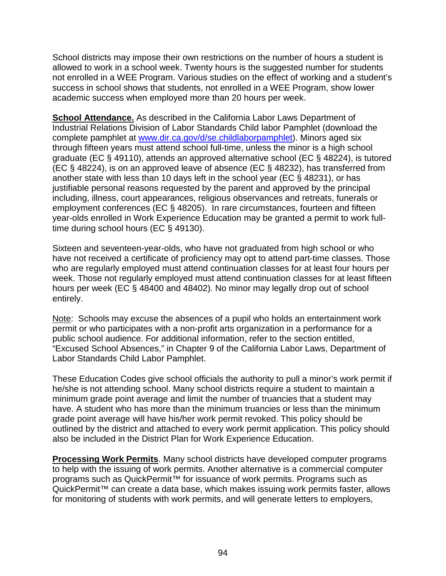School districts may impose their own restrictions on the number of hours a student is allowed to work in a school week. Twenty hours is the suggested number for students not enrolled in a WEE Program. Various studies on the effect of working and a student's success in school shows that students, not enrolled in a WEE Program, show lower academic success when employed more than 20 hours per week.

**School Attendance.** As described in the California Labor Laws Department of Industrial Relations Division of Labor Standards Child labor Pamphlet (download the complete pamphlet at [www.dir.ca.gov/d/se.childlaborpamphlet\)](http://www.dir.ca.gov/d/se.childlaborpamphlet). Minors aged six through fifteen years must attend school full-time, unless the minor is a high school graduate (EC § 49110), attends an approved alternative school (EC § 48224), is tutored (EC § 48224), is on an approved leave of absence (EC § 48232), has transferred from another state with less than 10 days left in the school year (EC § 48231), or has justifiable personal reasons requested by the parent and approved by the principal including, illness, court appearances, religious observances and retreats, funerals or employment conferences (EC § 48205). In rare circumstances, fourteen and fifteen year-olds enrolled in Work Experience Education may be granted a permit to work fulltime during school hours (EC § 49130).

Sixteen and seventeen-year-olds, who have not graduated from high school or who have not received a certificate of proficiency may opt to attend part-time classes. Those who are regularly employed must attend continuation classes for at least four hours per week. Those not regularly employed must attend continuation classes for at least fifteen hours per week (EC § 48400 and 48402). No minor may legally drop out of school entirely.

Note: Schools may excuse the absences of a pupil who holds an entertainment work permit or who participates with a non-profit arts organization in a performance for a public school audience. For additional information, refer to the section entitled, "Excused School Absences," in Chapter 9 of the California Labor Laws, Department of Labor Standards Child Labor Pamphlet.

These Education Codes give school officials the authority to pull a minor's work permit if he/she is not attending school. Many school districts require a student to maintain a minimum grade point average and limit the number of truancies that a student may have. A student who has more than the minimum truancies or less than the minimum grade point average will have his/her work permit revoked. This policy should be outlined by the district and attached to every work permit application. This policy should also be included in the District Plan for Work Experience Education.

**Processing Work Permits**. Many school districts have developed computer programs to help with the issuing of work permits. Another alternative is a commercial computer programs such as QuickPermit<sup>™</sup> for issuance of work permits. Programs such as QuickPermit™ can create a data base, which makes issuing work permits faster, allows for monitoring of students with work permits, and will generate letters to employers,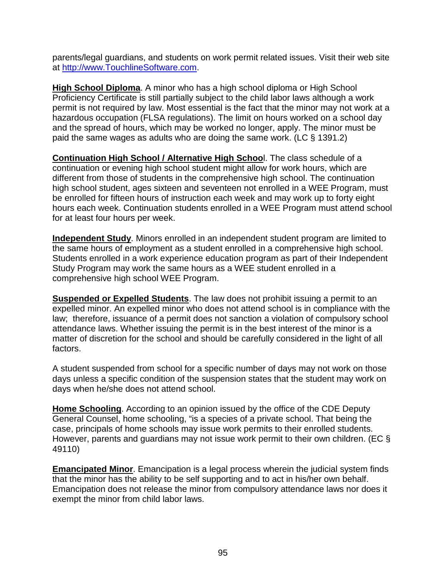parents/legal guardians, and students on work permit related issues. Visit their web site at [http://www.TouchlineSoftware.com.](http://www.touchlinesoftware.com/)

**High School Diploma**. A minor who has a high school diploma or High School Proficiency Certificate is still partially subject to the child labor laws although a work permit is not required by law. Most essential is the fact that the minor may not work at a hazardous occupation (FLSA regulations). The limit on hours worked on a school day and the spread of hours, which may be worked no longer, apply. The minor must be paid the same wages as adults who are doing the same work. (LC § 1391.2)

**Continuation High School / Alternative High Schoo**l. The class schedule of a continuation or evening high school student might allow for work hours, which are different from those of students in the comprehensive high school. The continuation high school student, ages sixteen and seventeen not enrolled in a WEE Program, must be enrolled for fifteen hours of instruction each week and may work up to forty eight hours each week. Continuation students enrolled in a WEE Program must attend school for at least four hours per week.

**Independent Study**. Minors enrolled in an independent student program are limited to the same hours of employment as a student enrolled in a comprehensive high school. Students enrolled in a work experience education program as part of their Independent Study Program may work the same hours as a WEE student enrolled in a comprehensive high school WEE Program.

**Suspended or Expelled Students**. The law does not prohibit issuing a permit to an expelled minor. An expelled minor who does not attend school is in compliance with the law; therefore, issuance of a permit does not sanction a violation of compulsory school attendance laws. Whether issuing the permit is in the best interest of the minor is a matter of discretion for the school and should be carefully considered in the light of all factors.

A student suspended from school for a specific number of days may not work on those days unless a specific condition of the suspension states that the student may work on days when he/she does not attend school.

**Home Schooling**. According to an opinion issued by the office of the CDE Deputy General Counsel, home schooling, "is a species of a private school. That being the case, principals of home schools may issue work permits to their enrolled students. However, parents and guardians may not issue work permit to their own children. (EC § 49110)

**Emancipated Minor**. Emancipation is a legal process wherein the judicial system finds that the minor has the ability to be self supporting and to act in his/her own behalf. Emancipation does not release the minor from compulsory attendance laws nor does it exempt the minor from child labor laws.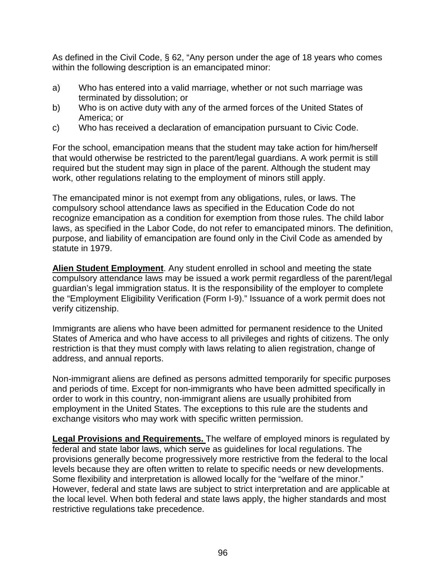As defined in the Civil Code, § 62, "Any person under the age of 18 years who comes within the following description is an emancipated minor:

- a) Who has entered into a valid marriage, whether or not such marriage was terminated by dissolution; or
- b) Who is on active duty with any of the armed forces of the United States of America; or
- c) Who has received a declaration of emancipation pursuant to Civic Code.

For the school, emancipation means that the student may take action for him/herself that would otherwise be restricted to the parent/legal guardians. A work permit is still required but the student may sign in place of the parent. Although the student may work, other regulations relating to the employment of minors still apply.

The emancipated minor is not exempt from any obligations, rules, or laws. The compulsory school attendance laws as specified in the Education Code do not recognize emancipation as a condition for exemption from those rules. The child labor laws, as specified in the Labor Code, do not refer to emancipated minors. The definition, purpose, and liability of emancipation are found only in the Civil Code as amended by statute in 1979.

**Alien Student Employment**. Any student enrolled in school and meeting the state compulsory attendance laws may be issued a work permit regardless of the parent/legal guardian's legal immigration status. It is the responsibility of the employer to complete the "Employment Eligibility Verification (Form I-9)." Issuance of a work permit does not verify citizenship.

Immigrants are aliens who have been admitted for permanent residence to the United States of America and who have access to all privileges and rights of citizens. The only restriction is that they must comply with laws relating to alien registration, change of address, and annual reports.

Non-immigrant aliens are defined as persons admitted temporarily for specific purposes and periods of time. Except for non-immigrants who have been admitted specifically in order to work in this country, non-immigrant aliens are usually prohibited from employment in the United States. The exceptions to this rule are the students and exchange visitors who may work with specific written permission.

**Legal Provisions and Requirements.** The welfare of employed minors is regulated by federal and state labor laws, which serve as guidelines for local regulations. The provisions generally become progressively more restrictive from the federal to the local levels because they are often written to relate to specific needs or new developments. Some flexibility and interpretation is allowed locally for the "welfare of the minor." However, federal and state laws are subject to strict interpretation and are applicable at the local level. When both federal and state laws apply, the higher standards and most restrictive regulations take precedence.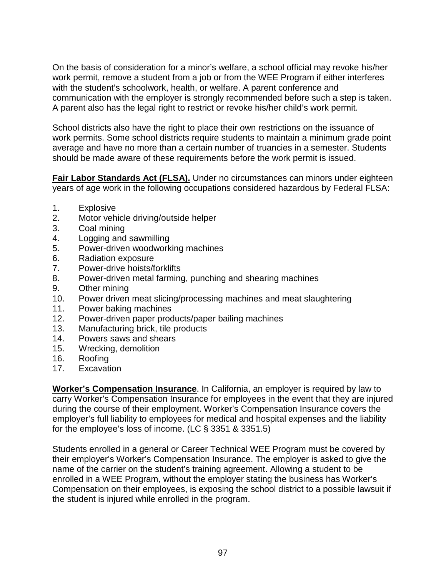On the basis of consideration for a minor's welfare, a school official may revoke his/her work permit, remove a student from a job or from the WEE Program if either interferes with the student's schoolwork, health, or welfare. A parent conference and communication with the employer is strongly recommended before such a step is taken. A parent also has the legal right to restrict or revoke his/her child's work permit.

School districts also have the right to place their own restrictions on the issuance of work permits. Some school districts require students to maintain a minimum grade point average and have no more than a certain number of truancies in a semester. Students should be made aware of these requirements before the work permit is issued.

**Fair Labor Standards Act (FLSA).** Under no circumstances can minors under eighteen years of age work in the following occupations considered hazardous by Federal FLSA:

- 1. Explosive
- 2. Motor vehicle driving/outside helper
- 3. Coal mining
- 4. Logging and sawmilling
- 5. Power-driven woodworking machines
- 6. Radiation exposure
- 7. Power-drive hoists/forklifts
- 8. Power-driven metal farming, punching and shearing machines
- 9. Other mining
- 10. Power driven meat slicing/processing machines and meat slaughtering
- 11. Power baking machines
- 12. Power-driven paper products/paper bailing machines
- 13. Manufacturing brick, tile products
- 14. Powers saws and shears
- 15. Wrecking, demolition
- 16. Roofing
- 17. Excavation

**Worker's Compensation Insurance**. In California, an employer is required by law to carry Worker's Compensation Insurance for employees in the event that they are injured during the course of their employment. Worker's Compensation Insurance covers the employer's full liability to employees for medical and hospital expenses and the liability for the employee's loss of income. (LC § 3351 & 3351.5)

Students enrolled in a general or Career Technical WEE Program must be covered by their employer's Worker's Compensation Insurance. The employer is asked to give the name of the carrier on the student's training agreement. Allowing a student to be enrolled in a WEE Program, without the employer stating the business has Worker's Compensation on their employees, is exposing the school district to a possible lawsuit if the student is injured while enrolled in the program.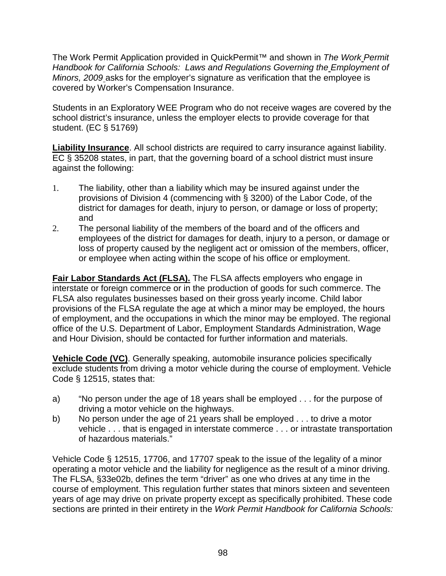The Work Permit Application provided in QuickPermit™ and shown in *The Work Permit Handbook for California Schools: Laws and Regulations Governing the Employment of Minors, 2009* asks for the employer's signature as verification that the employee is covered by Worker's Compensation Insurance.

Students in an Exploratory WEE Program who do not receive wages are covered by the school district's insurance, unless the employer elects to provide coverage for that student. (EC § 51769)

**Liability Insurance**. All school districts are required to carry insurance against liability. EC § 35208 states, in part, that the governing board of a school district must insure against the following:

- 1. The liability, other than a liability which may be insured against under the provisions of Division 4 (commencing with § 3200) of the Labor Code, of the district for damages for death, injury to person, or damage or loss of property; and
- 2. The personal liability of the members of the board and of the officers and employees of the district for damages for death, injury to a person, or damage or loss of property caused by the negligent act or omission of the members, officer, or employee when acting within the scope of his office or employment.

**Fair Labor Standards Act (FLSA).** The FLSA affects employers who engage in interstate or foreign commerce or in the production of goods for such commerce. The FLSA also regulates businesses based on their gross yearly income. Child labor provisions of the FLSA regulate the age at which a minor may be employed, the hours of employment, and the occupations in which the minor may be employed. The regional office of the U.S. Department of Labor, Employment Standards Administration, Wage and Hour Division, should be contacted for further information and materials.

**Vehicle Code (VC)**. Generally speaking, automobile insurance policies specifically exclude students from driving a motor vehicle during the course of employment. Vehicle Code § 12515, states that:

- a) "No person under the age of 18 years shall be employed . . . for the purpose of driving a motor vehicle on the highways.
- b) No person under the age of 21 years shall be employed . . . to drive a motor vehicle . . . that is engaged in interstate commerce . . . or intrastate transportation of hazardous materials."

Vehicle Code § 12515, 17706, and 17707 speak to the issue of the legality of a minor operating a motor vehicle and the liability for negligence as the result of a minor driving. The FLSA, §33e02b, defines the term "driver" as one who drives at any time in the course of employment. This regulation further states that minors sixteen and seventeen years of age may drive on private property except as specifically prohibited. These code sections are printed in their entirety in the *Work Permit Handbook for California Schools:*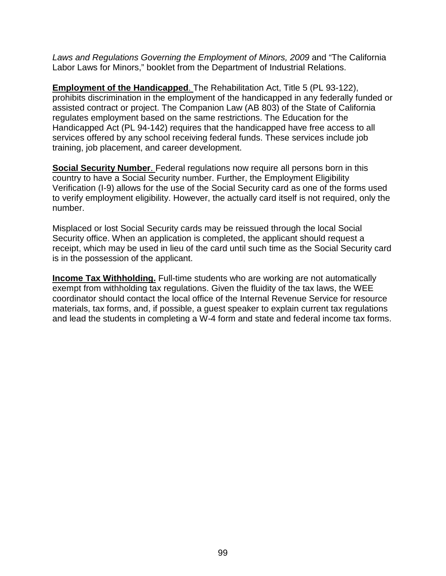*Laws and Regulations Governing the Employment of Minors, 2009* and "The California Labor Laws for Minors," booklet from the Department of Industrial Relations.

**Employment of the Handicapped**. The Rehabilitation Act, Title 5 (PL 93-122), prohibits discrimination in the employment of the handicapped in any federally funded or assisted contract or project. The Companion Law (AB 803) of the State of California regulates employment based on the same restrictions. The Education for the Handicapped Act (PL 94-142) requires that the handicapped have free access to all services offered by any school receiving federal funds. These services include job training, job placement, and career development.

**Social Security Number**. Federal regulations now require all persons born in this country to have a Social Security number. Further, the Employment Eligibility Verification (I-9) allows for the use of the Social Security card as one of the forms used to verify employment eligibility. However, the actually card itself is not required, only the number.

Misplaced or lost Social Security cards may be reissued through the local Social Security office. When an application is completed, the applicant should request a receipt, which may be used in lieu of the card until such time as the Social Security card is in the possession of the applicant.

**Income Tax Withholding.** Full-time students who are working are not automatically exempt from withholding tax regulations. Given the fluidity of the tax laws, the WEE coordinator should contact the local office of the Internal Revenue Service for resource materials, tax forms, and, if possible, a guest speaker to explain current tax regulations and lead the students in completing a W-4 form and state and federal income tax forms.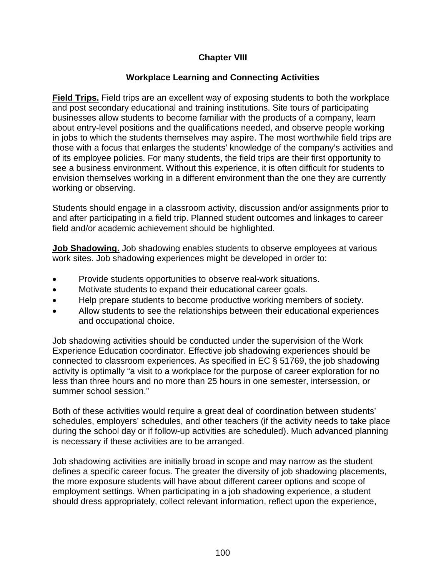# **Chapter VIII**

## **Workplace Learning and Connecting Activities**

**Field Trips.** Field trips are an excellent way of exposing students to both the workplace and post secondary educational and training institutions. Site tours of participating businesses allow students to become familiar with the products of a company, learn about entry-level positions and the qualifications needed, and observe people working in jobs to which the students themselves may aspire. The most worthwhile field trips are those with a focus that enlarges the students' knowledge of the company's activities and of its employee policies. For many students, the field trips are their first opportunity to see a business environment. Without this experience, it is often difficult for students to envision themselves working in a different environment than the one they are currently working or observing.

Students should engage in a classroom activity, discussion and/or assignments prior to and after participating in a field trip. Planned student outcomes and linkages to career field and/or academic achievement should be highlighted.

**Job Shadowing.** Job shadowing enables students to observe employees at various work sites. Job shadowing experiences might be developed in order to:

- Provide students opportunities to observe real-work situations.
- Motivate students to expand their educational career goals.
- Help prepare students to become productive working members of society.
- Allow students to see the relationships between their educational experiences and occupational choice.

Job shadowing activities should be conducted under the supervision of the Work Experience Education coordinator. Effective job shadowing experiences should be connected to classroom experiences. As specified in EC § 51769, the job shadowing activity is optimally "a visit to a workplace for the purpose of career exploration for no less than three hours and no more than 25 hours in one semester, intersession, or summer school session."

Both of these activities would require a great deal of coordination between students' schedules, employers' schedules, and other teachers (if the activity needs to take place during the school day or if follow-up activities are scheduled). Much advanced planning is necessary if these activities are to be arranged.

Job shadowing activities are initially broad in scope and may narrow as the student defines a specific career focus. The greater the diversity of job shadowing placements, the more exposure students will have about different career options and scope of employment settings. When participating in a job shadowing experience, a student should dress appropriately, collect relevant information, reflect upon the experience,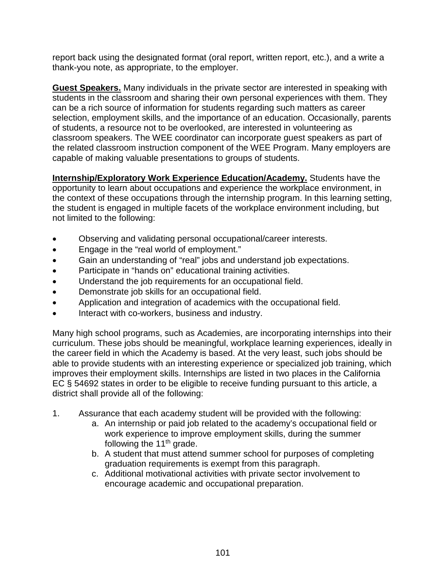report back using the designated format (oral report, written report, etc.), and a write a thank-you note, as appropriate, to the employer.

**Guest Speakers.** Many individuals in the private sector are interested in speaking with students in the classroom and sharing their own personal experiences with them. They can be a rich source of information for students regarding such matters as career selection, employment skills, and the importance of an education. Occasionally, parents of students, a resource not to be overlooked, are interested in volunteering as classroom speakers. The WEE coordinator can incorporate guest speakers as part of the related classroom instruction component of the WEE Program. Many employers are capable of making valuable presentations to groups of students.

**Internship/Exploratory Work Experience Education/Academy.** Students have the opportunity to learn about occupations and experience the workplace environment, in the context of these occupations through the internship program. In this learning setting, the student is engaged in multiple facets of the workplace environment including, but not limited to the following:

- Observing and validating personal occupational/career interests.
- Engage in the "real world of employment."
- Gain an understanding of "real" jobs and understand job expectations.
- Participate in "hands on" educational training activities.
- Understand the job requirements for an occupational field.
- Demonstrate job skills for an occupational field.
- Application and integration of academics with the occupational field.
- Interact with co-workers, business and industry.

Many high school programs, such as Academies, are incorporating internships into their curriculum. These jobs should be meaningful, workplace learning experiences, ideally in the career field in which the Academy is based. At the very least, such jobs should be able to provide students with an interesting experience or specialized job training, which improves their employment skills. Internships are listed in two places in the California EC § 54692 states in order to be eligible to receive funding pursuant to this article, a district shall provide all of the following:

- 1. Assurance that each academy student will be provided with the following:
	- a. An internship or paid job related to the academy's occupational field or work experience to improve employment skills, during the summer following the 11<sup>th</sup> grade.
	- b. A student that must attend summer school for purposes of completing graduation requirements is exempt from this paragraph.
	- c. Additional motivational activities with private sector involvement to encourage academic and occupational preparation.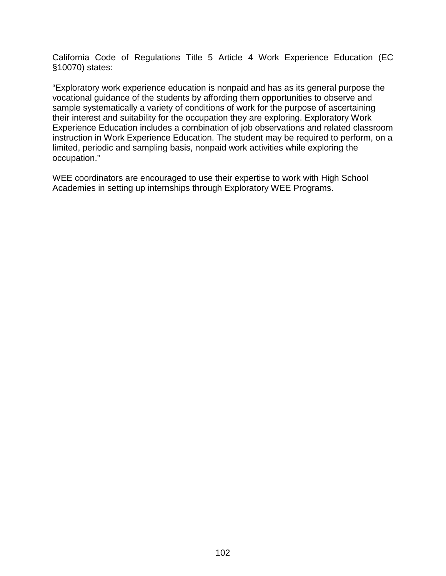California Code of Regulations Title 5 Article 4 Work Experience Education (EC §10070) states:

"Exploratory work experience education is nonpaid and has as its general purpose the vocational guidance of the students by affording them opportunities to observe and sample systematically a variety of conditions of work for the purpose of ascertaining their interest and suitability for the occupation they are exploring. Exploratory Work Experience Education includes a combination of job observations and related classroom instruction in Work Experience Education. The student may be required to perform, on a limited, periodic and sampling basis, nonpaid work activities while exploring the occupation."

WEE coordinators are encouraged to use their expertise to work with High School Academies in setting up internships through Exploratory WEE Programs.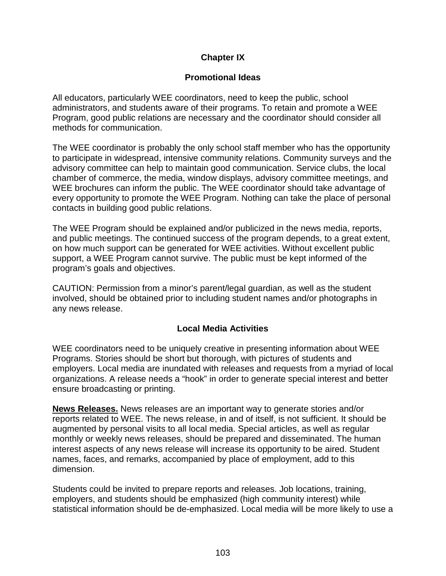## **Chapter IX**

## **Promotional Ideas**

All educators, particularly WEE coordinators, need to keep the public, school administrators, and students aware of their programs. To retain and promote a WEE Program, good public relations are necessary and the coordinator should consider all methods for communication.

The WEE coordinator is probably the only school staff member who has the opportunity to participate in widespread, intensive community relations. Community surveys and the advisory committee can help to maintain good communication. Service clubs, the local chamber of commerce, the media, window displays, advisory committee meetings, and WEE brochures can inform the public. The WEE coordinator should take advantage of every opportunity to promote the WEE Program. Nothing can take the place of personal contacts in building good public relations.

The WEE Program should be explained and/or publicized in the news media, reports, and public meetings. The continued success of the program depends, to a great extent, on how much support can be generated for WEE activities. Without excellent public support, a WEE Program cannot survive. The public must be kept informed of the program's goals and objectives.

CAUTION: Permission from a minor's parent/legal guardian, as well as the student involved, should be obtained prior to including student names and/or photographs in any news release.

## **Local Media Activities**

WEE coordinators need to be uniquely creative in presenting information about WEE Programs. Stories should be short but thorough, with pictures of students and employers. Local media are inundated with releases and requests from a myriad of local organizations. A release needs a "hook" in order to generate special interest and better ensure broadcasting or printing.

**News Releases.** News releases are an important way to generate stories and/or reports related to WEE. The news release, in and of itself, is not sufficient. It should be augmented by personal visits to all local media. Special articles, as well as regular monthly or weekly news releases, should be prepared and disseminated. The human interest aspects of any news release will increase its opportunity to be aired. Student names, faces, and remarks, accompanied by place of employment, add to this dimension.

Students could be invited to prepare reports and releases. Job locations, training, employers, and students should be emphasized (high community interest) while statistical information should be de-emphasized. Local media will be more likely to use a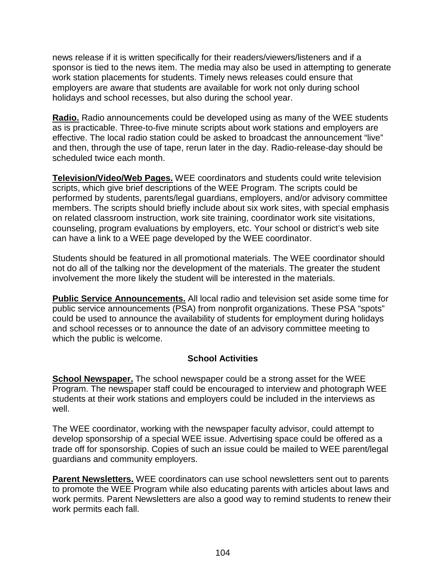news release if it is written specifically for their readers/viewers/listeners and if a sponsor is tied to the news item. The media may also be used in attempting to generate work station placements for students. Timely news releases could ensure that employers are aware that students are available for work not only during school holidays and school recesses, but also during the school year.

**Radio.** Radio announcements could be developed using as many of the WEE students as is practicable. Three-to-five minute scripts about work stations and employers are effective. The local radio station could be asked to broadcast the announcement "live" and then, through the use of tape, rerun later in the day. Radio-release-day should be scheduled twice each month.

**Television/Video/Web Pages.** WEE coordinators and students could write television scripts, which give brief descriptions of the WEE Program. The scripts could be performed by students, parents/legal guardians, employers, and/or advisory committee members. The scripts should briefly include about six work sites, with special emphasis on related classroom instruction, work site training, coordinator work site visitations, counseling, program evaluations by employers, etc. Your school or district's web site can have a link to a WEE page developed by the WEE coordinator.

Students should be featured in all promotional materials. The WEE coordinator should not do all of the talking nor the development of the materials. The greater the student involvement the more likely the student will be interested in the materials.

**Public Service Announcements.** All local radio and television set aside some time for public service announcements (PSA) from nonprofit organizations. These PSA "spots" could be used to announce the availability of students for employment during holidays and school recesses or to announce the date of an advisory committee meeting to which the public is welcome.

## **School Activities**

**School Newspaper.** The school newspaper could be a strong asset for the WEE Program. The newspaper staff could be encouraged to interview and photograph WEE students at their work stations and employers could be included in the interviews as well.

The WEE coordinator, working with the newspaper faculty advisor, could attempt to develop sponsorship of a special WEE issue. Advertising space could be offered as a trade off for sponsorship. Copies of such an issue could be mailed to WEE parent/legal guardians and community employers.

**Parent Newsletters.** WEE coordinators can use school newsletters sent out to parents to promote the WEE Program while also educating parents with articles about laws and work permits. Parent Newsletters are also a good way to remind students to renew their work permits each fall.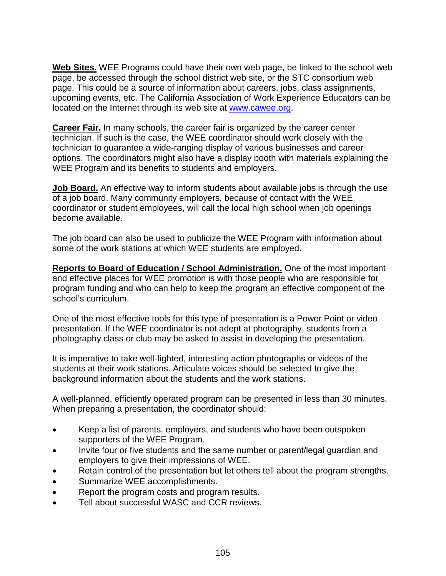**Web Sites.** WEE Programs could have their own web page, be linked to the school web page, be accessed through the school district web site, or the STC consortium web page. This could be a source of information about careers, jobs, class assignments, upcoming events, etc. The California Association of Work Experience Educators can be located on the Internet through its web site at [www.cawee.org.](http://www.cawee.org/)

**Career Fair.** In many schools, the career fair is organized by the career center technician. If such is the case, the WEE coordinator should work closely with the technician to guarantee a wide-ranging display of various businesses and career options. The coordinators might also have a display booth with materials explaining the WEE Program and its benefits to students and employers.

**Job Board.** An effective way to inform students about available jobs is through the use of a job board. Many community employers, because of contact with the WEE coordinator or student employees, will call the local high school when job openings become available.

The job board can also be used to publicize the WEE Program with information about some of the work stations at which WEE students are employed.

**Reports to Board of Education / School Administration.** One of the most important and effective places for WEE promotion is with those people who are responsible for program funding and who can help to keep the program an effective component of the school's curriculum.

One of the most effective tools for this type of presentation is a Power Point or video presentation. If the WEE coordinator is not adept at photography, students from a photography class or club may be asked to assist in developing the presentation.

It is imperative to take well-lighted, interesting action photographs or videos of the students at their work stations. Articulate voices should be selected to give the background information about the students and the work stations.

A well-planned, efficiently operated program can be presented in less than 30 minutes. When preparing a presentation, the coordinator should:

- Keep a list of parents, employers, and students who have been outspoken supporters of the WEE Program.
- Invite four or five students and the same number or parent/legal guardian and employers to give their impressions of WEE.
- Retain control of the presentation but let others tell about the program strengths.
- Summarize WEE accomplishments.
- Report the program costs and program results.
- Tell about successful WASC and CCR reviews.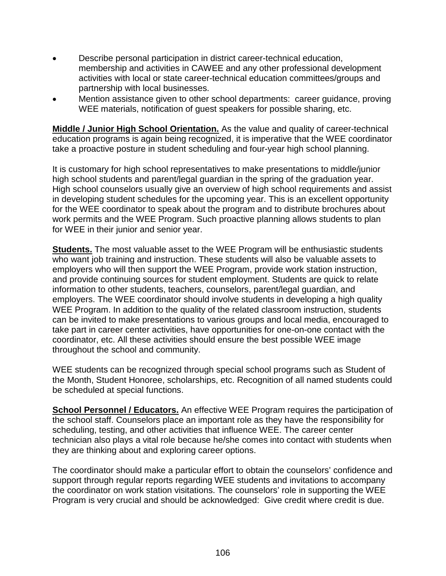- Describe personal participation in district career-technical education, membership and activities in CAWEE and any other professional development activities with local or state career-technical education committees/groups and partnership with local businesses.
- Mention assistance given to other school departments: career guidance, proving WEE materials, notification of guest speakers for possible sharing, etc.

**Middle / Junior High School Orientation.** As the value and quality of career-technical education programs is again being recognized, it is imperative that the WEE coordinator take a proactive posture in student scheduling and four-year high school planning.

It is customary for high school representatives to make presentations to middle/junior high school students and parent/legal guardian in the spring of the graduation year. High school counselors usually give an overview of high school requirements and assist in developing student schedules for the upcoming year. This is an excellent opportunity for the WEE coordinator to speak about the program and to distribute brochures about work permits and the WEE Program. Such proactive planning allows students to plan for WEE in their junior and senior year.

**Students.** The most valuable asset to the WEE Program will be enthusiastic students who want job training and instruction. These students will also be valuable assets to employers who will then support the WEE Program, provide work station instruction, and provide continuing sources for student employment. Students are quick to relate information to other students, teachers, counselors, parent/legal guardian, and employers. The WEE coordinator should involve students in developing a high quality WEE Program. In addition to the quality of the related classroom instruction, students can be invited to make presentations to various groups and local media, encouraged to take part in career center activities, have opportunities for one-on-one contact with the coordinator, etc. All these activities should ensure the best possible WEE image throughout the school and community.

WEE students can be recognized through special school programs such as Student of the Month, Student Honoree, scholarships, etc. Recognition of all named students could be scheduled at special functions.

**School Personnel / Educators.** An effective WEE Program requires the participation of the school staff. Counselors place an important role as they have the responsibility for scheduling, testing, and other activities that influence WEE. The career center technician also plays a vital role because he/she comes into contact with students when they are thinking about and exploring career options.

The coordinator should make a particular effort to obtain the counselors' confidence and support through regular reports regarding WEE students and invitations to accompany the coordinator on work station visitations. The counselors' role in supporting the WEE Program is very crucial and should be acknowledged: Give credit where credit is due.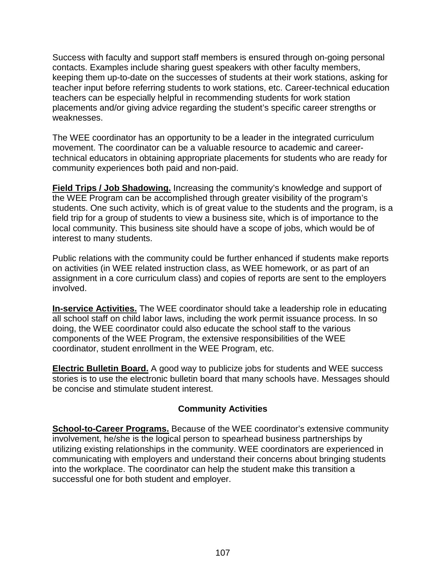Success with faculty and support staff members is ensured through on-going personal contacts. Examples include sharing guest speakers with other faculty members, keeping them up-to-date on the successes of students at their work stations, asking for teacher input before referring students to work stations, etc. Career-technical education teachers can be especially helpful in recommending students for work station placements and/or giving advice regarding the student's specific career strengths or weaknesses.

The WEE coordinator has an opportunity to be a leader in the integrated curriculum movement. The coordinator can be a valuable resource to academic and careertechnical educators in obtaining appropriate placements for students who are ready for community experiences both paid and non-paid.

**Field Trips / Job Shadowing.** Increasing the community's knowledge and support of the WEE Program can be accomplished through greater visibility of the program's students. One such activity, which is of great value to the students and the program, is a field trip for a group of students to view a business site, which is of importance to the local community. This business site should have a scope of jobs, which would be of interest to many students.

Public relations with the community could be further enhanced if students make reports on activities (in WEE related instruction class, as WEE homework, or as part of an assignment in a core curriculum class) and copies of reports are sent to the employers involved.

**In-service Activities.** The WEE coordinator should take a leadership role in educating all school staff on child labor laws, including the work permit issuance process. In so doing, the WEE coordinator could also educate the school staff to the various components of the WEE Program, the extensive responsibilities of the WEE coordinator, student enrollment in the WEE Program, etc.

**Electric Bulletin Board.** A good way to publicize jobs for students and WEE success stories is to use the electronic bulletin board that many schools have. Messages should be concise and stimulate student interest.

## **Community Activities**

**School-to-Career Programs.** Because of the WEE coordinator's extensive community involvement, he/she is the logical person to spearhead business partnerships by utilizing existing relationships in the community. WEE coordinators are experienced in communicating with employers and understand their concerns about bringing students into the workplace. The coordinator can help the student make this transition a successful one for both student and employer.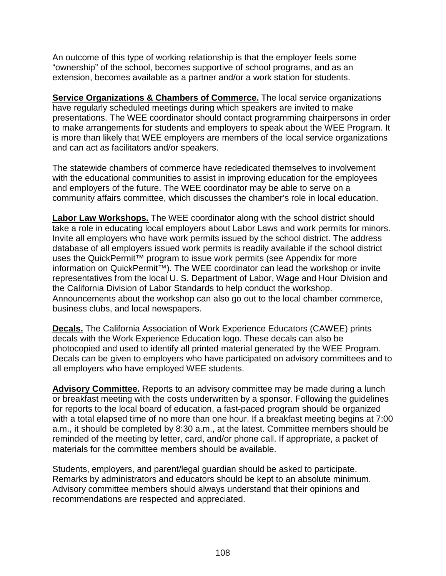An outcome of this type of working relationship is that the employer feels some "ownership" of the school, becomes supportive of school programs, and as an extension, becomes available as a partner and/or a work station for students.

**Service Organizations & Chambers of Commerce.** The local service organizations have regularly scheduled meetings during which speakers are invited to make presentations. The WEE coordinator should contact programming chairpersons in order to make arrangements for students and employers to speak about the WEE Program. It is more than likely that WEE employers are members of the local service organizations and can act as facilitators and/or speakers.

The statewide chambers of commerce have rededicated themselves to involvement with the educational communities to assist in improving education for the employees and employers of the future. The WEE coordinator may be able to serve on a community affairs committee, which discusses the chamber's role in local education.

**Labor Law Workshops.** The WEE coordinator along with the school district should take a role in educating local employers about Labor Laws and work permits for minors. Invite all employers who have work permits issued by the school district. The address database of all employers issued work permits is readily available if the school district uses the QuickPermit™ program to issue work permits (see Appendix for more information on QuickPermit™). The WEE coordinator can lead the workshop or invite representatives from the local U. S. Department of Labor, Wage and Hour Division and the California Division of Labor Standards to help conduct the workshop. Announcements about the workshop can also go out to the local chamber commerce, business clubs, and local newspapers.

**Decals.** The California Association of Work Experience Educators (CAWEE) prints decals with the Work Experience Education logo. These decals can also be photocopied and used to identify all printed material generated by the WEE Program. Decals can be given to employers who have participated on advisory committees and to all employers who have employed WEE students.

**Advisory Committee.** Reports to an advisory committee may be made during a lunch or breakfast meeting with the costs underwritten by a sponsor. Following the guidelines for reports to the local board of education, a fast-paced program should be organized with a total elapsed time of no more than one hour. If a breakfast meeting begins at 7:00 a.m., it should be completed by 8:30 a.m., at the latest. Committee members should be reminded of the meeting by letter, card, and/or phone call. If appropriate, a packet of materials for the committee members should be available.

Students, employers, and parent/legal guardian should be asked to participate. Remarks by administrators and educators should be kept to an absolute minimum. Advisory committee members should always understand that their opinions and recommendations are respected and appreciated.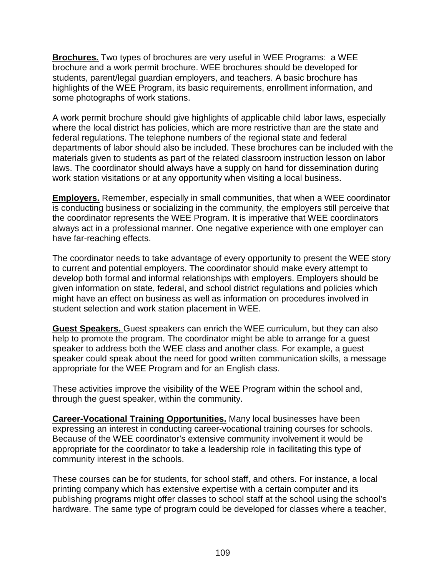**Brochures.** Two types of brochures are very useful in WEE Programs: a WEE brochure and a work permit brochure. WEE brochures should be developed for students, parent/legal guardian employers, and teachers. A basic brochure has highlights of the WEE Program, its basic requirements, enrollment information, and some photographs of work stations.

A work permit brochure should give highlights of applicable child labor laws, especially where the local district has policies, which are more restrictive than are the state and federal regulations. The telephone numbers of the regional state and federal departments of labor should also be included. These brochures can be included with the materials given to students as part of the related classroom instruction lesson on labor laws. The coordinator should always have a supply on hand for dissemination during work station visitations or at any opportunity when visiting a local business.

**Employers.** Remember, especially in small communities, that when a WEE coordinator is conducting business or socializing in the community, the employers still perceive that the coordinator represents the WEE Program. It is imperative that WEE coordinators always act in a professional manner. One negative experience with one employer can have far-reaching effects.

The coordinator needs to take advantage of every opportunity to present the WEE story to current and potential employers. The coordinator should make every attempt to develop both formal and informal relationships with employers. Employers should be given information on state, federal, and school district regulations and policies which might have an effect on business as well as information on procedures involved in student selection and work station placement in WEE.

**Guest Speakers.** Guest speakers can enrich the WEE curriculum, but they can also help to promote the program. The coordinator might be able to arrange for a guest speaker to address both the WEE class and another class. For example, a guest speaker could speak about the need for good written communication skills, a message appropriate for the WEE Program and for an English class.

These activities improve the visibility of the WEE Program within the school and, through the guest speaker, within the community.

**Career-Vocational Training Opportunities.** Many local businesses have been expressing an interest in conducting career-vocational training courses for schools. Because of the WEE coordinator's extensive community involvement it would be appropriate for the coordinator to take a leadership role in facilitating this type of community interest in the schools.

These courses can be for students, for school staff, and others. For instance, a local printing company which has extensive expertise with a certain computer and its publishing programs might offer classes to school staff at the school using the school's hardware. The same type of program could be developed for classes where a teacher,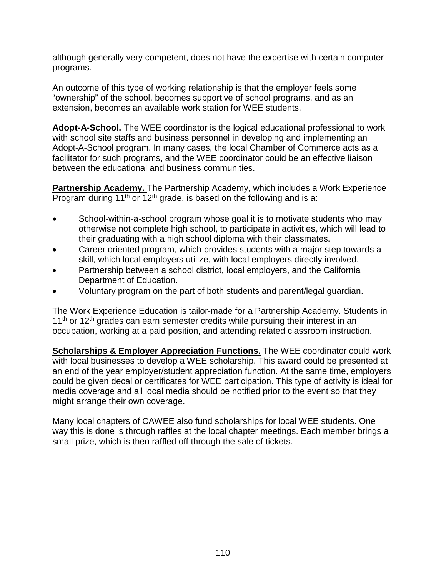although generally very competent, does not have the expertise with certain computer programs.

An outcome of this type of working relationship is that the employer feels some "ownership" of the school, becomes supportive of school programs, and as an extension, becomes an available work station for WEE students.

**Adopt-A-School.** The WEE coordinator is the logical educational professional to work with school site staffs and business personnel in developing and implementing an Adopt-A-School program. In many cases, the local Chamber of Commerce acts as a facilitator for such programs, and the WEE coordinator could be an effective liaison between the educational and business communities.

**Partnership Academy.** The Partnership Academy, which includes a Work Experience Program during 11<sup>th</sup> or 12<sup>th</sup> grade, is based on the following and is a:

- School-within-a-school program whose goal it is to motivate students who may otherwise not complete high school, to participate in activities, which will lead to their graduating with a high school diploma with their classmates.
- Career oriented program, which provides students with a major step towards a skill, which local employers utilize, with local employers directly involved.
- Partnership between a school district, local employers, and the California Department of Education.
- Voluntary program on the part of both students and parent/legal guardian.

The Work Experience Education is tailor-made for a Partnership Academy. Students in  $11<sup>th</sup>$  or  $12<sup>th</sup>$  grades can earn semester credits while pursuing their interest in an occupation, working at a paid position, and attending related classroom instruction.

**Scholarships & Employer Appreciation Functions.** The WEE coordinator could work with local businesses to develop a WEE scholarship. This award could be presented at an end of the year employer/student appreciation function. At the same time, employers could be given decal or certificates for WEE participation. This type of activity is ideal for media coverage and all local media should be notified prior to the event so that they might arrange their own coverage.

Many local chapters of CAWEE also fund scholarships for local WEE students. One way this is done is through raffles at the local chapter meetings. Each member brings a small prize, which is then raffled off through the sale of tickets.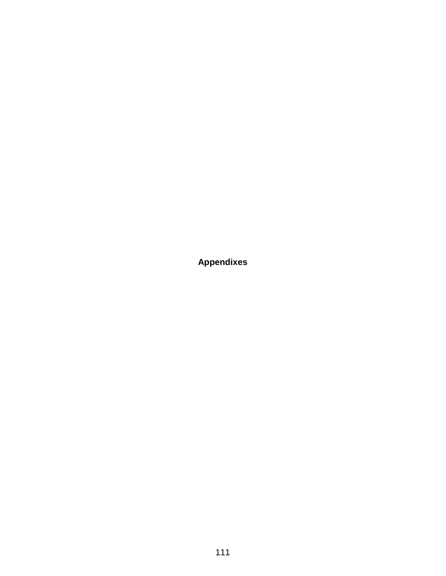**Appendixes**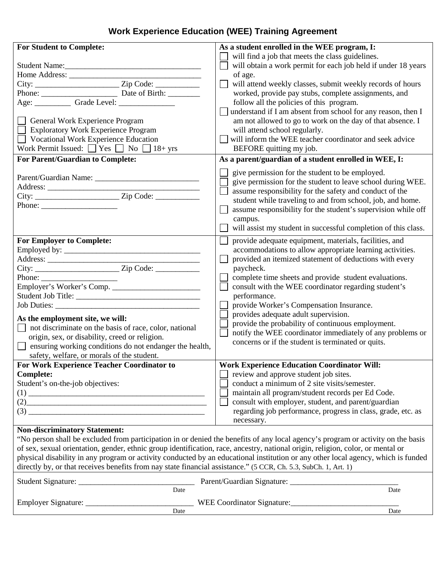# **Work Experience Education (WEE) Training Agreement**

| <b>For Student to Complete:</b>                                                                                                                                                                                                                                                                                                                  | As a student enrolled in the WEE program, I:                                                                                      |
|--------------------------------------------------------------------------------------------------------------------------------------------------------------------------------------------------------------------------------------------------------------------------------------------------------------------------------------------------|-----------------------------------------------------------------------------------------------------------------------------------|
|                                                                                                                                                                                                                                                                                                                                                  | will find a job that meets the class guidelines.                                                                                  |
| Student Name:                                                                                                                                                                                                                                                                                                                                    | will obtain a work permit for each job held if under 18 years                                                                     |
|                                                                                                                                                                                                                                                                                                                                                  | of age.                                                                                                                           |
|                                                                                                                                                                                                                                                                                                                                                  | will attend weekly classes, submit weekly records of hours                                                                        |
|                                                                                                                                                                                                                                                                                                                                                  | worked, provide pay stubs, complete assignments, and                                                                              |
|                                                                                                                                                                                                                                                                                                                                                  | follow all the policies of this program.                                                                                          |
|                                                                                                                                                                                                                                                                                                                                                  | understand if I am absent from school for any reason, then I                                                                      |
| General Work Experience Program                                                                                                                                                                                                                                                                                                                  | am not allowed to go to work on the day of that absence. I                                                                        |
| <b>Exploratory Work Experience Program</b>                                                                                                                                                                                                                                                                                                       | will attend school regularly.                                                                                                     |
| Vocational Work Experience Education                                                                                                                                                                                                                                                                                                             | will inform the WEE teacher coordinator and seek advice                                                                           |
| Work Permit Issued: $\Box$ Yes $\Box$ No $\Box$ 18+ yrs                                                                                                                                                                                                                                                                                          | BEFORE quitting my job.                                                                                                           |
| For Parent/Guardian to Complete:                                                                                                                                                                                                                                                                                                                 | As a parent/guardian of a student enrolled in WEE, I:                                                                             |
|                                                                                                                                                                                                                                                                                                                                                  |                                                                                                                                   |
|                                                                                                                                                                                                                                                                                                                                                  | give permission for the student to be employed.                                                                                   |
|                                                                                                                                                                                                                                                                                                                                                  | give permission for the student to leave school during WEE.                                                                       |
|                                                                                                                                                                                                                                                                                                                                                  | assume responsibility for the safety and conduct of the                                                                           |
|                                                                                                                                                                                                                                                                                                                                                  | student while traveling to and from school, job, and home.                                                                        |
|                                                                                                                                                                                                                                                                                                                                                  | assume responsibility for the student's supervision while off                                                                     |
|                                                                                                                                                                                                                                                                                                                                                  | campus.                                                                                                                           |
|                                                                                                                                                                                                                                                                                                                                                  | will assist my student in successful completion of this class.                                                                    |
| <b>For Employer to Complete:</b>                                                                                                                                                                                                                                                                                                                 | provide adequate equipment, materials, facilities, and                                                                            |
|                                                                                                                                                                                                                                                                                                                                                  | accommodations to allow appropriate learning activities.                                                                          |
|                                                                                                                                                                                                                                                                                                                                                  | provided an itemized statement of deductions with every                                                                           |
|                                                                                                                                                                                                                                                                                                                                                  | paycheck.                                                                                                                         |
|                                                                                                                                                                                                                                                                                                                                                  | complete time sheets and provide student evaluations.                                                                             |
| Employer's Worker's Comp.                                                                                                                                                                                                                                                                                                                        | consult with the WEE coordinator regarding student's                                                                              |
|                                                                                                                                                                                                                                                                                                                                                  | performance.                                                                                                                      |
|                                                                                                                                                                                                                                                                                                                                                  | provide Worker's Compensation Insurance.                                                                                          |
| As the employment site, we will:                                                                                                                                                                                                                                                                                                                 | provides adequate adult supervision.                                                                                              |
| $\Box$ not discriminate on the basis of race, color, national                                                                                                                                                                                                                                                                                    | provide the probability of continuous employment.                                                                                 |
| origin, sex, or disability, creed or religion.                                                                                                                                                                                                                                                                                                   | notify the WEE coordinator immediately of any problems or                                                                         |
| $\Box$ ensuring working conditions do not endanger the health,                                                                                                                                                                                                                                                                                   | concerns or if the student is terminated or quits.                                                                                |
| safety, welfare, or morals of the student.                                                                                                                                                                                                                                                                                                       |                                                                                                                                   |
| For Work Experience Teacher Coordinator to                                                                                                                                                                                                                                                                                                       | <b>Work Experience Education Coordinator Will:</b>                                                                                |
| <b>Complete:</b>                                                                                                                                                                                                                                                                                                                                 | review and approve student job sites.                                                                                             |
| Student's on-the-job objectives:                                                                                                                                                                                                                                                                                                                 | conduct a minimum of 2 site visits/semester.                                                                                      |
|                                                                                                                                                                                                                                                                                                                                                  | maintain all program/student records per Ed Code.                                                                                 |
| (2)                                                                                                                                                                                                                                                                                                                                              | consult with employer, student, and parent/guardian                                                                               |
| $\begin{picture}(3) \put(0,0) {\line(1,0){100}} \put(15,0){\line(1,0){100}} \put(15,0){\line(1,0){100}} \put(15,0){\line(1,0){100}} \put(15,0){\line(1,0){100}} \put(15,0){\line(1,0){100}} \put(15,0){\line(1,0){100}} \put(15,0){\line(1,0){100}} \put(15,0){\line(1,0){100}} \put(15,0){\line(1,0){100}} \put(15,0){\line(1,0){100}} \put(15$ | regarding job performance, progress in class, grade, etc. as                                                                      |
|                                                                                                                                                                                                                                                                                                                                                  | necessary.                                                                                                                        |
| <b>Non-discriminatory Statement:</b>                                                                                                                                                                                                                                                                                                             |                                                                                                                                   |
|                                                                                                                                                                                                                                                                                                                                                  | "No person shall be excluded from participation in or denied the benefits of any local agency's program or activity on the basis  |
| of sex, sexual orientation, gender, ethnic group identification, race, ancestry, national origin, religion, color, or mental or                                                                                                                                                                                                                  |                                                                                                                                   |
|                                                                                                                                                                                                                                                                                                                                                  | physical disability in any program or activity conducted by an educational institution or any other local agency, which is funded |
| directly by, or that receives benefits from nay state financial assistance." (5 CCR, Ch. 5.3, SubCh. 1, Art. 1)                                                                                                                                                                                                                                  |                                                                                                                                   |
|                                                                                                                                                                                                                                                                                                                                                  |                                                                                                                                   |
| Date                                                                                                                                                                                                                                                                                                                                             | Date                                                                                                                              |
|                                                                                                                                                                                                                                                                                                                                                  |                                                                                                                                   |
|                                                                                                                                                                                                                                                                                                                                                  |                                                                                                                                   |
| Date                                                                                                                                                                                                                                                                                                                                             | Date                                                                                                                              |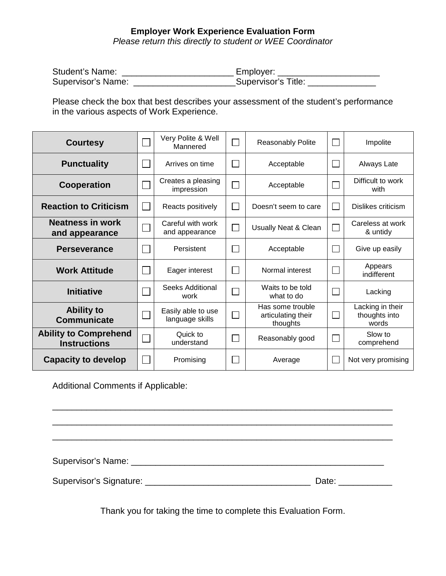#### **Employer Work Experience Evaluation Form**

*Please return this directly to student or WEE Coordinator*

| Student's Name:    | Employer:           |
|--------------------|---------------------|
| Supervisor's Name: | Supervisor's Title: |

Please check the box that best describes your assessment of the student's performance in the various aspects of Work Experience.

| <b>Courtesy</b>                                     | Very Polite & Well<br>Mannered        |                             | <b>Reasonably Polite</b>                           | $\mathbf{L}$ | Impolite                                   |
|-----------------------------------------------------|---------------------------------------|-----------------------------|----------------------------------------------------|--------------|--------------------------------------------|
| <b>Punctuality</b>                                  | Arrives on time                       |                             | Acceptable                                         | L            | Always Late                                |
| <b>Cooperation</b>                                  | Creates a pleasing<br>impression      |                             | Acceptable                                         |              | Difficult to work<br>with                  |
| <b>Reaction to Criticism</b>                        | Reacts positively                     |                             | Doesn't seem to care                               | L            | Dislikes criticism                         |
| <b>Neatness in work</b><br>and appearance           | Careful with work<br>and appearance   | $\mathcal{L}_{\mathcal{A}}$ | Usually Neat & Clean                               | $\mathbb{R}$ | Careless at work<br>& untidy               |
| <b>Perseverance</b>                                 | Persistent                            |                             | Acceptable                                         | $\mathbf{L}$ | Give up easily                             |
| <b>Work Attitude</b>                                | Eager interest                        |                             | Normal interest                                    | $\mathbb{R}$ | Appears<br>indifferent                     |
| <b>Initiative</b>                                   | Seeks Additional<br>work              |                             | Waits to be told<br>what to do                     | L            | Lacking                                    |
| <b>Ability to</b><br><b>Communicate</b>             | Easily able to use<br>language skills |                             | Has some trouble<br>articulating their<br>thoughts | $\mathbb{R}$ | Lacking in their<br>thoughts into<br>words |
| <b>Ability to Comprehend</b><br><b>Instructions</b> | Quick to<br>understand                |                             | Reasonably good                                    | L.           | Slow to<br>comprehend                      |
| <b>Capacity to develop</b>                          | Promising                             |                             | Average                                            | L            | Not very promising                         |

Additional Comments if Applicable:

Supervisor's Name: \_\_\_\_\_\_\_\_\_\_\_\_\_\_\_\_\_\_\_\_\_\_\_\_\_\_\_\_\_\_\_\_\_\_\_\_\_\_\_\_\_\_\_\_\_\_\_\_\_\_\_\_

\_\_\_\_\_\_\_\_\_\_\_\_\_\_\_\_\_\_\_\_\_\_\_\_\_\_\_\_\_\_\_\_\_\_\_\_\_\_\_\_\_\_\_\_\_\_\_\_\_\_\_\_\_\_\_\_\_\_\_\_\_\_\_\_\_\_\_\_\_\_

\_\_\_\_\_\_\_\_\_\_\_\_\_\_\_\_\_\_\_\_\_\_\_\_\_\_\_\_\_\_\_\_\_\_\_\_\_\_\_\_\_\_\_\_\_\_\_\_\_\_\_\_\_\_\_\_\_\_\_\_\_\_\_\_\_\_\_\_\_\_

Supervisor's Signature: \_\_\_\_\_\_\_\_\_\_\_\_\_\_\_\_\_\_\_\_\_\_\_\_\_\_\_\_\_\_\_\_\_\_ Date: \_\_\_\_\_\_\_\_\_\_\_

Thank you for taking the time to complete this Evaluation Form.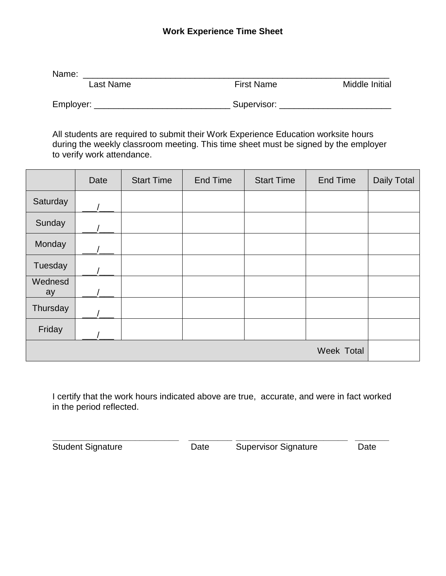### **Work Experience Time Sheet**

Name: \_\_\_\_\_\_\_\_\_\_\_\_\_\_\_\_\_\_\_\_\_\_\_\_\_\_\_\_\_\_\_\_\_\_\_\_\_\_\_\_\_\_\_\_\_\_\_\_\_\_\_\_\_\_\_\_\_\_\_\_\_\_\_ Last Name **First Name** Prise Name Middle Initial

Employer: \_\_\_\_\_\_\_\_\_\_\_\_\_\_\_\_\_\_\_\_\_\_\_\_\_\_\_\_ Supervisor: \_\_\_\_\_\_\_\_\_\_\_\_\_\_\_\_\_\_\_\_\_\_\_

All students are required to submit their Work Experience Education worksite hours during the weekly classroom meeting. This time sheet must be signed by the employer to verify work attendance.

|               | Date | <b>Start Time</b> | End Time | <b>Start Time</b> | <b>End Time</b>   | <b>Daily Total</b> |
|---------------|------|-------------------|----------|-------------------|-------------------|--------------------|
| Saturday      |      |                   |          |                   |                   |                    |
| Sunday        |      |                   |          |                   |                   |                    |
| Monday        |      |                   |          |                   |                   |                    |
| Tuesday       |      |                   |          |                   |                   |                    |
| Wednesd<br>ay |      |                   |          |                   |                   |                    |
| Thursday      |      |                   |          |                   |                   |                    |
| Friday        |      |                   |          |                   |                   |                    |
|               |      |                   |          |                   | <b>Week Total</b> |                    |

I certify that the work hours indicated above are true, accurate, and were in fact worked in the period reflected.

**\_\_\_\_\_\_\_\_\_\_\_\_\_\_\_\_\_\_\_\_\_\_\_\_\_\_ \_\_\_\_\_\_\_\_\_ \_\_\_\_\_\_\_\_\_\_\_\_\_\_\_\_\_\_\_\_\_\_\_ \_\_\_\_\_\_\_** Student Signature **Date** Date Supervisor Signature Date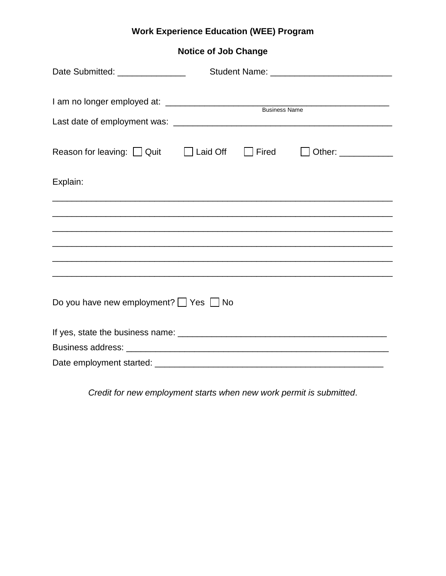# **Work Experience Education (WEE) Program**

**Notice of Job Change**

| Date Submitted: ________________                                        |  |       |  |
|-------------------------------------------------------------------------|--|-------|--|
|                                                                         |  |       |  |
| Reason for leaving: $\Box$ Quit $\Box$ Laid Off                         |  | Fired |  |
| Explain:<br><u> 1980 - Johann Stoff, amerikansk politiker (d. 1980)</u> |  |       |  |
|                                                                         |  |       |  |
|                                                                         |  |       |  |
|                                                                         |  |       |  |
| Do you have new employment? $\Box$ Yes $\Box$ No                        |  |       |  |
|                                                                         |  |       |  |
|                                                                         |  |       |  |
|                                                                         |  |       |  |

*Credit for new employment starts when new work permit is submitted*.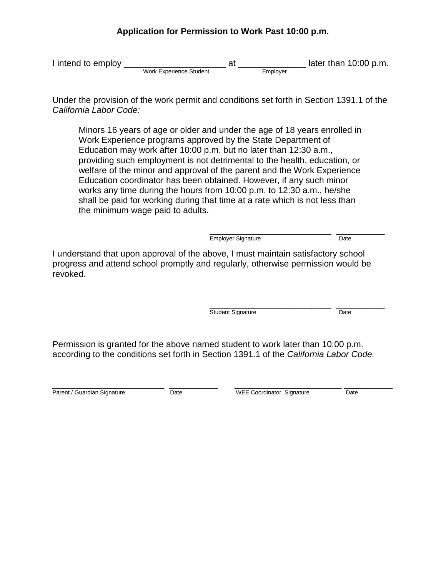## **Application for Permission to Work Past 10:00 p.m.**

I intend to employ \_\_\_\_\_\_\_\_\_\_\_\_\_\_\_\_\_\_\_\_\_ at \_\_\_\_\_\_\_\_\_\_\_\_\_\_ later than 10:00 p.m. Work Experience Student Employer

Under the provision of the work permit and conditions set forth in Section 1391.1 of the *California Labor Code:*

Minors 16 years of age or older and under the age of 18 years enrolled in Work Experience programs approved by the State Department of Education may work after 10:00 p.m. but no later than 12:30 a.m., providing such employment is not detrimental to the health, education, or welfare of the minor and approval of the parent and the Work Experience Education coordinator has been obtained. However, if any such minor works any time during the hours from 10:00 p.m. to 12:30 a.m., he/she shall be paid for working during that time at a rate which is not less than the minimum wage paid to adults.

> \_\_\_\_\_\_\_\_\_\_\_\_\_\_\_\_\_\_\_\_\_\_\_\_\_ \_\_\_\_\_\_\_\_\_\_ Employer Signature **Date**

I understand that upon approval of the above, I must maintain satisfactory school progress and attend school promptly and regularly, otherwise permission would be revoked.

> \_\_\_\_\_\_\_\_\_\_\_\_\_\_\_\_\_\_\_\_\_\_\_\_\_ \_\_\_\_\_\_\_\_\_\_ Student Signature Date

Permission is granted for the above named student to work later than 10:00 p.m. according to the conditions set forth in Section 1391.1 of the *California Labor Code.*

\_\_\_\_\_\_\_\_\_\_\_\_\_\_\_\_\_\_\_\_\_\_\_ \_\_\_\_\_\_\_\_\_\_ \_\_\_\_\_\_\_\_\_\_\_\_\_\_\_\_\_\_\_\_\_\_ \_\_\_\_\_\_\_\_\_\_ Parent / Guardian Signature Date Date WEE Coordinator Signature Date